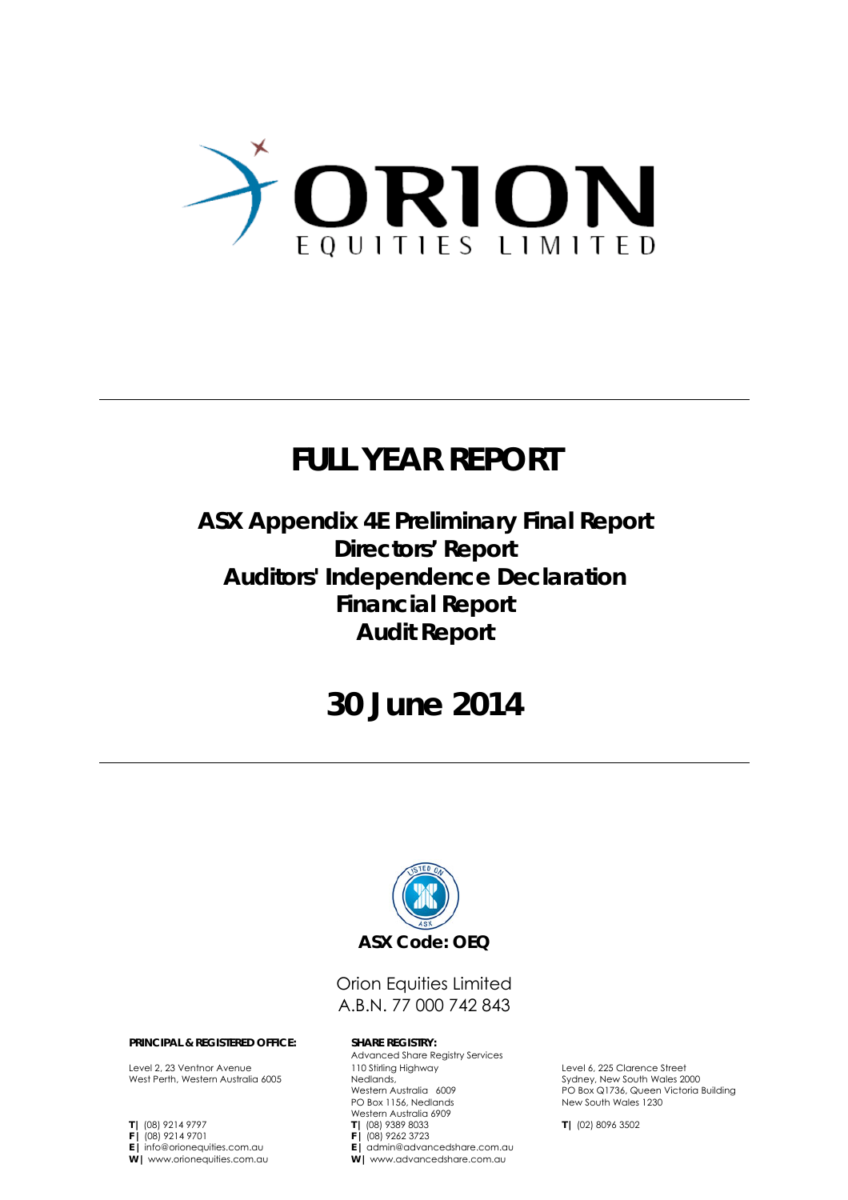

## **FULL YEAR REPORT**

**ASX Appendix 4E Preliminary Final Report Directors' Report Auditors' Independence Declaration Financial Report Audit Report** 

## **30 June 2014**



## Orion Equities Limited A.B.N. 77 000 742 843

#### **PRINCIPAL & REGISTERED OFFICE: SHARE REGISTRY:**

Level 2, 23 Ventnor Avenue West Perth, Western Australia 6005

**T |** (08) 9214 9797 **F |** (08) 9214 9701 **E |** info@orionequities.com.au **W |** www.orionequities.com.au

Advanced Share Registry Services 110 Stirling Highway Nedlands, Western Australia 6009 PO Box 1156, Nedlands Western Australia 6909 **T |** (08) 9389 8033 **F |** (08) 9262 3723 **E |** admin@advancedshare.com.au **W |** www.advancedshare.com.au

Level 6, 225 Clarence Street Sydney, New South Wales 2000 PO Box Q1736, Queen Victoria Building New South Wales 1230

**T |** (02) 8096 3502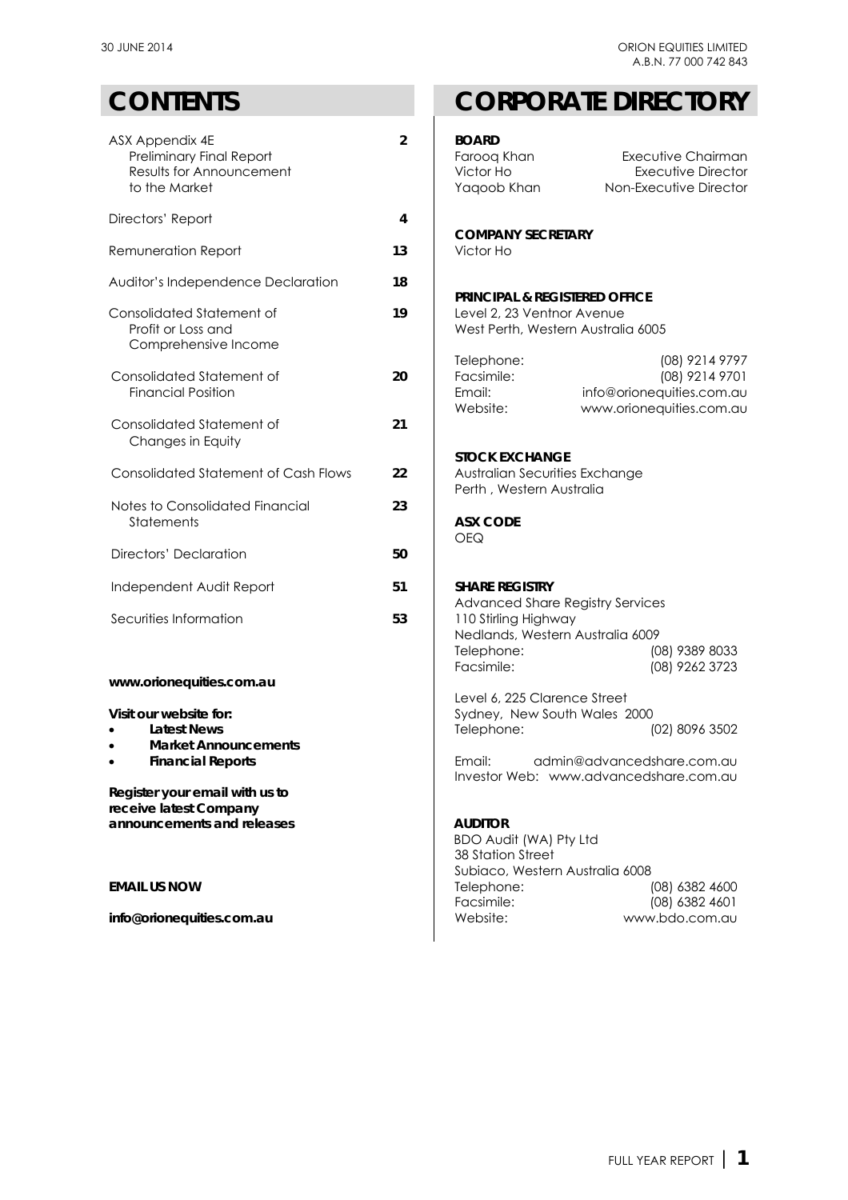| ASX Appendix 4E<br><b>Preliminary Final Report</b><br>Results for Announcement<br>to the Market | $\overline{2}$ | <b>BOARD</b><br>Faroog Khan<br>Victor Ho<br>Yaqoob Khan                                          | Executive Chairman<br><b>Executive Director</b><br>Non-Executive Director                 |
|-------------------------------------------------------------------------------------------------|----------------|--------------------------------------------------------------------------------------------------|-------------------------------------------------------------------------------------------|
| Directors' Report                                                                               | 4              |                                                                                                  |                                                                                           |
| Remuneration Report                                                                             | 13             | <b>COMPANY SECRETARY</b><br>Victor Ho                                                            |                                                                                           |
| Auditor's Independence Declaration                                                              | 18             | <b>PRINCIPAL &amp; REGISTERED OFFICE</b>                                                         |                                                                                           |
| Consolidated Statement of<br>Profit or Loss and<br>Comprehensive Income                         | 19             | Level 2, 23 Ventnor Avenue<br>West Perth, Western Australia 6005                                 |                                                                                           |
| Consolidated Statement of<br><b>Financial Position</b>                                          | 20             | Telephone:<br>Facsimile:<br>Email:<br>Website:                                                   | (08) 9214 9797<br>(08) 9214 9701<br>info@orionequities.com.au<br>www.orionequities.com.au |
| Consolidated Statement of<br>Changes in Equity                                                  | 21             |                                                                                                  |                                                                                           |
| <b>Consolidated Statement of Cash Flows</b>                                                     | 22             | <b>STOCK EXCHANGE</b><br>Australian Securities Exchange<br>Perth, Western Australia              |                                                                                           |
| Notes to Consolidated Financial<br><b>Statements</b>                                            | 23             | <b>ASX CODE</b><br><b>OEQ</b>                                                                    |                                                                                           |
| Directors' Declaration                                                                          | 50             |                                                                                                  |                                                                                           |
| Independent Audit Report                                                                        | 51             | <b>SHARE REGISTRY</b><br>Advanced Share Registry Services                                        |                                                                                           |
| Securities Information                                                                          | 53             | 110 Stirling Highway<br>Nedlands, Western Australia 6009<br>Telephone:<br>Facsimile:             | (08) 9389 8033<br>(08) 9262 3723                                                          |
| www.orionequities.com.au                                                                        |                | Level 6, 225 Clarence Street                                                                     |                                                                                           |
| Visit our website for:                                                                          |                | Sydney, New South Wales 2000                                                                     |                                                                                           |
| <b>Latest News</b><br><b>Market Announcements</b>                                               |                | Telephone:                                                                                       | (02) 8096 3502                                                                            |
| <b>Financial Reports</b><br>٠                                                                   |                | Email:                                                                                           | admin@advancedshare.com.au<br>Investor Web: www.advancedshare.com.au                      |
| Register your email with us to<br>receive latest Company                                        |                |                                                                                                  |                                                                                           |
| announcements and releases                                                                      |                | <b>AUDITOR</b><br>BDO Audit (WA) Pty Ltd<br>38 Station Street<br>Subiaco, Western Australia 6008 |                                                                                           |
| <b>EMAIL US NOW</b>                                                                             |                | Telephone:                                                                                       | (08) 6382 4600                                                                            |

**info@orionequities.com.au <br>
Website:** Website: www.bdo.com.au

## **CONTENTS CORPORATE DIRECTORY**

| ے       | טרחש<br>Farooq Khan<br>Executive Chairman<br>Victor Ho<br>Executive Director                                                                                        |  |
|---------|---------------------------------------------------------------------------------------------------------------------------------------------------------------------|--|
|         | Yaqoob Khan<br>Non-Executive Director                                                                                                                               |  |
| 4<br>13 | <b>COMPANY SECRETARY</b><br>Victor Ho                                                                                                                               |  |
|         |                                                                                                                                                                     |  |
| 18      | <b>PRINCIPAL &amp; REGISTERED OFFICE</b>                                                                                                                            |  |
| 19      | Level 2, 23 Ventnor Avenue<br>West Perth, Western Australia 6005                                                                                                    |  |
| 20      | Telephone:<br>(08) 9214 9797<br>Facsimile:<br>(08) 9214 9701<br>Email:<br>info@orionequities.com.au<br>Website:<br>www.orionequities.com.au                         |  |
| 21      |                                                                                                                                                                     |  |
| 22      | <b>STOCK EXCHANGE</b><br>Australian Securities Exchange<br>Perth, Western Australia                                                                                 |  |
| 23      | <b>ASX CODE</b>                                                                                                                                                     |  |
| 50      | <b>OEQ</b>                                                                                                                                                          |  |
| 51      | <b>SHARE REGISTRY</b>                                                                                                                                               |  |
| 53      | <b>Advanced Share Registry Services</b><br>110 Stirling Highway<br>Nedlands, Western Australia 6009<br>Telephone:<br>(08) 9389 8033<br>Facsimile:<br>(08) 9262 3723 |  |
|         | Level 6, 225 Clarence Street<br>Sydney, New South Wales 2000                                                                                                        |  |
|         | Telephone:<br>(02) 8096 3502                                                                                                                                        |  |
|         | Email:<br>admin@advancedshare.com.au<br>Investor Web: www.advancedshare.com.au                                                                                      |  |
|         | <b>AUDITOR</b><br>BDO Audit (WA) Pty Ltd<br>38 Station Street<br>Subiaco, Western Australia 6008<br>Telephone:<br>(08) 6382 4600                                    |  |

Facsimile: (08) 6382 4601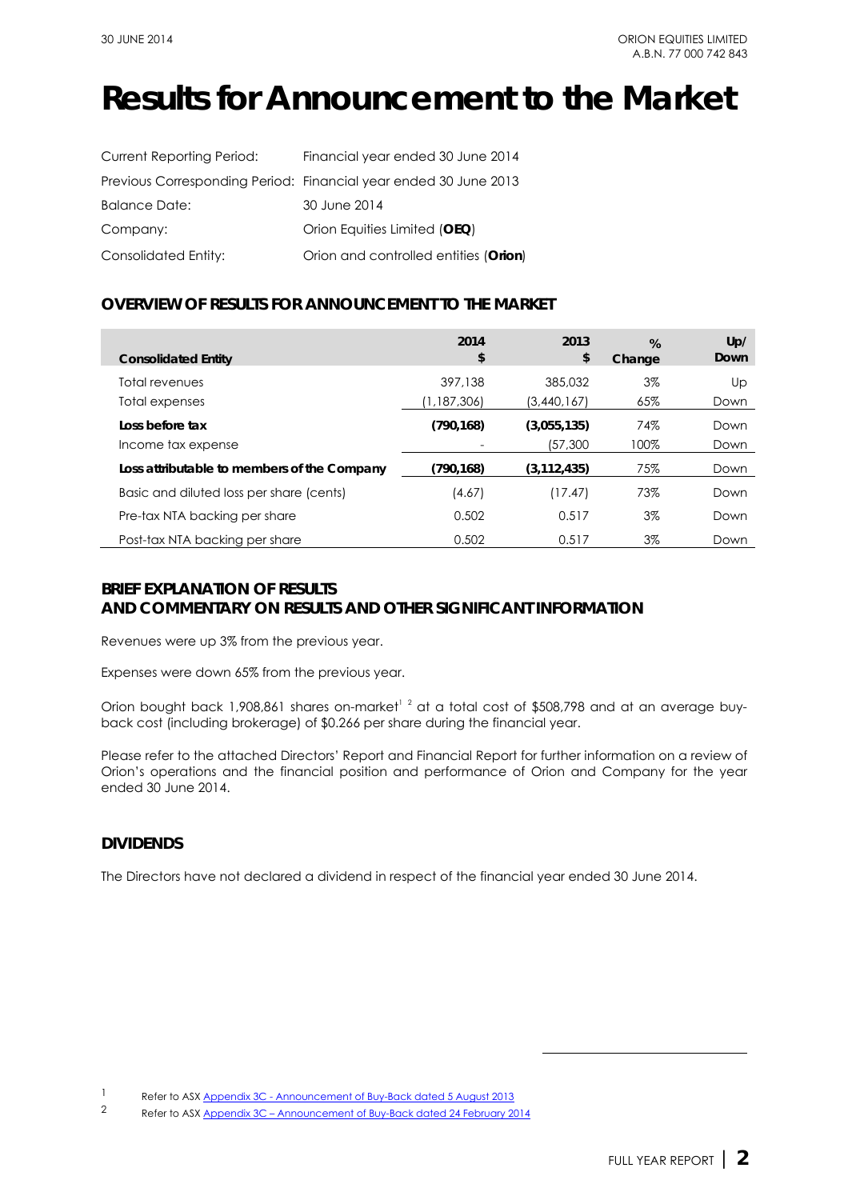## **Results for Announcement to the Market**

| Current Reporting Period: | Financial year ended 30 June 2014                                |
|---------------------------|------------------------------------------------------------------|
|                           | Previous Corresponding Period: Financial year ended 30 June 2013 |
| <b>Balance Date:</b>      | 30 June 2014                                                     |
| Company:                  | Orion Equities Limited (OEQ)                                     |
| Consolidated Entity:      | Orion and controlled entities (Orion)                            |

## **OVERVIEW OF RESULTS FOR ANNOUNCEMENT TO THE MARKET**

| <b>Consolidated Entity</b>                  | 2014<br>\$  | 2013<br>\$    | %<br>Change | Up/<br>Down |
|---------------------------------------------|-------------|---------------|-------------|-------------|
| Total revenues                              | 397.138     | 385,032       | $3\%$       | Up          |
| Total expenses                              | (1,187,306) | (3,440,167)   | 65%         | Down        |
| Loss before tax                             | (790, 168)  | (3,055,135)   | 74%         | Down        |
| Income tax expense                          |             | (57,300       | 100%        | Down        |
| Loss attributable to members of the Company | (790,168)   | (3, 112, 435) | 75%         | Down        |
| Basic and diluted loss per share (cents)    | (4.67)      | (17.47)       | 73%         | Down        |
| Pre-tax NTA backing per share               | 0.502       | 0.517         | $3\%$       | Down        |
| Post-tax NTA backing per share              | 0.502       | 0.517         | $3\%$       | Down        |

## **BRIEF EXPLANATION OF RESULTS AND COMMENTARY ON RESULTS AND OTHER SIGNIFICANT INFORMATION**

Revenues were up 3% from the previous year.

Expenses were down 65% from the previous year.

Orion bought back 1,908,861 shares on-market $^{\perp 2}$  at a total cost of \$508,798 and at an average buyback cost (including brokerage) of \$0.266 per share during the financial year.

Please refer to the attached Directors' Report and Financial Report for further information on a review of Orion's operations and the financial position and performance of Orion and Company for the year ended 30 June 2014.

## **DIVIDENDS**

The Directors have not declared a dividend in respect of the financial year ended 30 June 2014.

 $\overline{a}$ 

<sup>1</sup> Refer to ASX <u>Appendix 3C - Announcement of Buy-Back dated 5 August 2013</u><br>2 Befects ASX Appendix 3C - Announcement of Buy Back dated 34 February 20

<sup>2</sup> Refer to ASX Appendix 3C – Announcement of Buy-Back dated 24 February 2014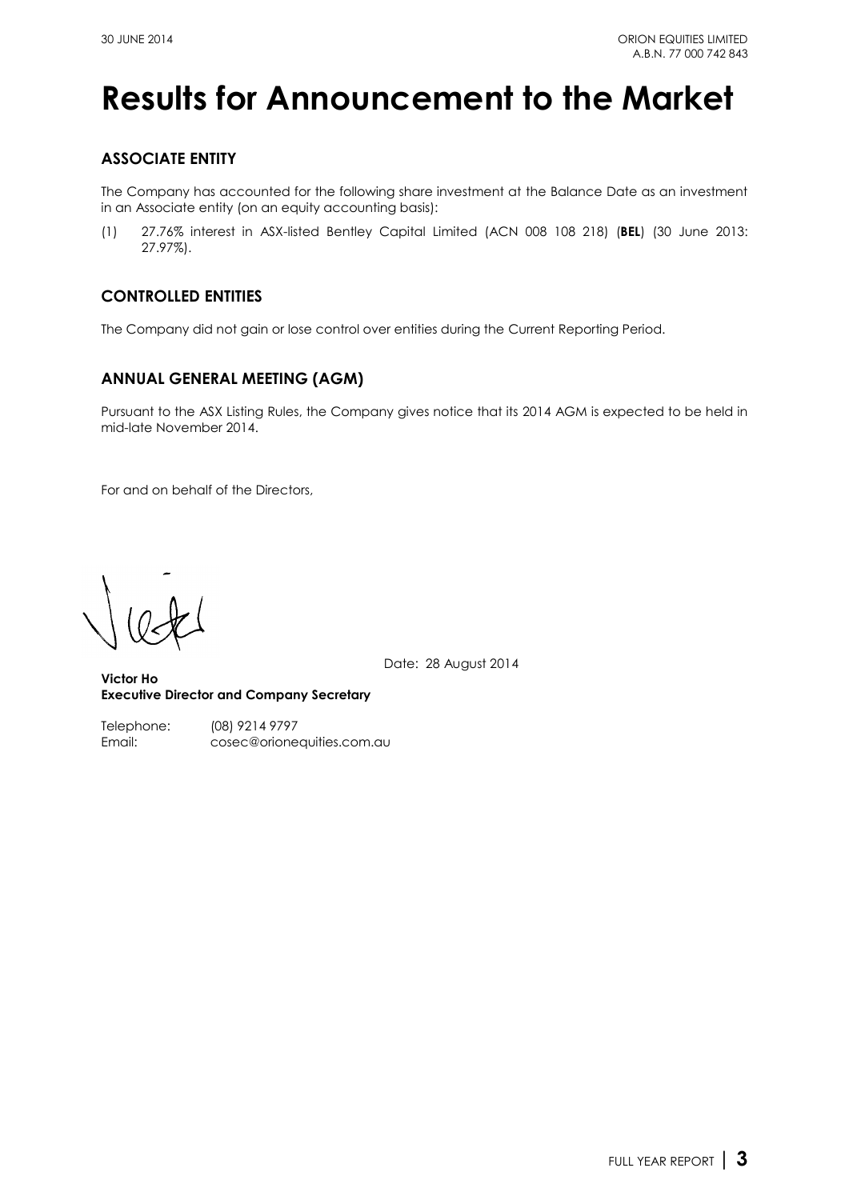## **Results for Announcement to the Market**

## **ASSOCIATE ENTITY**

The Company has accounted for the following share investment at the Balance Date as an investment in an Associate entity (on an equity accounting basis):

(1) 27.76% interest in ASX-listed Bentley Capital Limited (ACN 008 108 218) (**BEL**) (30 June 2013: 27.97%).

## **CONTROLLED ENTITIES**

The Company did not gain or lose control over entities during the Current Reporting Period.

## **ANNUAL GENERAL MEETING (AGM)**

Pursuant to the ASX Listing Rules, the Company gives notice that its 2014 AGM is expected to be held in mid-late November 2014.

For and on behalf of the Directors,

Date: 28 August 2014

**Victor Ho Executive Director and Company Secretary**

Telephone: (08) 9214 9797 cosec@orionequities.com.au Victor Ho Email: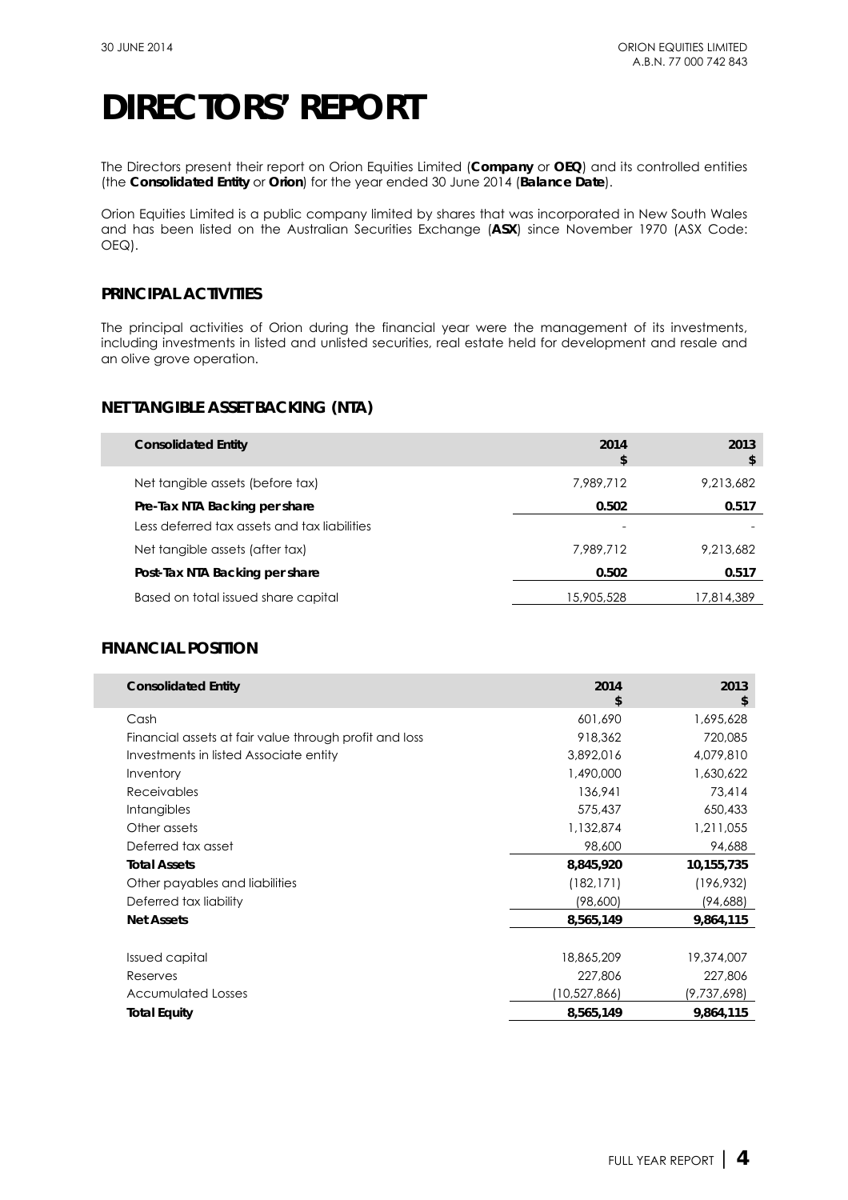The Directors present their report on Orion Equities Limited (**Company** or **OEQ**) and its controlled entities (the **Consolidated Entity** or **Orion**) for the year ended 30 June 2014 (**Balance Date**).

Orion Equities Limited is a public company limited by shares that was incorporated in New South Wales and has been listed on the Australian Securities Exchange (**ASX**) since November 1970 (ASX Code: OEQ).

## **PRINCIPAL ACTIVITIES**

The principal activities of Orion during the financial year were the management of its investments, including investments in listed and unlisted securities, real estate held for development and resale and an olive grove operation.

## **NET TANGIBLE ASSET BACKING (NTA)**

| <b>Consolidated Entity</b>                   | 2014<br>\$ | 2013<br>\$ |
|----------------------------------------------|------------|------------|
| Net tangible assets (before tax)             | 7.989.712  | 9,213,682  |
| Pre-Tax NTA Backing per share                | 0.502      | 0.517      |
| Less deferred tax assets and tax liabilities | -          |            |
| Net tangible assets (after tax)              | 7.989.712  | 9.213.682  |
| Post-Tax NTA Backing per share               | 0.502      | 0.517      |
| Based on total issued share capital          | 15,905,528 | 17,814,389 |

## **FINANCIAL POSITION**

| <b>Consolidated Entity</b>                             | 2014<br>\$   | 2013<br>\$  |
|--------------------------------------------------------|--------------|-------------|
| Cash                                                   | 601,690      | 1,695,628   |
| Financial assets at fair value through profit and loss | 918,362      | 720,085     |
| Investments in listed Associate entity                 | 3,892,016    | 4,079,810   |
| Inventory                                              | 1,490,000    | 1,630,622   |
| <b>Receivables</b>                                     | 136,941      | 73,414      |
| <b>Intangibles</b>                                     | 575,437      | 650,433     |
| Other assets                                           | 1,132,874    | 1,211,055   |
| Deferred tax asset                                     | 98,600       | 94,688      |
| <b>Total Assets</b>                                    | 8,845,920    | 10,155,735  |
| Other payables and liabilities                         | (182, 171)   | (196, 932)  |
| Deferred tax liability                                 | (98,600)     | (94,688)    |
| <b>Net Assets</b>                                      | 8,565,149    | 9,864,115   |
|                                                        |              |             |
| <b>Issued capital</b>                                  | 18,865,209   | 19,374,007  |
| Reserves                                               | 227,806      | 227,806     |
| <b>Accumulated Losses</b>                              | (10,527,866) | (9,737,698) |
| <b>Total Equity</b>                                    | 8,565,149    | 9,864,115   |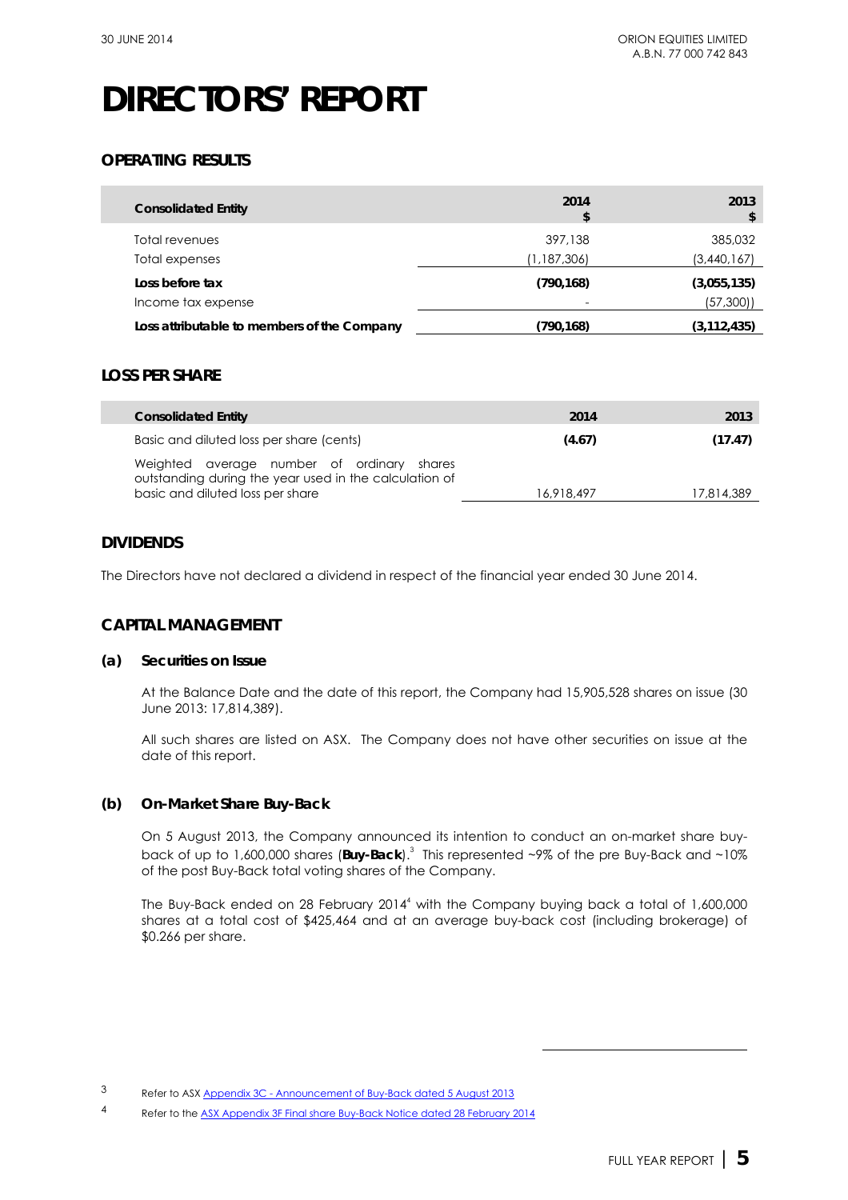## **OPERATING RESULTS**

| <b>Consolidated Entity</b>                                        | 2014<br>S              | 2013                      |
|-------------------------------------------------------------------|------------------------|---------------------------|
| Total revenues<br>Total expenses                                  | 397,138<br>(1,187,306) | 385,032<br>(3,440,167)    |
| Loss before tax                                                   | (790, 168)             | (3,055,135)               |
| Income tax expense<br>Loss attributable to members of the Company | (790, 168)             | (57,300)<br>(3, 112, 435) |

## **LOSS PER SHARE**

| <b>Consolidated Entity</b>                                                                                                                  | 2014       | 2013       |
|---------------------------------------------------------------------------------------------------------------------------------------------|------------|------------|
| Basic and diluted loss per share (cents)                                                                                                    | (4.67)     | (17.47)    |
| Weighted average number of ordinary<br>shares<br>outstanding during the year used in the calculation of<br>basic and diluted loss per share | 16.918.497 | 17,814,389 |

## **DIVIDENDS**

The Directors have not declared a dividend in respect of the financial year ended 30 June 2014.

## **CAPITAL MANAGEMENT**

## **(a) Securities on Issue**

At the Balance Date and the date of this report, the Company had 15,905,528 shares on issue (30 June 2013: 17,814,389).

All such shares are listed on ASX. The Company does not have other securities on issue at the date of this report.

## **(b) On-Market Share Buy-Back**

On 5 August 2013, the Company announced its intention to conduct an on-market share buyback of up to 1,600,000 shares (Buy-Back).<sup>3</sup> This represented ~9% of the pre Buy-Back and ~10% of the post Buy-Back total voting shares of the Company.

The Buy-Back ended on 28 February 2014<sup>4</sup> with the Company buying back a total of 1,600,000 shares at a total cost of \$425,464 and at an average buy-back cost (including brokerage) of \$0.266 per share.

 $\overline{a}$ 

<sup>3</sup> Refer to ASX Appendix 3C - Announcement of Buy-Back dated 5 August 2013

<sup>4</sup> Refer to the ASX Appendix 3F Final share Buy-Back Notice dated 28 February 2014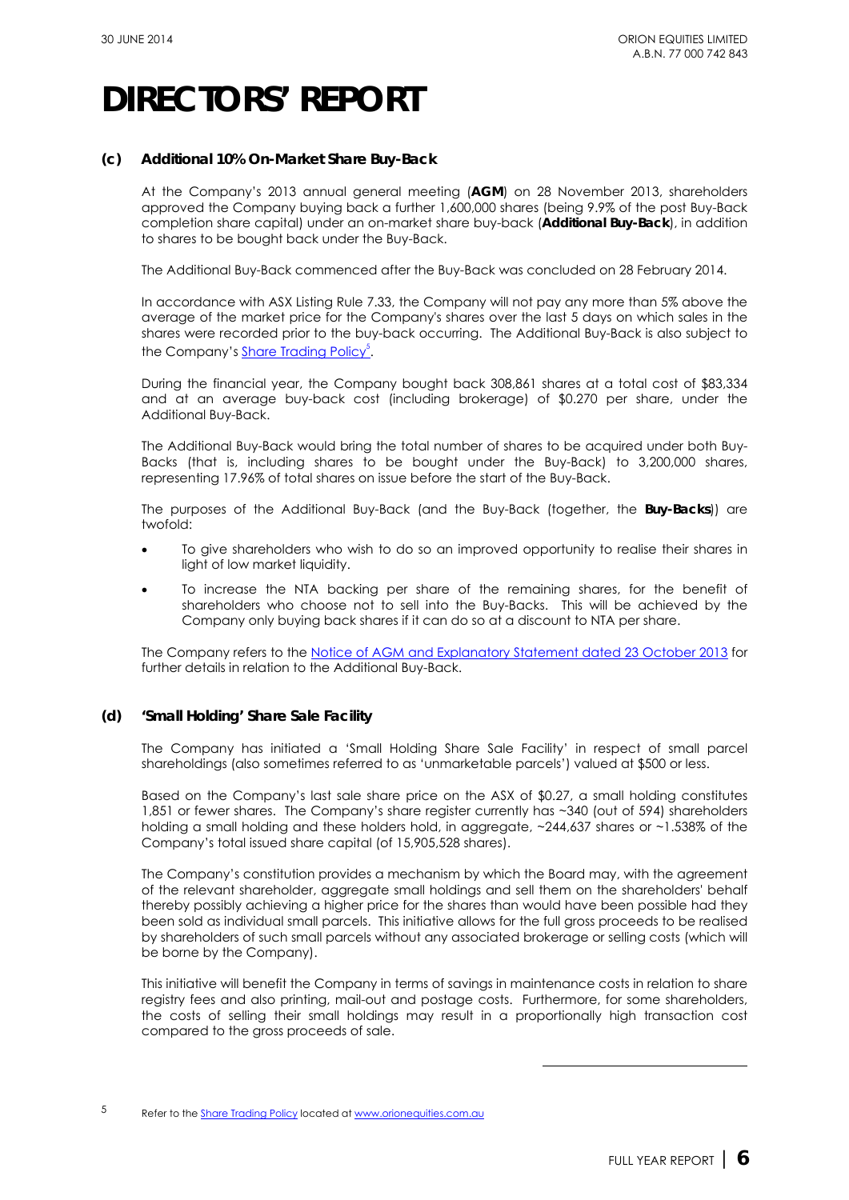## **(c) Additional 10% On-Market Share Buy-Back**

At the Company's 2013 annual general meeting (**AGM**) on 28 November 2013, shareholders approved the Company buying back a further 1,600,000 shares (being 9.9% of the post Buy-Back completion share capital) under an on-market share buy-back (**Additional Buy-Back**), in addition to shares to be bought back under the Buy-Back.

The Additional Buy-Back commenced after the Buy-Back was concluded on 28 February 2014.

In accordance with ASX Listing Rule 7.33, the Company will not pay any more than 5% above the average of the market price for the Company's shares over the last 5 days on which sales in the shares were recorded prior to the buy-back occurring. The Additional Buy-Back is also subject to the Company's Share Trading Policy<sup>5</sup>.

During the financial year, the Company bought back 308,861 shares at a total cost of \$83,334 and at an average buy-back cost (including brokerage) of \$0.270 per share, under the Additional Buy-Back.

The Additional Buy-Back would bring the total number of shares to be acquired under both Buy-Backs (that is, including shares to be bought under the Buy-Back) to 3,200,000 shares, representing 17.96% of total shares on issue before the start of the Buy-Back.

The purposes of the Additional Buy-Back (and the Buy-Back (together, the **Buy-Backs**)) are twofold:

- To give shareholders who wish to do so an improved opportunity to realise their shares in light of low market liquidity.
- To increase the NTA backing per share of the remaining shares, for the benefit of shareholders who choose not to sell into the Buy-Backs. This will be achieved by the Company only buying back shares if it can do so at a discount to NTA per share.

The Company refers to the Notice of AGM and Explanatory Statement dated 23 October 2013 for further details in relation to the Additional Buy-Back.

## **(d) 'Small Holding' Share Sale Facility**

The Company has initiated a 'Small Holding Share Sale Facility' in respect of small parcel shareholdings (also sometimes referred to as 'unmarketable parcels') valued at \$500 or less.

Based on the Company's last sale share price on the ASX of \$0.27, a small holding constitutes 1,851 or fewer shares. The Company's share register currently has ~340 (out of 594) shareholders holding a small holding and these holders hold, in aggregate, ~244,637 shares or ~1.538% of the Company's total issued share capital (of 15,905,528 shares).

The Company's constitution provides a mechanism by which the Board may, with the agreement of the relevant shareholder, aggregate small holdings and sell them on the shareholders' behalf thereby possibly achieving a higher price for the shares than would have been possible had they been sold as individual small parcels. This initiative allows for the full gross proceeds to be realised by shareholders of such small parcels without any associated brokerage or selling costs (which will be borne by the Company).

This initiative will benefit the Company in terms of savings in maintenance costs in relation to share registry fees and also printing, mail-out and postage costs. Furthermore, for some shareholders, the costs of selling their small holdings may result in a proportionally high transaction cost compared to the gross proceeds of sale.

-

5 Refer to the [Share Trading Policy l](http://www.orionequities.com.au/sites/default/files/20101231%20OEQ%20Share%20Trading%20Policy.pdf)ocated at www.orionequities.com.au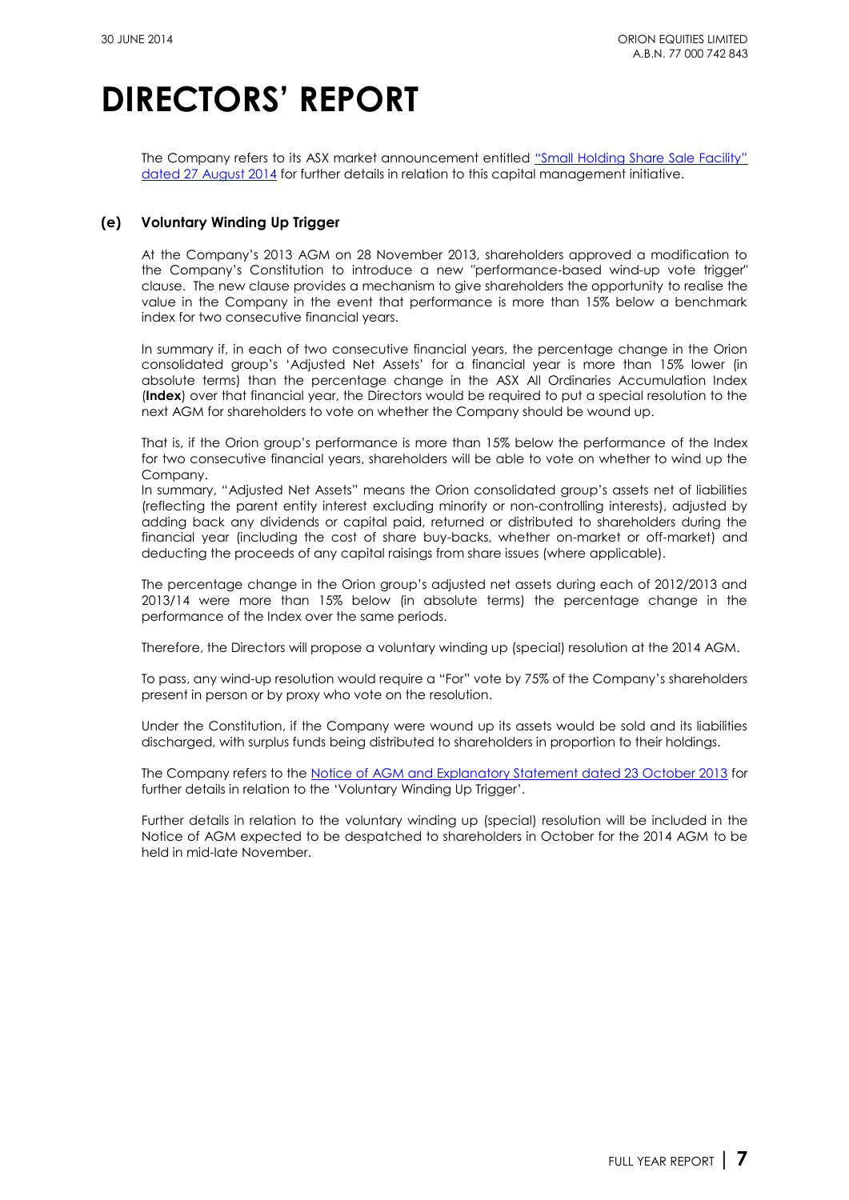The Company refers to its ASX market announcement entitled "Small Holding Share Sale Facility" [dated 27 August 2014](http://orionequities.com.au/sites/default/files/20140827%20OEQ%20ASX%20Small%20Holding%20%28Unmarketable%20Parcel%29%20Sale%20Facility.pdf) for further details in relation to this capital management initiative.

## **(e) Voluntary Winding Up Trigger**

At the Company's 2013 AGM on 28 November 2013, shareholders approved a modification to the Company's Constitution to introduce a new "performance-based wind-up vote trigger" clause. The new clause provides a mechanism to give shareholders the opportunity to realise the value in the Company in the event that performance is more than 15% below a benchmark index for two consecutive financial years.

In summary if, in each of two consecutive financial years, the percentage change in the Orion consolidated group's 'Adjusted Net Assets' for a financial year is more than 15% lower (in absolute terms) than the percentage change in the ASX All Ordinaries Accumulation Index (**Index**) over that financial year, the Directors would be required to put a special resolution to the next AGM for shareholders to vote on whether the Company should be wound up.

That is, if the Orion group's performance is more than 15% below the performance of the Index for two consecutive financial years, shareholders will be able to vote on whether to wind up the Company.

In summary, "Adjusted Net Assets" means the Orion consolidated group's assets net of liabilities (reflecting the parent entity interest excluding minority or non-controlling interests), adjusted by adding back any dividends or capital paid, returned or distributed to shareholders during the financial year (including the cost of share buy-backs, whether on-market or off-market) and deducting the proceeds of any capital raisings from share issues (where applicable).

The percentage change in the Orion group's adjusted net assets during each of 2012/2013 and 2013/14 were more than 15% below (in absolute terms) the percentage change in the performance of the Index over the same periods.

Therefore, the Directors will propose a voluntary winding up (special) resolution at the 2014 AGM.

To pass, any wind-up resolution would require a "For" vote by 75% of the Company's shareholders present in person or by proxy who vote on the resolution.

Under the Constitution, if the Company were wound up its assets would be sold and its liabilities discharged, with surplus funds being distributed to shareholders in proportion to their holdings.

The Company refers to the [Notice of AGM and Explanatory Statement dated 23 October 2013](http://www.orionequities.com.au/sites/default/files/20131030%20OEQ%20ASX%202013%20Notice%20of%20AGM%20and%20Proxy%20Form.pdf) for further details in relation to the 'Voluntary Winding Up Trigger'.

Further details in relation to the voluntary winding up (special) resolution will be included in the Notice of AGM expected to be despatched to shareholders in October for the 2014 AGM to be held in mid-late November.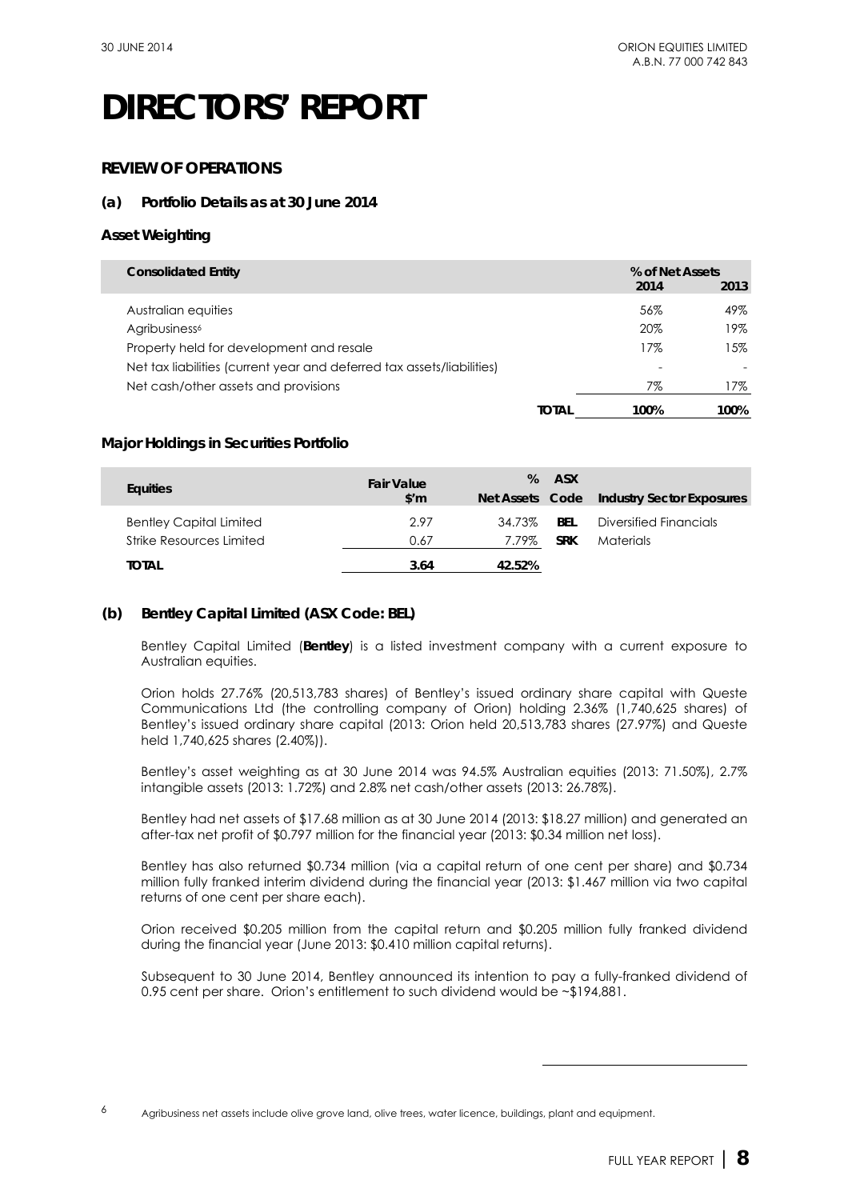## **REVIEW OF OPERATIONS**

## **(a) Portfolio Details as at 30 June 2014**

## **Asset Weighting**

| <b>Consolidated Entity</b>                                             |       |      | % of Net Assets |
|------------------------------------------------------------------------|-------|------|-----------------|
|                                                                        |       | 2014 | 2013            |
| Australian equities                                                    |       | 56%  | 49%             |
| Agribusiness <sup>6</sup>                                              |       | 20%  | 19%             |
| Property held for development and resale                               |       | 17%  | 15%             |
| Net tax liabilities (current year and deferred tax assets/liabilities) |       |      |                 |
| Net cash/other assets and provisions                                   |       | 7%   | 17%             |
|                                                                        | Total | 100% | 100%            |

## **Major Holdings in Securities Portfolio**

| <b>Equities</b>                | Fair Value<br>$$^{\prime}$ m | %<br>Net Assets Code | <b>ASX</b> | <b>Industry Sector Exposures</b> |
|--------------------------------|------------------------------|----------------------|------------|----------------------------------|
| <b>Bentley Capital Limited</b> | 2.97                         | 34.73%               | BEL        | Diversified Financials           |
| Strike Resources Limited       | 0.67                         | 7.79%                | <b>SRK</b> | Materials                        |
| <b>TOTAL</b>                   | 3.64                         | 42.52%               |            |                                  |

## **(b) Bentley Capital Limited (ASX Code: BEL)**

Bentley Capital Limited (**Bentley**) is a listed investment company with a current exposure to Australian equities.

Orion holds 27.76% (20,513,783 shares) of Bentley's issued ordinary share capital with Queste Communications Ltd (the controlling company of Orion) holding 2.36% (1,740,625 shares) of Bentley's issued ordinary share capital (2013: Orion held 20,513,783 shares (27.97%) and Queste held 1,740,625 shares (2.40%)).

Bentley's asset weighting as at 30 June 2014 was 94.5% Australian equities (2013: 71.50%), 2.7% intangible assets (2013: 1.72%) and 2.8% net cash/other assets (2013: 26.78%).

Bentley had net assets of \$17.68 million as at 30 June 2014 (2013: \$18.27 million) and generated an after-tax net profit of \$0.797 million for the financial year (2013: \$0.34 million net loss).

Bentley has also returned \$0.734 million (via a capital return of one cent per share) and \$0.734 million fully franked interim dividend during the financial year (2013: \$1.467 million via two capital returns of one cent per share each).

Orion received \$0.205 million from the capital return and \$0.205 million fully franked dividend during the financial year (June 2013: \$0.410 million capital returns).

Subsequent to 30 June 2014, Bentley announced its intention to pay a fully-franked dividend of 0.95 cent per share. Orion's entitlement to such dividend would be ~\$194,881.

 $\overline{a}$ 

 $\epsilon$  Agribusiness net assets include olive grove land, olive trees, water licence, buildings, plant and equipment.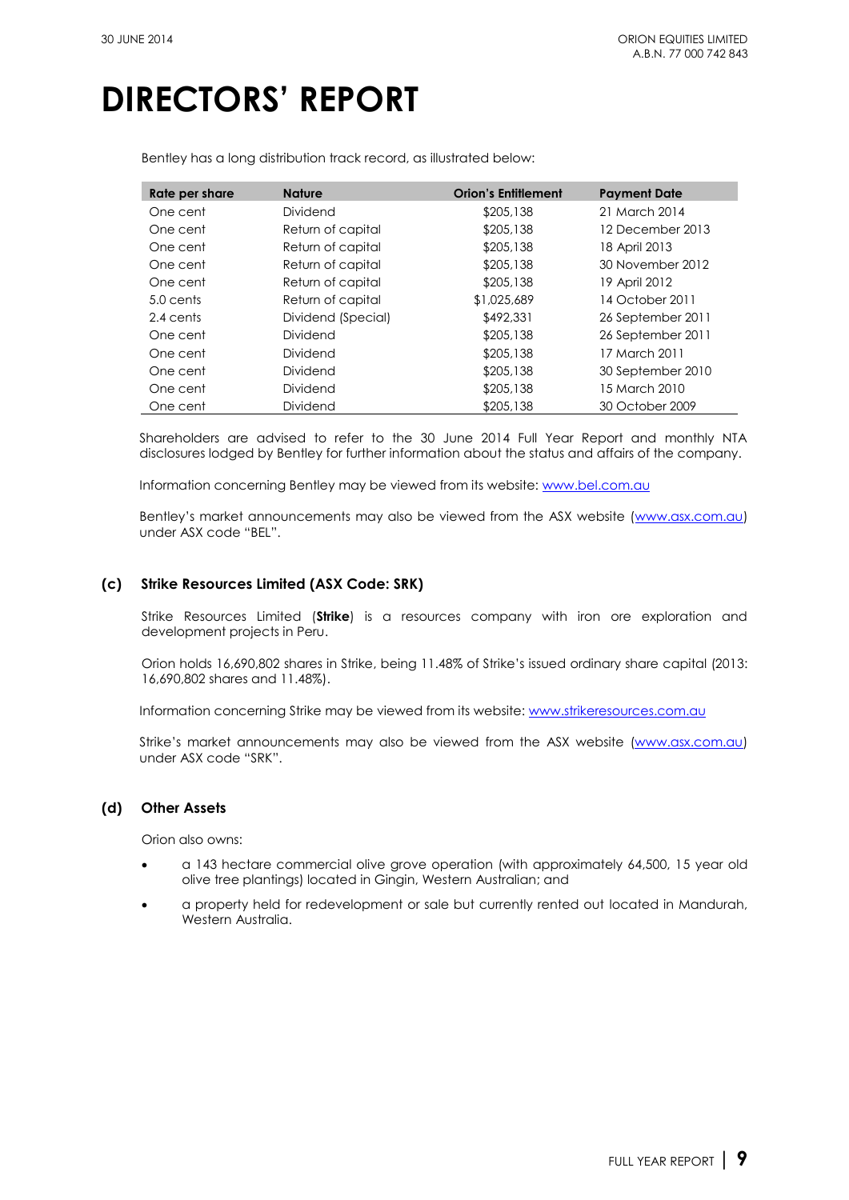| Rate per share | <b>Nature</b>      | <b>Orion's Entitlement</b> | <b>Payment Date</b> |
|----------------|--------------------|----------------------------|---------------------|
| One cent       | Dividend           | \$205,138                  | 21 March 2014       |
| One cent       | Return of capital  | \$205,138                  | 12 December 2013    |
| One cent       | Return of capital  | \$205,138                  | 18 April 2013       |
| One cent       | Return of capital  | \$205,138                  | 30 November 2012    |
| One cent       | Return of capital  | \$205,138                  | 19 April 2012       |
| 5.0 cents      | Return of capital  | \$1,025,689                | 14 October 2011     |
| 2.4 cents      | Dividend (Special) | \$492,331                  | 26 September 2011   |
| One cent       | Dividend           | \$205,138                  | 26 September 2011   |
| One cent       | Dividend           | \$205,138                  | 17 March 2011       |
| One cent       | Dividend           | \$205,138                  | 30 September 2010   |
| One cent       | Dividend           | \$205,138                  | 15 March 2010       |
| One cent       | Dividend           | \$205,138                  | 30 October 2009     |

Bentley has a long distribution track record, as illustrated below:

Shareholders are advised to refer to the 30 June 2014 Full Year Report and monthly NTA disclosures lodged by Bentley for further information about the status and affairs of the company.

Information concerning Bentley may be viewed from its website: www.bel.com.au

Bentley's market announcements may also be viewed from the ASX website ([www.asx.com.au\)](http://www.asx.com.au/) under ASX code "BEL".

### **(c) Strike Resources Limited (ASX Code: SRK)**

Strike Resources Limited (**Strike**) is a resources company with iron ore exploration and development projects in Peru.

Orion holds 16,690,802 shares in Strike, being 11.48% of Strike's issued ordinary share capital (2013: 16,690,802 shares and 11.48%).

Information concerning Strike may be viewed from its website: www.strikeresources.com.au

Strike's market announcements may also be viewed from the ASX website [\(www.asx.com.au\)](http://www.asx.com.au/) under ASX code "SRK".

### **(d) Other Assets**

Orion also owns:

- a 143 hectare commercial olive grove operation (with approximately 64,500, 15 year old olive tree plantings) located in Gingin, Western Australian; and
- a property held for redevelopment or sale but currently rented out located in Mandurah, Western Australia.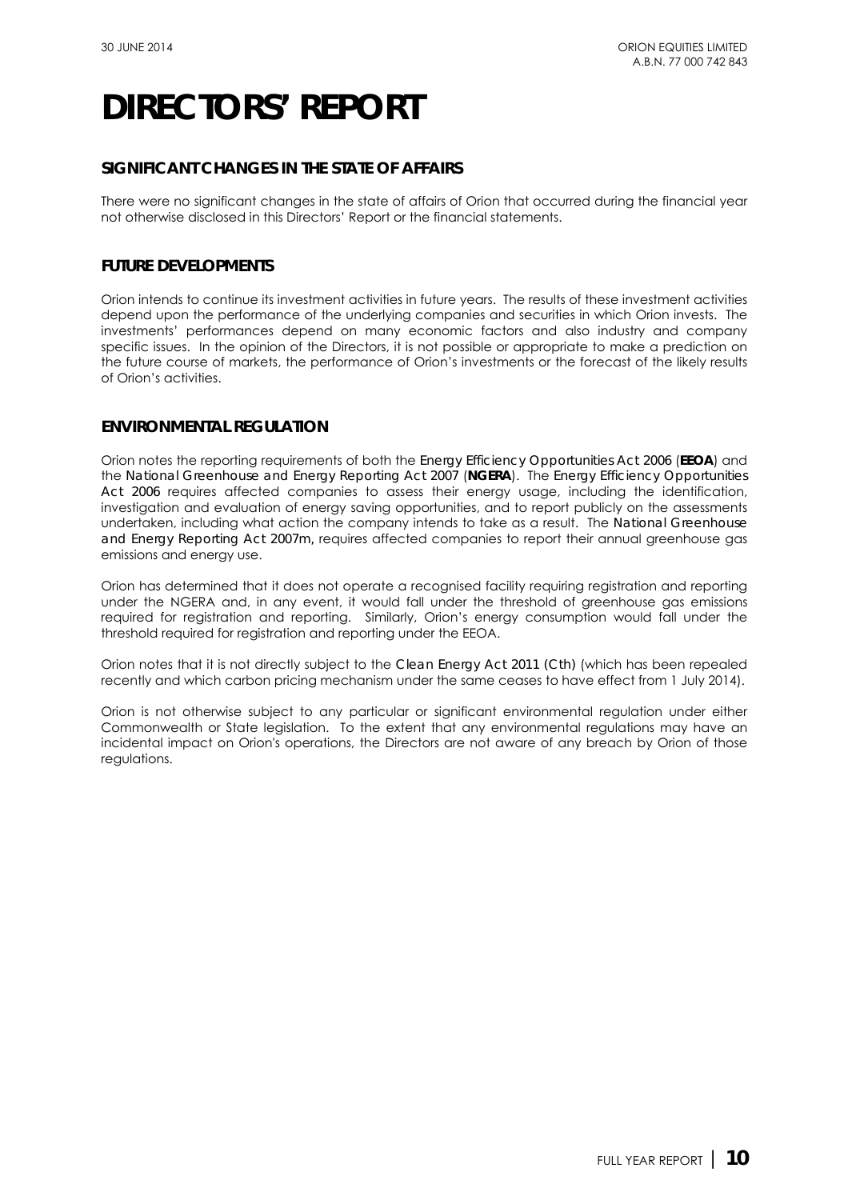## **SIGNIFICANT CHANGES IN THE STATE OF AFFAIRS**

There were no significant changes in the state of affairs of Orion that occurred during the financial year not otherwise disclosed in this Directors' Report or the financial statements.

## **FUTURE DEVELOPMENTS**

Orion intends to continue its investment activities in future years. The results of these investment activities depend upon the performance of the underlying companies and securities in which Orion invests. The investments' performances depend on many economic factors and also industry and company specific issues. In the opinion of the Directors, it is not possible or appropriate to make a prediction on the future course of markets, the performance of Orion's investments or the forecast of the likely results of Orion's activities.

## **ENVIRONMENTAL REGULATION**

Orion notes the reporting requirements of both the *Energy Efficiency Opportunities Act 2006* (**EEOA**) and the *National Greenhouse and Energy Reporting Act 2007* (**NGERA**).The *Energy Efficiency Opportunities Act 2006* requires affected companies to assess their energy usage, including the identification, investigation and evaluation of energy saving opportunities, and to report publicly on the assessments undertaken, including what action the company intends to take as a result. The *National Greenhouse and Energy Reporting Act 2007m,* requires affected companies to report their annual greenhouse gas emissions and energy use.

Orion has determined that it does not operate a recognised facility requiring registration and reporting under the NGERA and, in any event, it would fall under the threshold of greenhouse gas emissions required for registration and reporting. Similarly, Orion's energy consumption would fall under the threshold required for registration and reporting under the EEOA.

Orion notes that it is not directly subject to the *Clean Energy Act 2011 (Cth)* (which has been repealed recently and which carbon pricing mechanism under the same ceases to have effect from 1 July 2014).

Orion is not otherwise subject to any particular or significant environmental regulation under either Commonwealth or State legislation. To the extent that any environmental regulations may have an incidental impact on Orion's operations, the Directors are not aware of any breach by Orion of those regulations.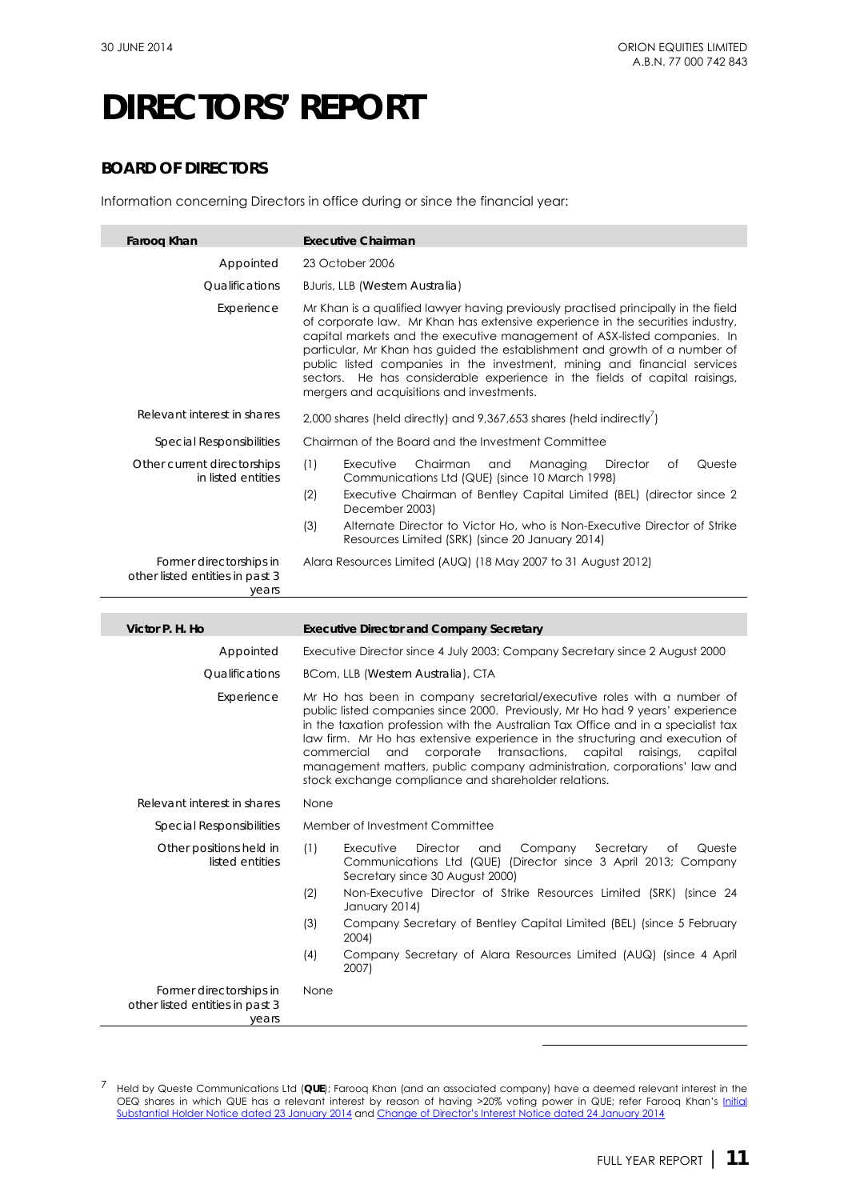## **BOARD OF DIRECTORS**

Information concerning Directors in office during or since the financial year:

| Farooq Khan                                                         | <b>Executive Chairman</b>                                                                                                                                                                                                                                                                                                                                                                                                                                                                                                                              |  |
|---------------------------------------------------------------------|--------------------------------------------------------------------------------------------------------------------------------------------------------------------------------------------------------------------------------------------------------------------------------------------------------------------------------------------------------------------------------------------------------------------------------------------------------------------------------------------------------------------------------------------------------|--|
| Appointed                                                           | 23 October 2006                                                                                                                                                                                                                                                                                                                                                                                                                                                                                                                                        |  |
| Qualifications                                                      | BJuris, LLB (Western Australia)                                                                                                                                                                                                                                                                                                                                                                                                                                                                                                                        |  |
| Experience                                                          | Mr Khan is a qualified lawyer having previously practised principally in the field<br>of corporate law. Mr Khan has extensive experience in the securities industry,<br>capital markets and the executive management of ASX-listed companies. In<br>particular, Mr Khan has guided the establishment and growth of a number of<br>public listed companies in the investment, mining and financial services<br>sectors. He has considerable experience in the fields of capital raisings,<br>mergers and acquisitions and investments.                  |  |
| Relevant interest in shares                                         | 2,000 shares (held directly) and 9,367,653 shares (held indirectly')                                                                                                                                                                                                                                                                                                                                                                                                                                                                                   |  |
| <i>Special Responsibilities</i>                                     | Chairman of the Board and the Investment Committee                                                                                                                                                                                                                                                                                                                                                                                                                                                                                                     |  |
| Other current directorships<br>in listed entities                   | Executive<br>Chairman<br>(1)<br>and<br>Managing<br>Director<br>Queste<br>оf<br>Communications Ltd (QUE) (since 10 March 1998)<br>Executive Chairman of Bentley Capital Limited (BEL) (director since 2<br>(2)<br>December 2003)<br>Alternate Director to Victor Ho, who is Non-Executive Director of Strike<br>(3)<br>Resources Limited (SRK) (since 20 January 2014)                                                                                                                                                                                  |  |
| Former directorships in<br>other listed entities in past 3<br>years | Alara Resources Limited (AUQ) (18 May 2007 to 31 August 2012)                                                                                                                                                                                                                                                                                                                                                                                                                                                                                          |  |
|                                                                     |                                                                                                                                                                                                                                                                                                                                                                                                                                                                                                                                                        |  |
| Victor P. H. Ho                                                     | <b>Executive Director and Company Secretary</b>                                                                                                                                                                                                                                                                                                                                                                                                                                                                                                        |  |
| Appointed                                                           | Executive Director since 4 July 2003; Company Secretary since 2 August 2000                                                                                                                                                                                                                                                                                                                                                                                                                                                                            |  |
| Qualifications                                                      | BCom, LLB (Western Australia), CTA                                                                                                                                                                                                                                                                                                                                                                                                                                                                                                                     |  |
| Experience                                                          | Mr Ho has been in company secretarial/executive roles with a number of<br>public listed companies since 2000. Previously, Mr Ho had 9 years' experience<br>in the taxation profession with the Australian Tax Office and in a specialist tax<br>law firm. Mr Ho has extensive experience in the structuring and execution of<br>transactions,<br>commercial<br>and<br>corporate<br>capital<br>raisings,<br>capital<br>management matters, public company administration, corporations' law and<br>stock exchange compliance and shareholder relations. |  |
| Relevant interest in shares                                         | None                                                                                                                                                                                                                                                                                                                                                                                                                                                                                                                                                   |  |
| <i>Special Responsibilities</i>                                     | Member of Investment Committee                                                                                                                                                                                                                                                                                                                                                                                                                                                                                                                         |  |
| Other positions held in<br>listed entities                          | (1)<br>Executive<br>Director<br>Company<br>Secretary<br>and<br>of<br>Queste<br>Communications Ltd (QUE) (Director since 3 April 2013; Company<br>Secretary since 30 August 2000)<br>Non-Executive Director of Strike Resources Limited (SRK) (since 24<br>(2)                                                                                                                                                                                                                                                                                          |  |
|                                                                     | January 2014)<br>Company Secretary of Bentley Capital Limited (BEL) (since 5 February<br>(3)<br>2004)                                                                                                                                                                                                                                                                                                                                                                                                                                                  |  |
|                                                                     | Company Secretary of Alara Resources Limited (AUQ) (since 4 April<br>(4)<br>2007)                                                                                                                                                                                                                                                                                                                                                                                                                                                                      |  |
| Former directorships in<br>other listed entities in past 3<br>years | None                                                                                                                                                                                                                                                                                                                                                                                                                                                                                                                                                   |  |

<sup>7</sup> Held by Queste Communications Ltd (**QUE**); Farooq Khan (and an associated company) have a deemed relevant interest in the OEQ shares in which QUE has a relevant interest by reason of having >20% voting power in QUE; refer Farooq Khan's <u>Initial</u> Substantial Holder Notice dated 23 January 2014 and Change of Director's Interest Notice dated 24 January 2014

1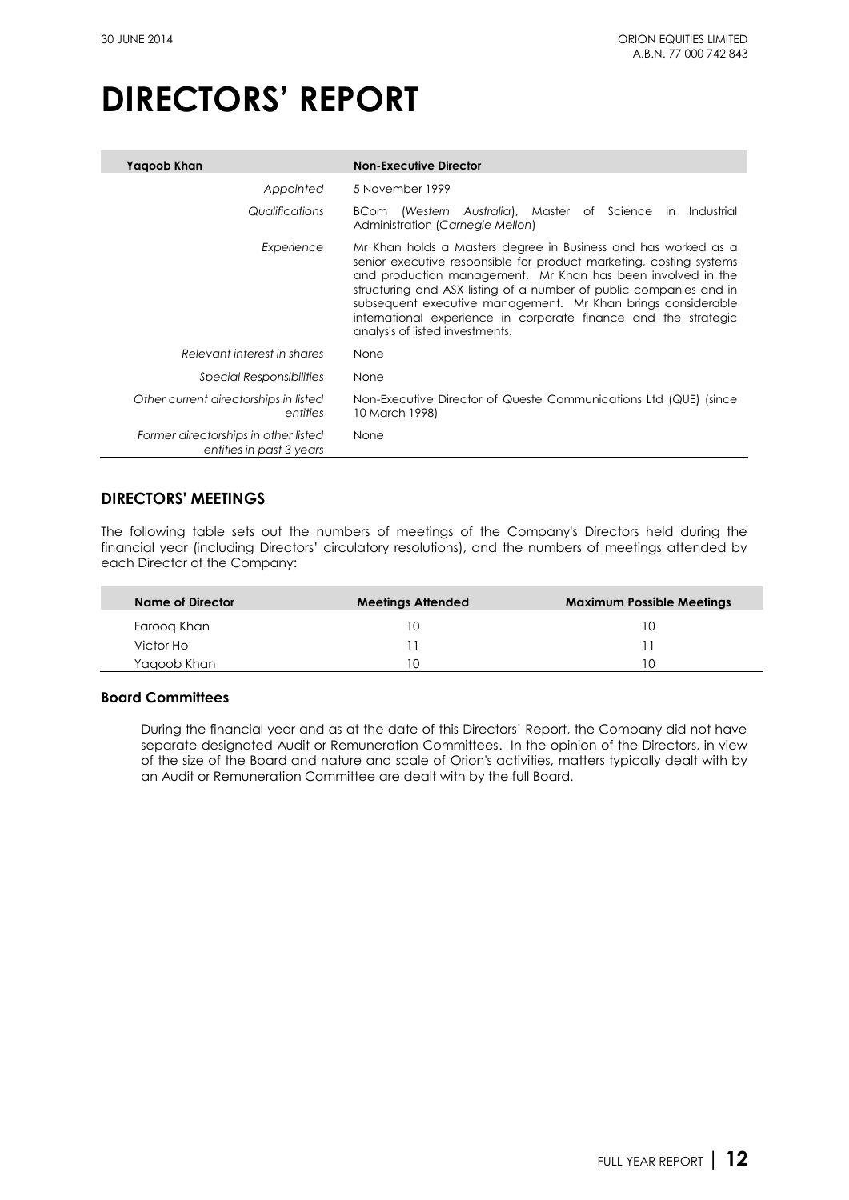| Yaqoob Khan                                                      | <b>Non-Executive Director</b>                                                                                                                                                                                                                                                                                                                                                                                                                    |  |  |
|------------------------------------------------------------------|--------------------------------------------------------------------------------------------------------------------------------------------------------------------------------------------------------------------------------------------------------------------------------------------------------------------------------------------------------------------------------------------------------------------------------------------------|--|--|
| Appointed                                                        | 5 November 1999                                                                                                                                                                                                                                                                                                                                                                                                                                  |  |  |
| Qualifications                                                   | (Western Australia), Master of Science in<br>BCom<br>Industrial<br>Administration (Carnegie Mellon)                                                                                                                                                                                                                                                                                                                                              |  |  |
| Experience                                                       | Mr Khan holds a Masters degree in Business and has worked as a<br>senior executive responsible for product marketing, costing systems<br>and production management. Mr Khan has been involved in the<br>structuring and ASX listing of a number of public companies and in<br>subsequent executive management. Mr Khan brings considerable<br>international experience in corporate finance and the strategic<br>analysis of listed investments. |  |  |
| Relevant interest in shares                                      | None                                                                                                                                                                                                                                                                                                                                                                                                                                             |  |  |
| Special Responsibilities                                         | None                                                                                                                                                                                                                                                                                                                                                                                                                                             |  |  |
| Other current directorships in listed<br>entities                | Non-Executive Director of Queste Communications Ltd (QUE) (since<br>10 March 1998)                                                                                                                                                                                                                                                                                                                                                               |  |  |
| Former directorships in other listed<br>entities in past 3 years | None                                                                                                                                                                                                                                                                                                                                                                                                                                             |  |  |

## **DIRECTORS' MEETINGS**

The following table sets out the numbers of meetings of the Company's Directors held during the financial year (including Directors' circulatory resolutions), and the numbers of meetings attended by each Director of the Company:

| Name of Director | <b>Meetings Attended</b> | <b>Maximum Possible Meetings</b> |
|------------------|--------------------------|----------------------------------|
| Faroog Khan      |                          | 10                               |
| Victor Ho        |                          |                                  |
| Yagoob Khan      |                          | 10                               |

## **Board Committees**

During the financial year and as at the date of this Directors' Report, the Company did not have separate designated Audit or Remuneration Committees. In the opinion of the Directors, in view of the size of the Board and nature and scale of Orion's activities, matters typically dealt with by an Audit or Remuneration Committee are dealt with by the full Board.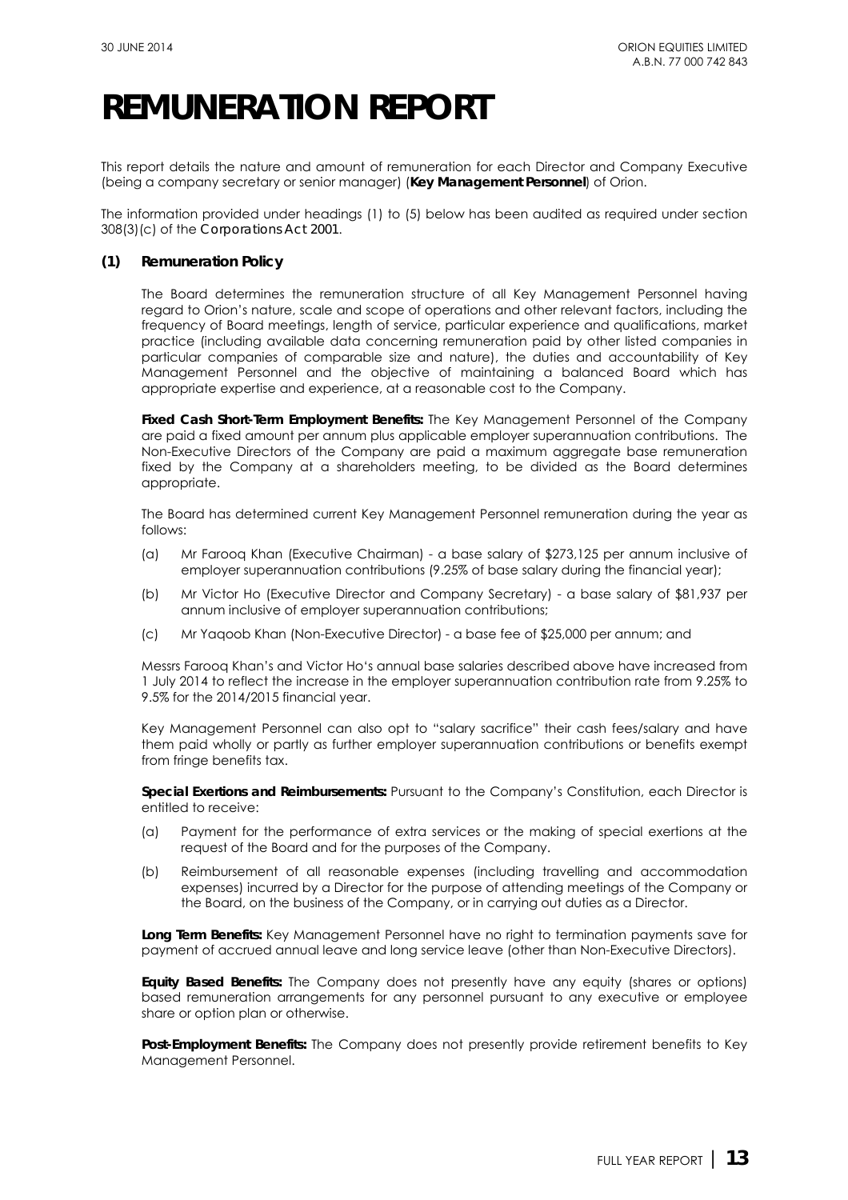## **REMUNERATION REPORT**

This report details the nature and amount of remuneration for each Director and Company Executive (being a company secretary or senior manager) (**Key Management Personnel**) of Orion.

The information provided under headings (1) to (5) below has been audited as required under section 308(3)(c) of the *Corporations Act 2001*.

### **(1) Remuneration Policy**

The Board determines the remuneration structure of all Key Management Personnel having regard to Orion's nature, scale and scope of operations and other relevant factors, including the frequency of Board meetings, length of service, particular experience and qualifications, market practice (including available data concerning remuneration paid by other listed companies in particular companies of comparable size and nature), the duties and accountability of Key Management Personnel and the objective of maintaining a balanced Board which has appropriate expertise and experience, at a reasonable cost to the Company.

**Fixed Cash Short-Term Employment Benefits:** The Key Management Personnel of the Company are paid a fixed amount per annum plus applicable employer superannuation contributions. The Non-Executive Directors of the Company are paid a maximum aggregate base remuneration fixed by the Company at a shareholders meeting, to be divided as the Board determines appropriate.

The Board has determined current Key Management Personnel remuneration during the year as follows:

- (a) Mr Farooq Khan (Executive Chairman) a base salary of \$273,125 per annum inclusive of employer superannuation contributions (9.25% of base salary during the financial year);
- (b) Mr Victor Ho (Executive Director and Company Secretary) a base salary of \$81,937 per annum inclusive of employer superannuation contributions;
- (c) Mr Yaqoob Khan (Non-Executive Director) a base fee of \$25,000 per annum; and

Messrs Farooq Khan's and Victor Ho's annual base salaries described above have increased from 1 July 2014 to reflect the increase in the employer superannuation contribution rate from 9.25% to 9.5% for the 2014/2015 financial year.

Key Management Personnel can also opt to "salary sacrifice" their cash fees/salary and have them paid wholly or partly as further employer superannuation contributions or benefits exempt from fringe benefits tax.

**Special Exertions and Reimbursements:** Pursuant to the Company's Constitution, each Director is entitled to receive:

- (a) Payment for the performance of extra services or the making of special exertions at the request of the Board and for the purposes of the Company.
- (b) Reimbursement of all reasonable expenses (including travelling and accommodation expenses) incurred by a Director for the purpose of attending meetings of the Company or the Board, on the business of the Company, or in carrying out duties as a Director.

**Long Term Benefits:** Key Management Personnel have no right to termination payments save for payment of accrued annual leave and long service leave (other than Non-Executive Directors).

**Equity Based Benefits:** The Company does not presently have any equity (shares or options) based remuneration arrangements for any personnel pursuant to any executive or employee share or option plan or otherwise.

**Post-Employment Benefits:** The Company does not presently provide retirement benefits to Key Management Personnel.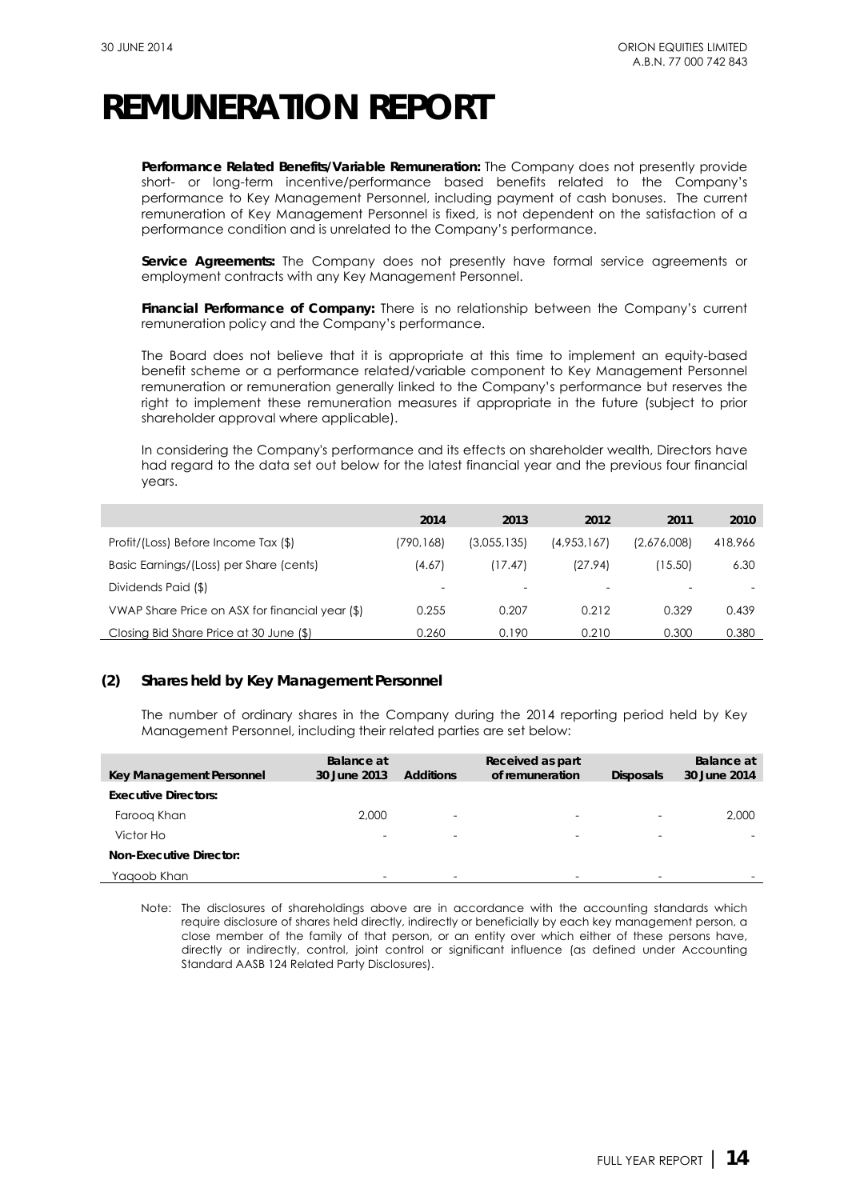## **REMUNERATION REPORT**

**Performance Related Benefits/Variable Remuneration:** The Company does not presently provide short- or long-term incentive/performance based benefits related to the Company's performance to Key Management Personnel, including payment of cash bonuses. The current remuneration of Key Management Personnel is fixed, is not dependent on the satisfaction of a performance condition and is unrelated to the Company's performance.

**Service Agreements:** The Company does not presently have formal service agreements or employment contracts with any Key Management Personnel.

**Financial Performance of Company:** There is no relationship between the Company's current remuneration policy and the Company's performance.

The Board does not believe that it is appropriate at this time to implement an equity-based benefit scheme or a performance related/variable component to Key Management Personnel remuneration or remuneration generally linked to the Company's performance but reserves the right to implement these remuneration measures if appropriate in the future (subject to prior shareholder approval where applicable).

In considering the Company's performance and its effects on shareholder wealth, Directors have had regard to the data set out below for the latest financial year and the previous four financial years.

|                                                 | 2014                     | 2013        | 2012        | 2011        | 2010    |
|-------------------------------------------------|--------------------------|-------------|-------------|-------------|---------|
| Profit/(Loss) Before Income Tax (\$)            | (790,168)                | (3,055,135) | (4,953,167) | (2,676,008) | 418,966 |
| Basic Earnings/(Loss) per Share (cents)         | (4.67)                   | (17.47)     | (27.94)     | (15.50)     | 6.30    |
| Dividends Paid (\$)                             | $\overline{\phantom{a}}$ |             | $\equiv$    |             |         |
| VWAP Share Price on ASX for financial year (\$) | 0.255                    | 0.207       | 0.212       | 0.329       | 0.439   |
| Closing Bid Share Price at 30 June (\$)         | 0.260                    | 0.190       | 0.210       | 0.300       | 0.380   |

## **(2) Shares held by Key Management Personnel**

The number of ordinary shares in the Company during the 2014 reporting period held by Key Management Personnel, including their related parties are set below:

| Key Management Personnel       | <b>Balance</b> at<br>30 June 2013 | <b>Additions</b>         | Received as part<br>of remuneration | <b>Disposals</b>         | <b>Balance</b> at<br>30 June 2014 |
|--------------------------------|-----------------------------------|--------------------------|-------------------------------------|--------------------------|-----------------------------------|
| <b>Executive Directors:</b>    |                                   |                          |                                     |                          |                                   |
| Faroog Khan                    | 2,000                             | $\overline{\phantom{0}}$ | $\blacksquare$                      | $\overline{\phantom{a}}$ | 2,000                             |
| Victor Ho                      |                                   | -                        | -                                   |                          |                                   |
| <b>Non-Executive Director:</b> |                                   |                          |                                     |                          |                                   |
| Yaqoob Khan                    | $\overline{\phantom{a}}$          | $\overline{\phantom{a}}$ | -                                   | $\overline{\phantom{a}}$ |                                   |

Note: The disclosures of shareholdings above are in accordance with the accounting standards which require disclosure of shares held directly, indirectly or beneficially by each key management person, a close member of the family of that person, or an entity over which either of these persons have, directly or indirectly, control, joint control or significant influence (as defined under Accounting Standard AASB 124 Related Party Disclosures).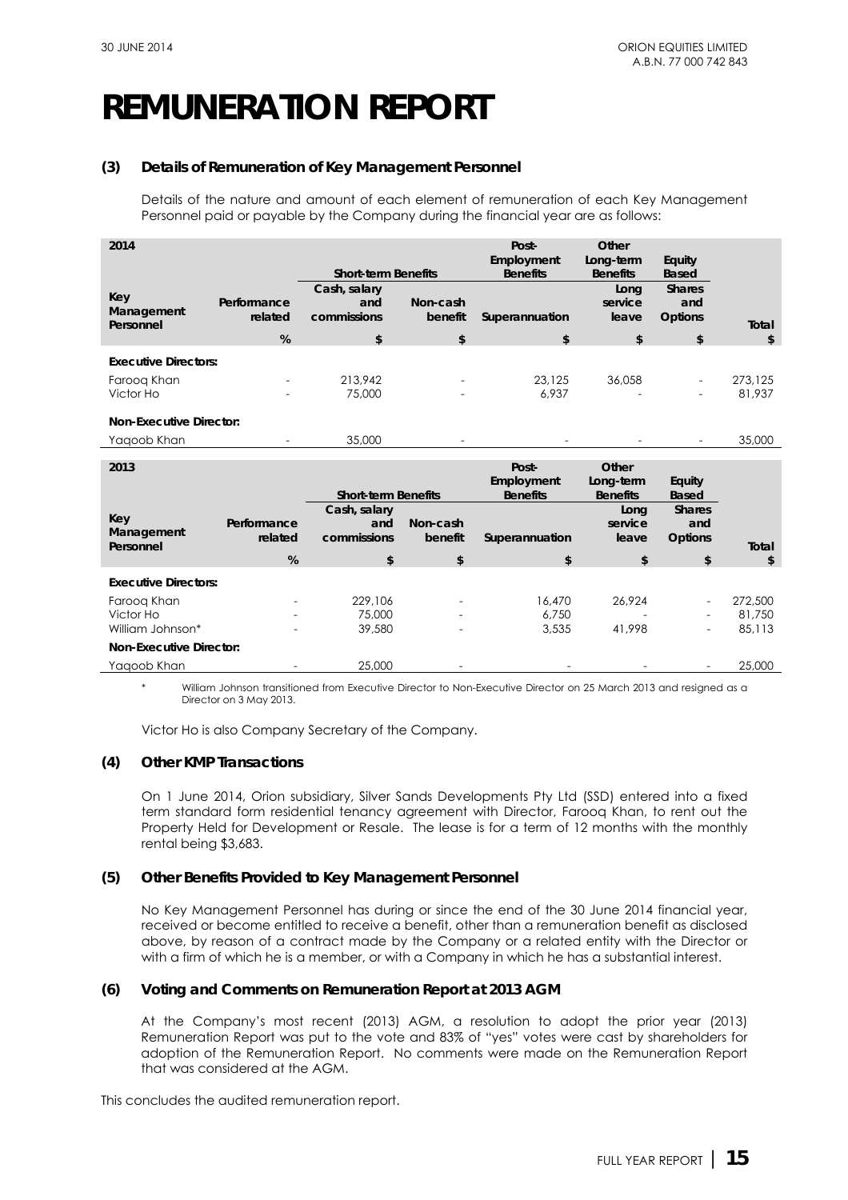## **REMUNERATION REPORT**

### **(3) Details of Remuneration of Key Management Personnel**

Details of the nature and amount of each element of remuneration of each Key Management Personnel paid or payable by the Company during the financial year are as follows:

| 2014<br>Key<br>Management<br>Personnel        | Performance<br>related<br>%                          | <b>Short-term Benefits</b><br>Cash, salary<br>and<br>commissions<br>\$ | Non-cash<br>benefit<br>\$ | Post-<br>Employment<br><b>Benefits</b><br>Superannuation<br>\$ | Other<br>Long-term<br><b>Benefits</b><br>Long<br>service<br>leave<br>\$ | Equity<br><b>Based</b><br><b>Shares</b><br>and<br>Options<br>\$ | Total<br>\$       |
|-----------------------------------------------|------------------------------------------------------|------------------------------------------------------------------------|---------------------------|----------------------------------------------------------------|-------------------------------------------------------------------------|-----------------------------------------------------------------|-------------------|
| <b>Executive Directors:</b>                   |                                                      |                                                                        |                           |                                                                |                                                                         |                                                                 |                   |
| Faroog Khan<br>Victor Ho                      | $\overline{\phantom{0}}$<br>$\overline{\phantom{a}}$ | 213,942<br>75,000                                                      |                           | 23,125<br>6.937                                                | 36,058<br>$\qquad \qquad$                                               | $\overline{\phantom{0}}$<br>$\blacksquare$                      | 273.125<br>81,937 |
| <b>Non-Executive Director:</b><br>Yagoob Khan |                                                      | 35,000                                                                 |                           |                                                                |                                                                         |                                                                 | 35,000            |

| 2013<br>Key<br>Management<br>Personnel | Performance<br>related   | <b>Short-term Benefits</b><br>Cash, salary<br>and<br>commissions | Non-cash<br>benefit      | Post-<br>Employment<br><b>Benefits</b><br>Superannuation | Other<br>Long-term<br><b>Benefits</b><br>Lona<br>service<br>leave | Equity<br><b>Based</b><br><b>Shares</b><br>and<br><b>Options</b> | Total   |
|----------------------------------------|--------------------------|------------------------------------------------------------------|--------------------------|----------------------------------------------------------|-------------------------------------------------------------------|------------------------------------------------------------------|---------|
|                                        | %                        | \$                                                               | \$                       | \$                                                       | \$                                                                | \$                                                               | \$      |
| <b>Executive Directors:</b>            |                          |                                                                  |                          |                                                          |                                                                   |                                                                  |         |
| Faroog Khan                            |                          | 229,106                                                          | $\overline{\phantom{0}}$ | 16,470                                                   | 26.924                                                            | $\overline{\phantom{0}}$                                         | 272,500 |
| Victor Ho                              | $\overline{\phantom{0}}$ | 75,000                                                           | $\overline{\phantom{0}}$ | 6.750                                                    |                                                                   | $\overline{\phantom{0}}$                                         | 81,750  |
| William Johnson*                       |                          | 39,580                                                           |                          | 3.535                                                    | 41.998                                                            | $\overline{\phantom{0}}$                                         | 85,113  |
| <b>Non-Executive Director:</b>         |                          |                                                                  |                          |                                                          |                                                                   |                                                                  |         |
| Yaqoob Khan                            |                          | 25,000                                                           | $\overline{\phantom{0}}$ |                                                          |                                                                   |                                                                  | 25,000  |

William Johnson transitioned from Executive Director to Non-Executive Director on 25 March 2013 and resigned as a Director on 3 May 2013.

Victor Ho is also Company Secretary of the Company.

### **(4) Other KMP Transactions**

On 1 June 2014, Orion subsidiary, Silver Sands Developments Pty Ltd (SSD) entered into a fixed term standard form residential tenancy agreement with Director, Farooq Khan, to rent out the Property Held for Development or Resale. The lease is for a term of 12 months with the monthly rental being \$3,683.

### **(5) Other Benefits Provided to Key Management Personnel**

No Key Management Personnel has during or since the end of the 30 June 2014 financial year, received or become entitled to receive a benefit, other than a remuneration benefit as disclosed above, by reason of a contract made by the Company or a related entity with the Director or with a firm of which he is a member, or with a Company in which he has a substantial interest.

### **(6) Voting and Comments on Remuneration Report at 2013 AGM**

At the Company's most recent (2013) AGM, a resolution to adopt the prior year (2013) Remuneration Report was put to the vote and 83% of "yes" votes were cast by shareholders for adoption of the Remuneration Report. No comments were made on the Remuneration Report that was considered at the AGM.

This concludes the audited remuneration report.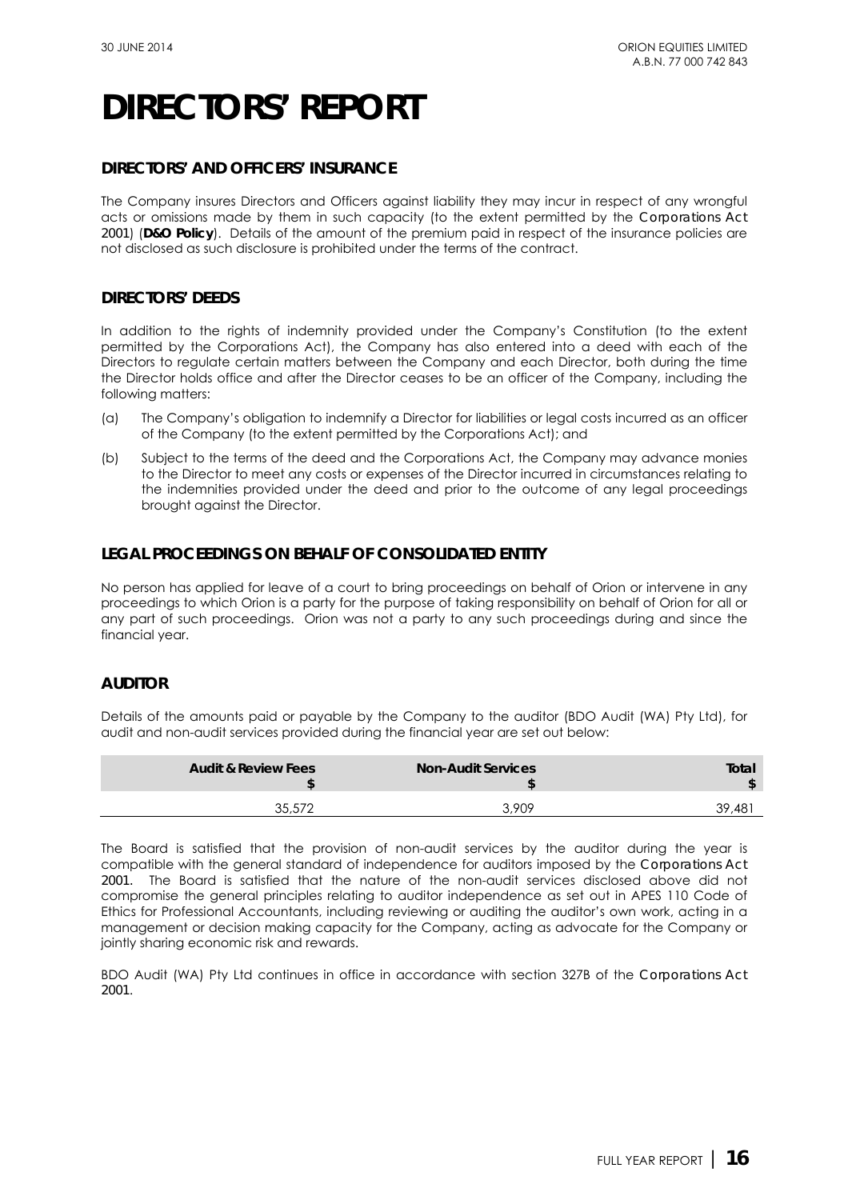## **DIRECTORS' AND OFFICERS' INSURANCE**

The Company insures Directors and Officers against liability they may incur in respect of any wrongful acts or omissions made by them in such capacity (to the extent permitted by the *Corporations Act 2001*) (**D&O Policy**). Details of the amount of the premium paid in respect of the insurance policies are not disclosed as such disclosure is prohibited under the terms of the contract.

## **DIRECTORS' DEEDS**

In addition to the rights of indemnity provided under the Company's Constitution (to the extent permitted by the Corporations Act), the Company has also entered into a deed with each of the Directors to regulate certain matters between the Company and each Director, both during the time the Director holds office and after the Director ceases to be an officer of the Company, including the following matters:

- (a) The Company's obligation to indemnify a Director for liabilities or legal costs incurred as an officer of the Company (to the extent permitted by the Corporations Act); and
- (b) Subject to the terms of the deed and the Corporations Act, the Company may advance monies to the Director to meet any costs or expenses of the Director incurred in circumstances relating to the indemnities provided under the deed and prior to the outcome of any legal proceedings brought against the Director.

## **LEGAL PROCEEDINGS ON BEHALF OF CONSOLIDATED ENTITY**

No person has applied for leave of a court to bring proceedings on behalf of Orion or intervene in any proceedings to which Orion is a party for the purpose of taking responsibility on behalf of Orion for all or any part of such proceedings. Orion was not a party to any such proceedings during and since the financial year.

## **AUDITOR**

Details of the amounts paid or payable by the Company to the auditor (BDO Audit (WA) Pty Ltd), for audit and non-audit services provided during the financial year are set out below:

| <b>Audit &amp; Review Fees</b> | <b>Non-Audit Services</b> | Total |
|--------------------------------|---------------------------|-------|
| 35,572                         | s dUd                     | 39,48 |

The Board is satisfied that the provision of non-audit services by the auditor during the year is compatible with the general standard of independence for auditors imposed by the *Corporations Act 2001.* The Board is satisfied that the nature of the non-audit services disclosed above did not compromise the general principles relating to auditor independence as set out in APES 110 Code of Ethics for Professional Accountants, including reviewing or auditing the auditor's own work, acting in a management or decision making capacity for the Company, acting as advocate for the Company or jointly sharing economic risk and rewards.

BDO Audit (WA) Pty Ltd continues in office in accordance with section 327B of the *Corporations Act 2001*.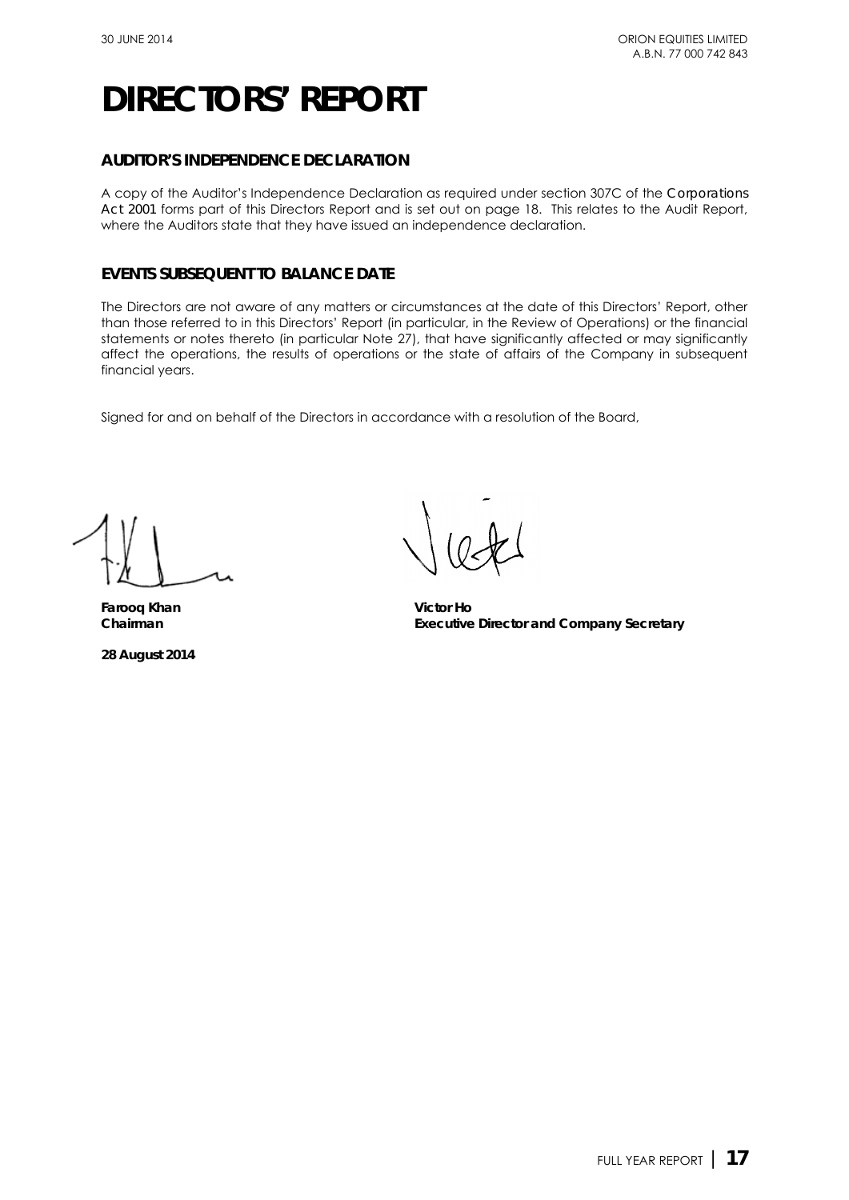## **AUDITOR'S INDEPENDENCE DECLARATION**

A copy of the Auditor's Independence Declaration as required under section 307C of the *Corporations Act 2001* forms part of this Directors Report and is set out on page 18. This relates to the Audit Report, where the Auditors state that they have issued an independence declaration.

## **EVENTS SUBSEQUENT TO BALANCE DATE**

The Directors are not aware of any matters or circumstances at the date of this Directors' Report, other than those referred to in this Directors' Report (in particular, in the Review of Operations) or the financial statements or notes thereto (in particular Note 27), that have significantly affected or may significantly affect the operations, the results of operations or the state of affairs of the Company in subsequent financial years.

Signed for and on behalf of the Directors in accordance with a resolution of the Board,

**Farooq Khan Victor Ho**

**28 August 2014** 

**Chairman Executive Director and Company Secretary**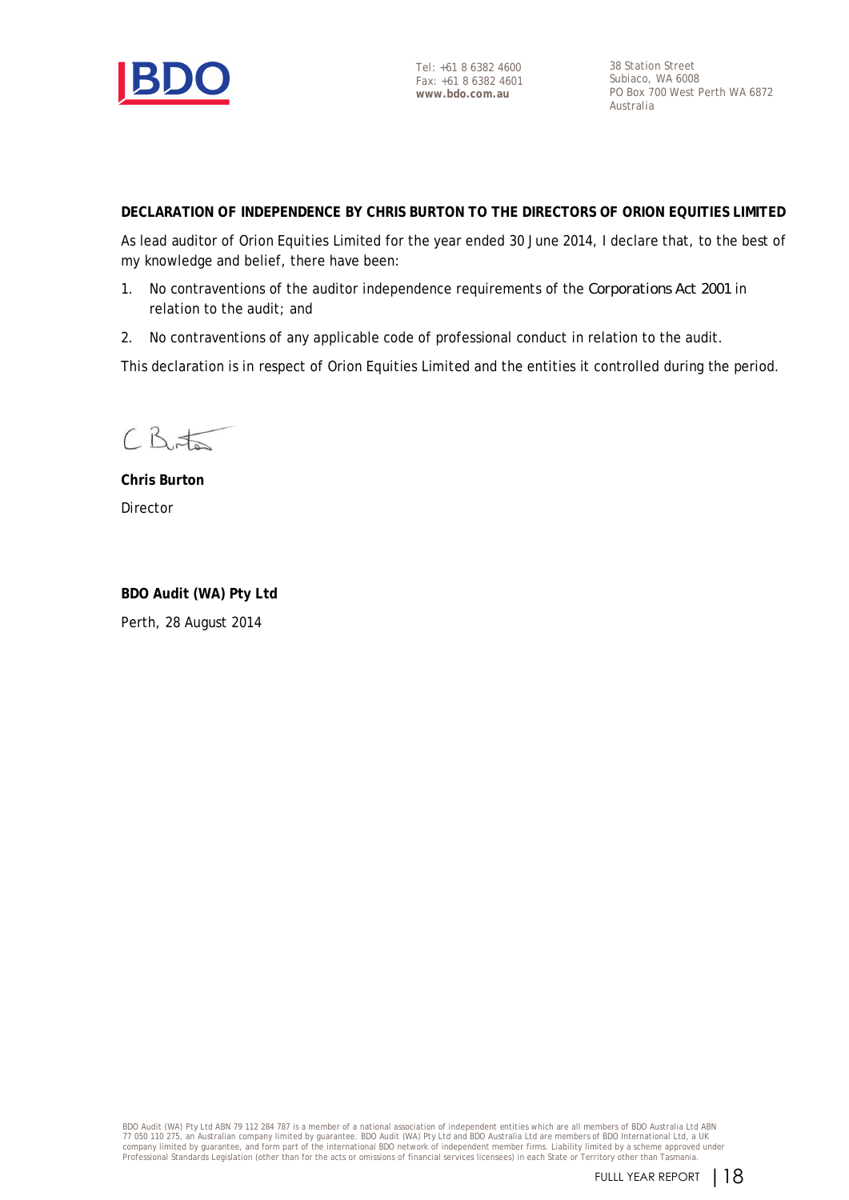

Tel: +61 8 6382 4600 Fax: +61 8 6382 4601 **www.bdo.com.au**

38 Station Street Subiaco, WA 6008 PO Box 700 West Perth WA 6872 Australia

**DECLARATION OF INDEPENDENCE BY CHRIS BURTON TO THE DIRECTORS OF ORION EQUITIES LIMITED**

As lead auditor of Orion Equities Limited for the year ended 30 June 2014, I declare that, to the best of my knowledge and belief, there have been:

- 1. No contraventions of the auditor independence requirements of the *Corporations Act 2001* in relation to the audit; and
- 2. No contraventions of any applicable code of professional conduct in relation to the audit.

This declaration is in respect of Orion Equities Limited and the entities it controlled during the period.

 $CB$ 

**Chris Burton** Director

**BDO Audit (WA) Pty Ltd** Perth, 28 August 2014

BDO Audit (WA) Pty Ltd ABN 79 112 284 787 is a member of a national association of independent entities which are all members of BDO Australia Ltd ABN<br>77 050 110 275, an Australian company limited by guarantee. BDO Audit ( Professional Standards Legislation (other than for the acts or omissions of financial services licensees) in each State or Territory other than Tasmania.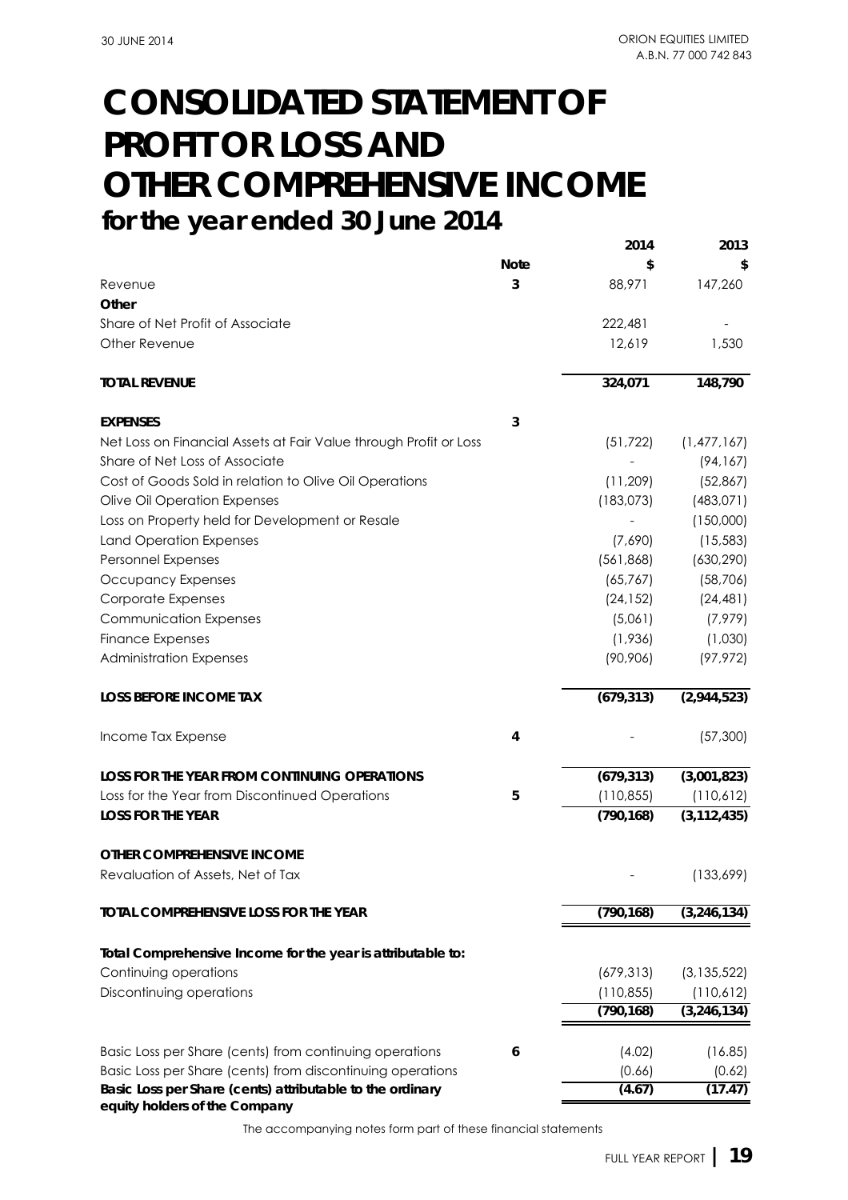**2014 2013**

## **CONSOLIDATED STATEMENT OF PROFIT OR LOSS AND OTHER COMPREHENSIVE INCOME for the year ended 30 June 2014**

|                                                                   |             | 20 I 4     | נו ט∡         |
|-------------------------------------------------------------------|-------------|------------|---------------|
|                                                                   | <b>Note</b> | \$         | S             |
| Revenue                                                           | 3           | 88,971     | 147,260       |
| Other                                                             |             |            |               |
| Share of Net Profit of Associate                                  |             | 222,481    |               |
| Other Revenue                                                     |             | 12,619     | 1,530         |
| <b>TOTAL REVENUE</b>                                              |             | 324,071    | 148,790       |
| <b>EXPENSES</b>                                                   | 3           |            |               |
| Net Loss on Financial Assets at Fair Value through Profit or Loss |             | (51, 722)  | (1,477,167)   |
| Share of Net Loss of Associate                                    |             |            | (94, 167)     |
| Cost of Goods Sold in relation to Olive Oil Operations            |             | (11, 209)  | (52, 867)     |
| Olive Oil Operation Expenses                                      |             | (183, 073) | (483,071)     |
| Loss on Property held for Development or Resale                   |             |            | (150,000)     |
| <b>Land Operation Expenses</b>                                    |             | (7,690)    | (15, 583)     |
| <b>Personnel Expenses</b>                                         |             | (561, 868) | (630, 290)    |
| Occupancy Expenses                                                |             | (65, 767)  | (58, 706)     |
| <b>Corporate Expenses</b>                                         |             | (24, 152)  | (24, 481)     |
| <b>Communication Expenses</b>                                     |             | (5,061)    | (7, 979)      |
| <b>Finance Expenses</b>                                           |             | (1,936)    | (1,030)       |
| <b>Administration Expenses</b>                                    |             | (90, 906)  | (97, 972)     |
| <b>LOSS BEFORE INCOME TAX</b>                                     |             | (679, 313) | (2,944,523)   |
| Income Tax Expense                                                | 4           |            | (57, 300)     |
| <b>LOSS FOR THE YEAR FROM CONTINUING OPERATIONS</b>               |             | (679, 313) | (3,001,823)   |
| Loss for the Year from Discontinued Operations                    | 5           | (110, 855) | (110,612)     |
| <b>LOSS FOR THE YEAR</b>                                          |             | (790, 168) | (3, 112, 435) |
| OTHER COMPREHENSIVE INCOME                                        |             |            |               |
| Revaluation of Assets, Net of Tax                                 |             |            | (133,699)     |
| TOTAL COMPREHENSIVE LOSS FOR THE YEAR                             |             | (790, 168) | (3, 246, 134) |
|                                                                   |             |            |               |
| Total Comprehensive Income for the year is attributable to:       |             |            |               |
| Continuing operations                                             |             | (679, 313) | (3, 135, 522) |
| Discontinuing operations                                          |             | (110, 855) | (110,612)     |
|                                                                   |             | (790, 168) | (3, 246, 134) |
| Basic Loss per Share (cents) from continuing operations           | 6           | (4.02)     | (16.85)       |
| Basic Loss per Share (cents) from discontinuing operations        |             | (0.66)     | (0.62)        |
| Basic Loss per Share (cents) attributable to the ordinary         |             | (4.67)     | (17.47)       |
| equity holders of the Company                                     |             |            |               |

The accompanying notes form part of these financial statements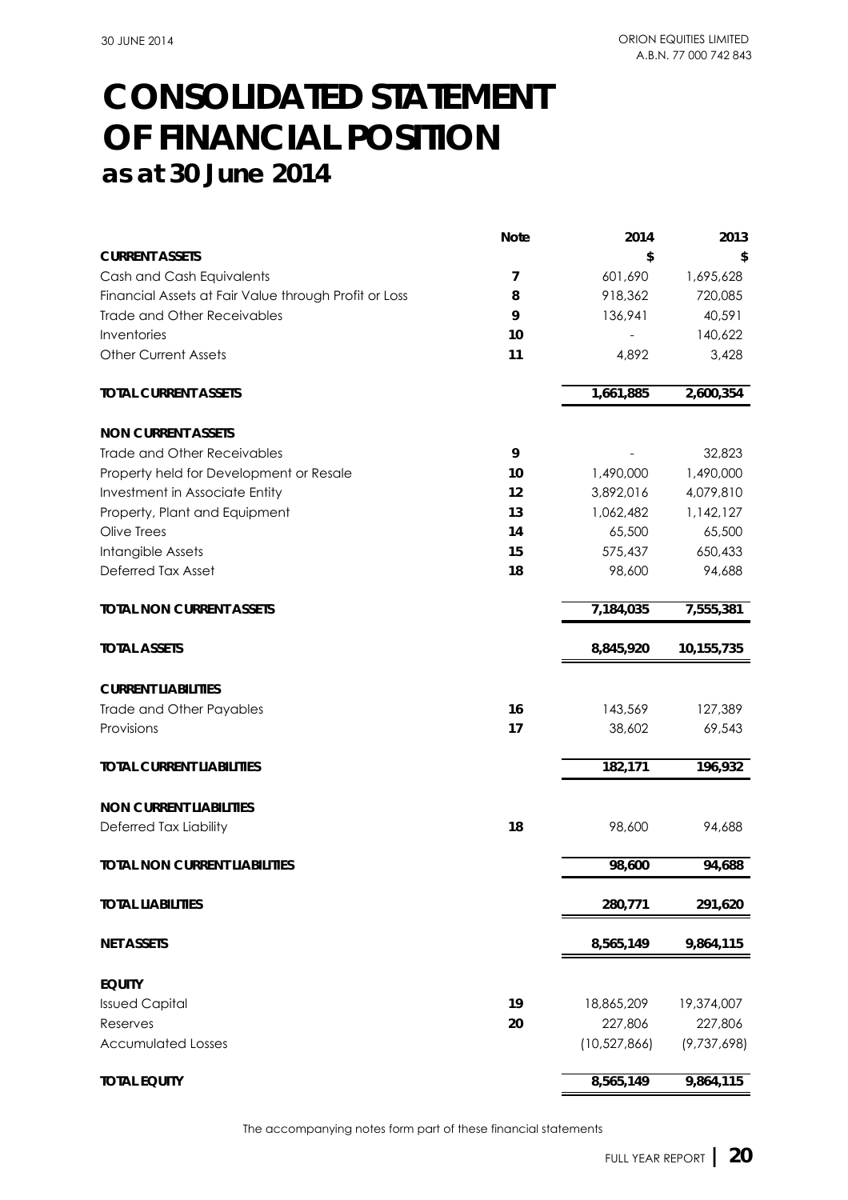## **CONSOLIDATED STATEMENT as at 30 June 2014 OF FINANCIAL POSITION**

|                                                       | <b>Note</b>    | 2014                      | 2013                   |
|-------------------------------------------------------|----------------|---------------------------|------------------------|
| <b>CURRENT ASSETS</b>                                 |                | \$                        | \$                     |
| Cash and Cash Equivalents                             | $\overline{7}$ | 601,690                   | 1,695,628              |
| Financial Assets at Fair Value through Profit or Loss | 8              | 918,362                   | 720,085                |
| <b>Trade and Other Receivables</b>                    | 9              | 136,941                   | 40,591                 |
| Inventories                                           | 10             |                           | 140,622                |
| <b>Other Current Assets</b>                           | 11             | 4,892                     | 3,428                  |
| <b>TOTAL CURRENT ASSETS</b>                           |                | 1,661,885                 | 2,600,354              |
| <b>NON CURRENT ASSETS</b>                             |                |                           |                        |
| <b>Trade and Other Receivables</b>                    | 9              |                           | 32,823                 |
| Property held for Development or Resale               | 10             | 1,490,000                 | 1,490,000              |
| Investment in Associate Entity                        | 12             | 3,892,016                 | 4,079,810              |
| Property, Plant and Equipment                         | 13             | 1,062,482                 | 1,142,127              |
| Olive Trees                                           | 14             | 65,500                    | 65,500                 |
| Intangible Assets                                     | 15             | 575,437                   | 650,433                |
| Deferred Tax Asset                                    | 18             | 98,600                    | 94,688                 |
| <b>TOTAL NON CURRENT ASSETS</b>                       |                | 7,184,035                 | 7,555,381              |
| <b>TOTAL ASSETS</b>                                   |                | 8,845,920                 | 10,155,735             |
| <b>CURRENT LIABILITIES</b>                            |                |                           |                        |
| Trade and Other Payables                              | 16             | 143,569                   | 127,389                |
| Provisions                                            | 17             | 38,602                    | 69,543                 |
| <b>TOTAL CURRENT LIABILITIES</b>                      |                | 182,171                   | 196,932                |
| <b>NON CURRENT LIABILITIES</b>                        |                |                           |                        |
| Deferred Tax Liability                                | 18             | 98,600                    | 94,688                 |
| <b>TOTAL NON CURRENT LIABILITIES</b>                  |                | 98,600                    | 94,688                 |
| <b>TOTAL LIABILITIES</b>                              |                | 280,771                   | 291,620                |
| <b>NET ASSETS</b>                                     |                | 8,565,149                 | 9,864,115              |
|                                                       |                |                           |                        |
| <b>EQUITY</b>                                         |                |                           |                        |
| <b>Issued Capital</b>                                 | 19             | 18,865,209                | 19,374,007             |
| Reserves<br><b>Accumulated Losses</b>                 | 20             | 227,806<br>(10, 527, 866) | 227,806<br>(9,737,698) |
| <b>TOTAL EQUITY</b>                                   |                | 8,565,149                 | 9,864,115              |
|                                                       |                |                           |                        |

The accompanying notes form part of these financial statements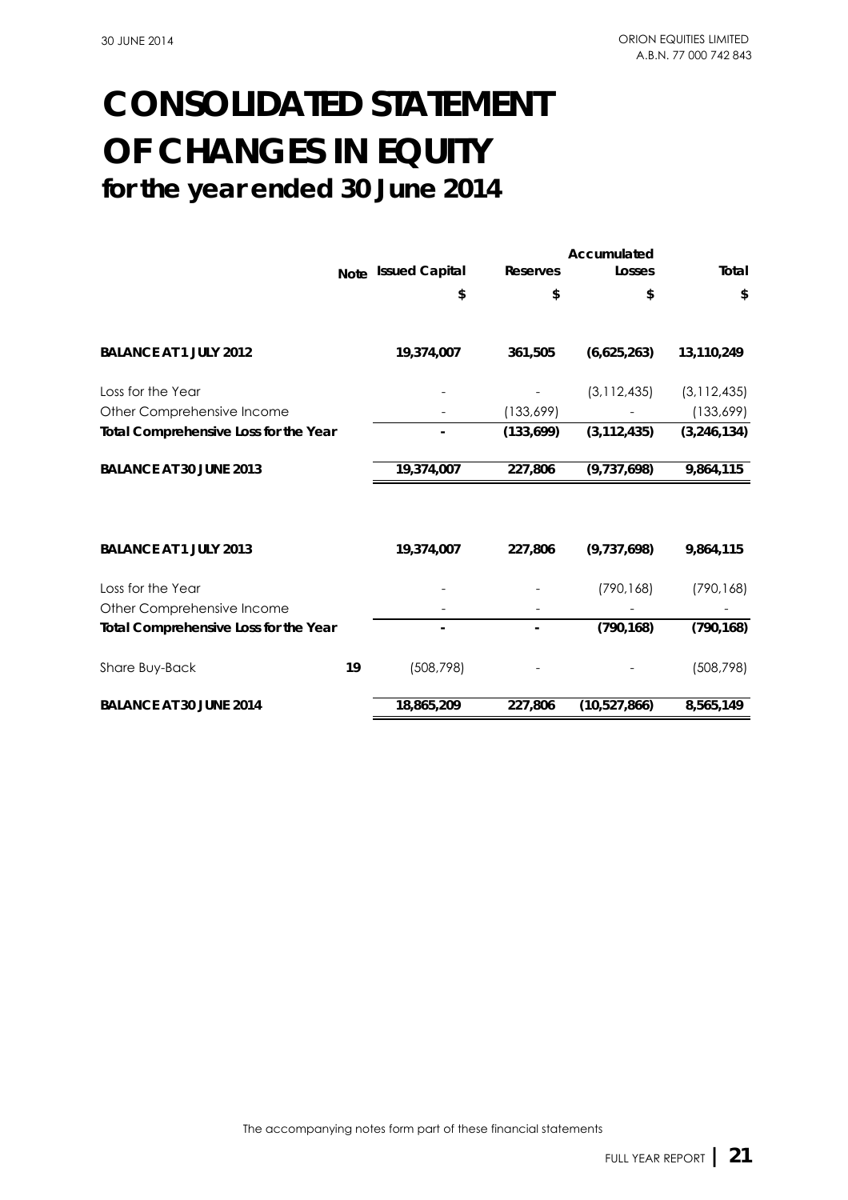## **for the year ended 30 June 2014 CONSOLIDATED STATEMENT OF CHANGES IN EQUITY**

|                                       |    |                     |                 | Accumulated   |               |
|---------------------------------------|----|---------------------|-----------------|---------------|---------------|
|                                       |    | Note Issued Capital | <b>Reserves</b> | Losses        | Total         |
|                                       |    | \$                  | \$              | \$            | \$            |
| <b>BALANCE AT 1 JULY 2012</b>         |    | 19,374,007          | 361,505         | (6,625,263)   | 13,110,249    |
| Loss for the Year                     |    |                     |                 | (3, 112, 435) | (3, 112, 435) |
| Other Comprehensive Income            |    |                     | (133,699)       |               | (133,699)     |
| Total Comprehensive Loss for the Year |    |                     | (133, 699)      | (3, 112, 435) | (3, 246, 134) |
| <b>BALANCE AT 30 JUNE 2013</b>        |    | 19,374,007          | 227,806         | (9, 737, 698) | 9,864,115     |
|                                       |    |                     |                 |               |               |
| <b>BALANCE AT 1 JULY 2013</b>         |    | 19,374,007          | 227,806         | (9, 737, 698) | 9,864,115     |
| Loss for the Year                     |    |                     |                 | (790, 168)    | (790, 168)    |
| Other Comprehensive Income            |    |                     |                 |               |               |
| Total Comprehensive Loss for the Year |    |                     |                 | (790, 168)    | (790, 168)    |
| Share Buy-Back                        | 19 | (508, 798)          |                 |               | (508, 798)    |
| <b>BALANCE AT 30 JUNE 2014</b>        |    | 18,865,209          | 227,806         | (10,527,866)  | 8,565,149     |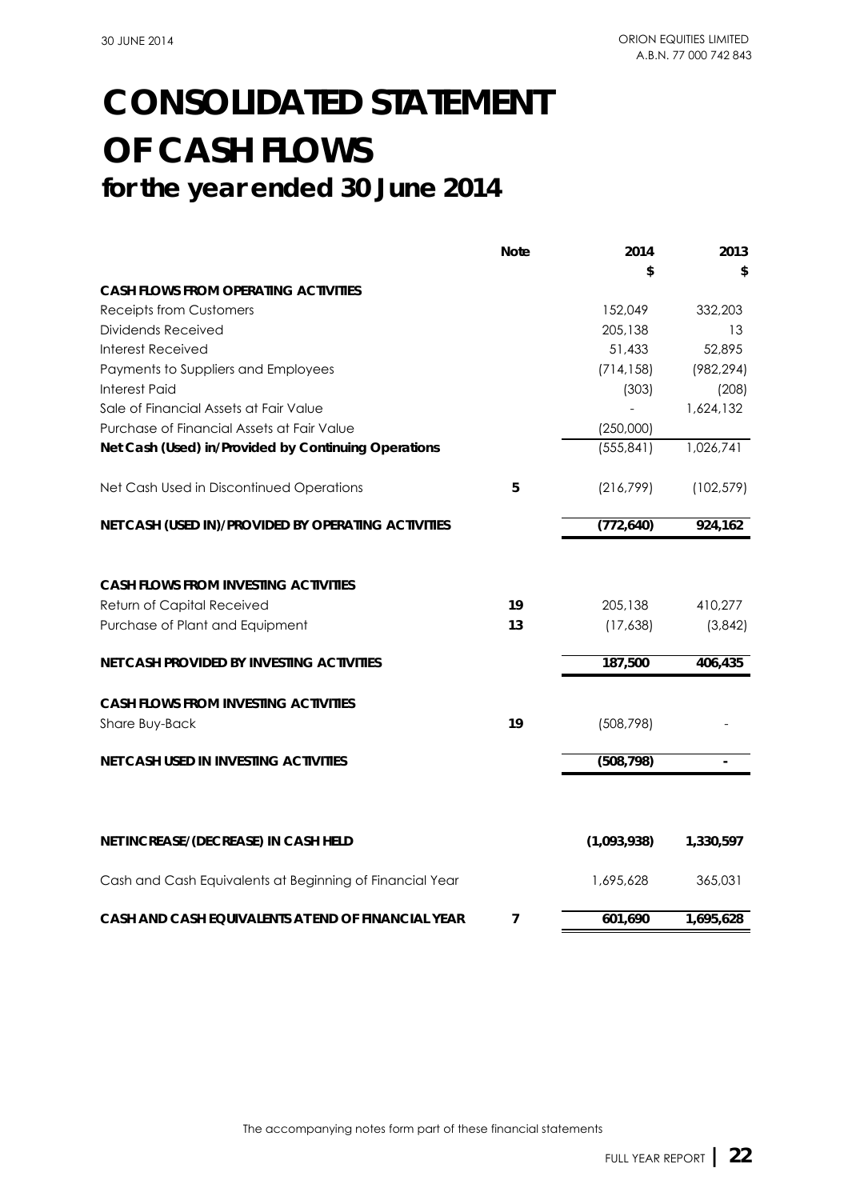## **CONSOLIDATED STATEMENT OF CASH FLOWS for the year ended 30 June 2014**

|                                                          | <b>Note</b> | 2014        | 2013       |
|----------------------------------------------------------|-------------|-------------|------------|
|                                                          |             | \$          |            |
| <b>CASH FLOWS FROM OPERATING ACTIVITIES</b>              |             |             |            |
| <b>Receipts from Customers</b>                           |             | 152,049     | 332,203    |
| Dividends Received                                       |             | 205,138     | 13         |
| <b>Interest Received</b>                                 |             | 51,433      | 52,895     |
| Payments to Suppliers and Employees                      |             | (714, 158)  | (982, 294) |
| Interest Paid                                            |             | (303)       | (208)      |
| Sale of Financial Assets at Fair Value                   |             |             | 1,624,132  |
| Purchase of Financial Assets at Fair Value               |             | (250,000)   |            |
| Net Cash (Used) in/Provided by Continuing Operations     |             | (555, 841)  | 1,026,741  |
| Net Cash Used in Discontinued Operations                 | 5           | (216, 799)  | (102, 579) |
| NET CASH (USED IN)/PROVIDED BY OPERATING ACTIVITIES      |             | (772, 640)  | 924,162    |
| <b>CASH FLOWS FROM INVESTING ACTIVITIES</b>              |             |             |            |
| Return of Capital Received                               | 19          | 205,138     | 410,277    |
| Purchase of Plant and Equipment                          | 13          | (17,638)    | (3,842)    |
| NET CASH PROVIDED BY INVESTING ACTIVITIES                |             | 187,500     | 406,435    |
| <b>CASH FLOWS FROM INVESTING ACTIVITIES</b>              |             |             |            |
| Share Buy-Back                                           | 19          | (508, 798)  |            |
| NET CASH USED IN INVESTING ACTIVITIES                    |             | (508, 798)  |            |
|                                                          |             |             |            |
| NET INCREASE/(DECREASE) IN CASH HELD                     |             | (1,093,938) | 1,330,597  |
| Cash and Cash Equivalents at Beginning of Financial Year |             | 1,695,628   | 365,031    |
| CASH AND CASH EQUIVALENTS AT END OF FINANCIAL YEAR       | 7           | 601,690     | 1,695,628  |

The accompanying notes form part of these financial statements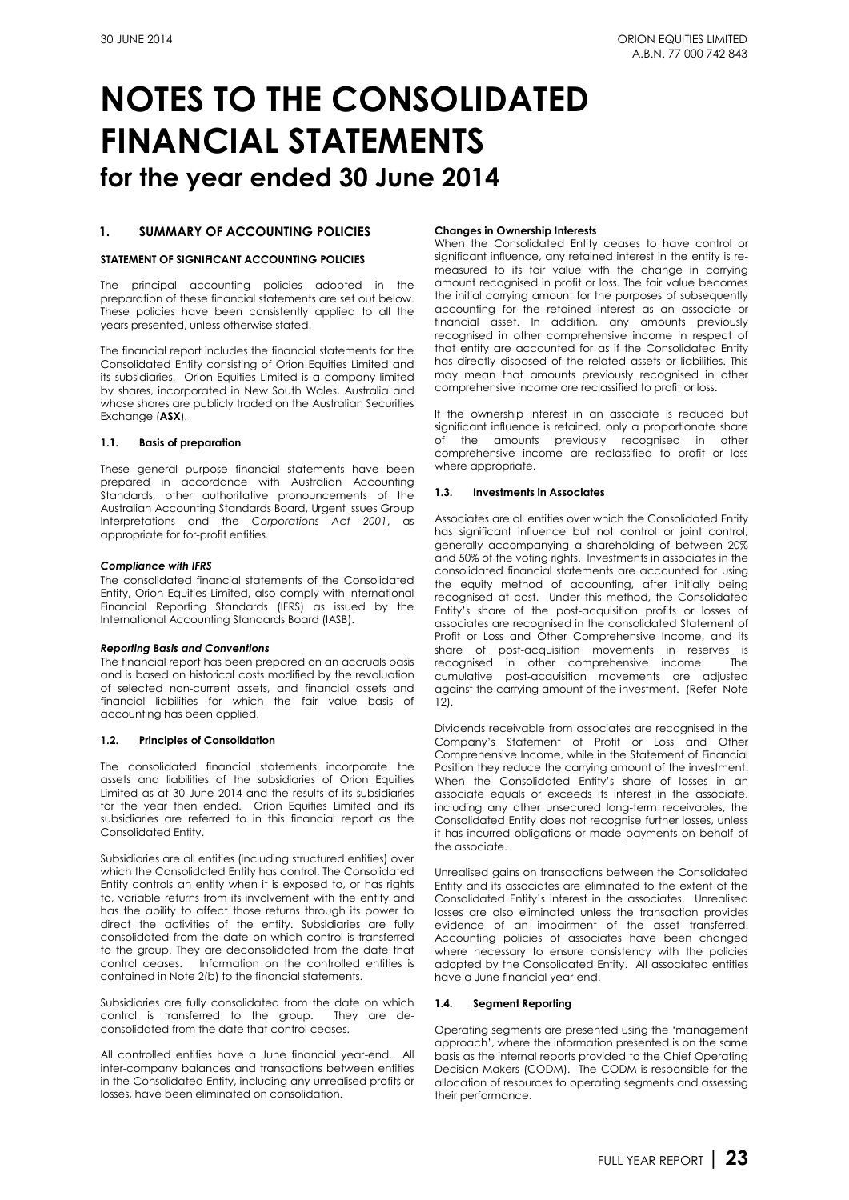### **1. SUMMARY OF ACCOUNTING POLICIES**

#### **STATEMENT OF SIGNIFICANT ACCOUNTING POLICIES**

The principal accounting policies adopted in the preparation of these financial statements are set out below. These policies have been consistently applied to all the years presented, unless otherwise stated.

The financial report includes the financial statements for the Consolidated Entity consisting of Orion Equities Limited and its subsidiaries. Orion Equities Limited is a company limited by shares, incorporated in New South Wales, Australia and whose shares are publicly traded on the Australian Securities Exchange (**ASX**).

#### **1.1. Basis of preparation**

These general purpose financial statements have been prepared in accordance with Australian Accounting Standards, other authoritative pronouncements of the Australian Accounting Standards Board, Urgent Issues Group Interpretations and the *Corporations Act 2001*, as appropriate for for-profit entities*.*

### *Compliance with IFRS*

The consolidated financial statements of the Consolidated Entity, Orion Equities Limited, also comply with International Financial Reporting Standards (IFRS) as issued by the International Accounting Standards Board (IASB).

#### *Reporting Basis and Conventions*

The financial report has been prepared on an accruals basis and is based on historical costs modified by the revaluation of selected non-current assets, and financial assets and financial liabilities for which the fair value basis of accounting has been applied.

#### **1.2. Principles of Consolidation**

The consolidated financial statements incorporate the assets and liabilities of the subsidiaries of Orion Equities Limited as at 30 June 2014 and the results of its subsidiaries for the year then ended. Orion Equities Limited and its subsidiaries are referred to in this financial report as the Consolidated Entity.

Subsidiaries are all entities (including structured entities) over which the Consolidated Entity has control. The Consolidated Entity controls an entity when it is exposed to, or has rights to, variable returns from its involvement with the entity and has the ability to affect those returns through its power to direct the activities of the entity. Subsidiaries are fully consolidated from the date on which control is transferred to the group. They are deconsolidated from the date that control ceases. Information on the controlled entities is contained in Note 2(b) to the financial statements.

Subsidiaries are fully consolidated from the date on which control is transferred to the group. They are deconsolidated from the date that control ceases.

All controlled entities have a June financial year-end. All inter-company balances and transactions between entities in the Consolidated Entity, including any unrealised profits or losses, have been eliminated on consolidation.

#### **Changes in Ownership Interests**

When the Consolidated Entity ceases to have control or significant influence, any retained interest in the entity is remeasured to its fair value with the change in carrying amount recognised in profit or loss. The fair value becomes the initial carrying amount for the purposes of subsequently accounting for the retained interest as an associate or financial asset. In addition, any amounts previously recognised in other comprehensive income in respect of that entity are accounted for as if the Consolidated Entity has directly disposed of the related assets or liabilities. This may mean that amounts previously recognised in other comprehensive income are reclassified to profit or loss.

If the ownership interest in an associate is reduced but significant influence is retained, only a proportionate share of the amounts previously recognised in other comprehensive income are reclassified to profit or loss where appropriate.

#### **1.3. Investments in Associates**

Associates are all entities over which the Consolidated Entity has significant influence but not control or joint control, generally accompanying a shareholding of between 20% and 50% of the voting rights. Investments in associates in the consolidated financial statements are accounted for using the equity method of accounting, after initially being recognised at cost. Under this method, the Consolidated Entity's share of the post-acquisition profits or losses of associates are recognised in the consolidated Statement of Profit or Loss and Other Comprehensive Income, and its share of post-acquisition movements in reserves is recognised in other comprehensive income. The cumulative post-acquisition movements are adjusted against the carrying amount of the investment. (Refer Note 12).

Dividends receivable from associates are recognised in the Company's Statement of Profit or Loss and Other Comprehensive Income, while in the Statement of Financial Position they reduce the carrying amount of the investment. When the Consolidated Entity's share of losses in an associate equals or exceeds its interest in the associate, including any other unsecured long-term receivables, the Consolidated Entity does not recognise further losses, unless it has incurred obligations or made payments on behalf of the associate.

Unrealised gains on transactions between the Consolidated Entity and its associates are eliminated to the extent of the Consolidated Entity's interest in the associates. Unrealised losses are also eliminated unless the transaction provides evidence of an impairment of the asset transferred. Accounting policies of associates have been changed where necessary to ensure consistency with the policies adopted by the Consolidated Entity. All associated entities have a June financial year-end.

#### **1.4. Segment Reporting**

Operating segments are presented using the 'management approach', where the information presented is on the same basis as the internal reports provided to the Chief Operating Decision Makers (CODM). The CODM is responsible for the allocation of resources to operating segments and assessing their performance.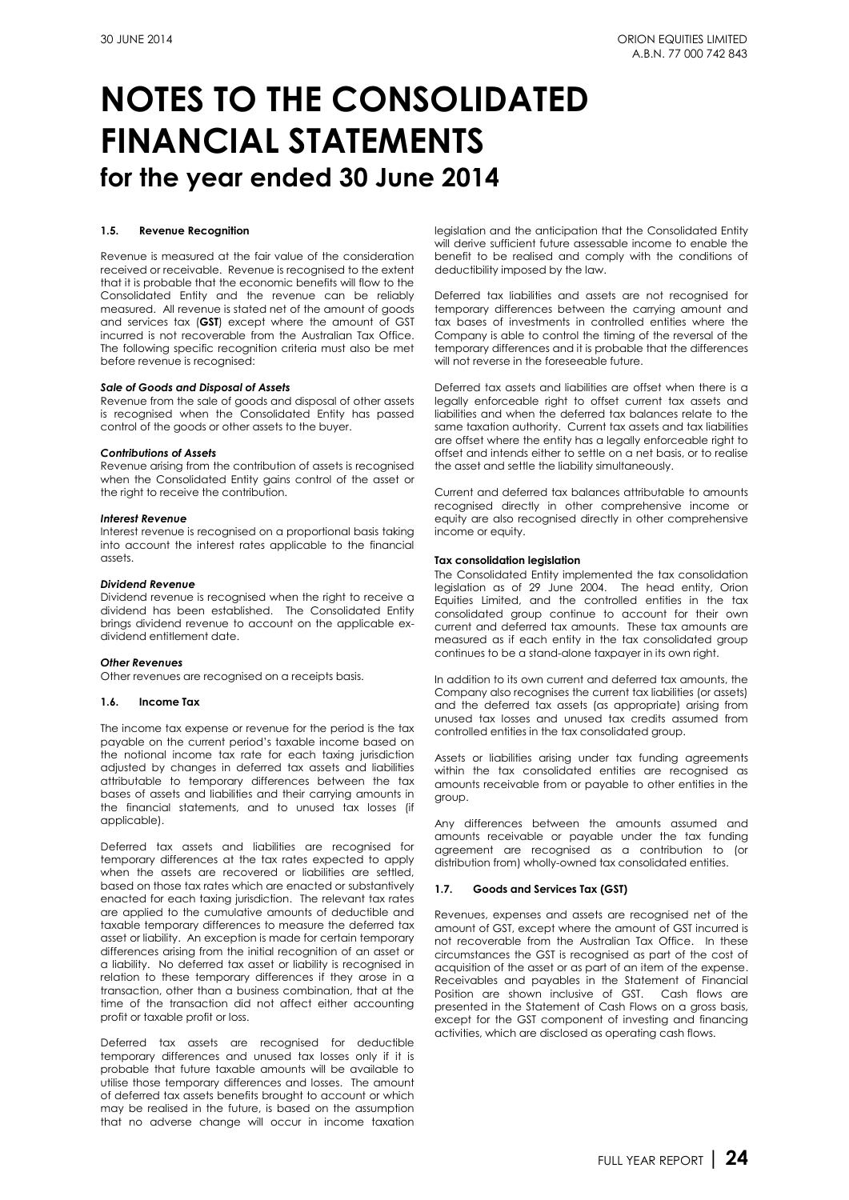#### **1.5. Revenue Recognition**

Revenue is measured at the fair value of the consideration received or receivable. Revenue is recognised to the extent that it is probable that the economic benefits will flow to the Consolidated Entity and the revenue can be reliably measured. All revenue is stated net of the amount of goods and services tax (**GST**) except where the amount of GST incurred is not recoverable from the Australian Tax Office. The following specific recognition criteria must also be met before revenue is recognised:

#### *Sale of Goods and Disposal of Assets*

Revenue from the sale of goods and disposal of other assets is recognised when the Consolidated Entity has passed control of the goods or other assets to the buyer.

#### *Contributions of Assets*

Revenue arising from the contribution of assets is recognised when the Consolidated Entity gains control of the asset or the right to receive the contribution.

#### *Interest Revenue*

Interest revenue is recognised on a proportional basis taking into account the interest rates applicable to the financial assets.

#### *Dividend Revenue*

Dividend revenue is recognised when the right to receive a dividend has been established. The Consolidated Entity brings dividend revenue to account on the applicable exdividend entitlement date.

#### *Other Revenues*

Other revenues are recognised on a receipts basis.

#### **1.6. Income Tax**

The income tax expense or revenue for the period is the tax payable on the current period's taxable income based on the notional income tax rate for each taxing jurisdiction adjusted by changes in deferred tax assets and liabilities attributable to temporary differences between the tax bases of assets and liabilities and their carrying amounts in the financial statements, and to unused tax losses (if applicable).

Deferred tax assets and liabilities are recognised for temporary differences at the tax rates expected to apply when the assets are recovered or liabilities are settled, based on those tax rates which are enacted or substantively enacted for each taxing jurisdiction. The relevant tax rates are applied to the cumulative amounts of deductible and taxable temporary differences to measure the deferred tax asset or liability. An exception is made for certain temporary differences arising from the initial recognition of an asset or a liability. No deferred tax asset or liability is recognised in relation to these temporary differences if they arose in a transaction, other than a business combination, that at the time of the transaction did not affect either accounting profit or taxable profit or loss.

Deferred tax assets are recognised for deductible temporary differences and unused tax losses only if it is probable that future taxable amounts will be available to utilise those temporary differences and losses. The amount of deferred tax assets benefits brought to account or which may be realised in the future, is based on the assumption that no adverse change will occur in income taxation

legislation and the anticipation that the Consolidated Entity will derive sufficient future assessable income to enable the benefit to be realised and comply with the conditions of deductibility imposed by the law.

Deferred tax liabilities and assets are not recognised for temporary differences between the carrying amount and tax bases of investments in controlled entities where the Company is able to control the timing of the reversal of the temporary differences and it is probable that the differences will not reverse in the foreseeable future.

Deferred tax assets and liabilities are offset when there is a legally enforceable right to offset current tax assets and liabilities and when the deferred tax balances relate to the same taxation authority. Current tax assets and tax liabilities are offset where the entity has a legally enforceable right to offset and intends either to settle on a net basis, or to realise the asset and settle the liability simultaneously.

Current and deferred tax balances attributable to amounts recognised directly in other comprehensive income or equity are also recognised directly in other comprehensive income or equity.

#### **Tax consolidation legislation**

The Consolidated Entity implemented the tax consolidation legislation as of 29 June 2004. The head entity, Orion Equities Limited, and the controlled entities in the tax consolidated group continue to account for their own current and deferred tax amounts. These tax amounts are measured as if each entity in the tax consolidated group continues to be a stand-alone taxpayer in its own right.

In addition to its own current and deferred tax amounts, the Company also recognises the current tax liabilities (or assets) and the deferred tax assets (as appropriate) arising from unused tax losses and unused tax credits assumed from controlled entities in the tax consolidated group.

Assets or liabilities arising under tax funding agreements within the tax consolidated entities are recognised as amounts receivable from or payable to other entities in the group.

Any differences between the amounts assumed and amounts receivable or payable under the tax funding agreement are recognised as a contribution to (or distribution from) wholly-owned tax consolidated entities.

#### **1.7. Goods and Services Tax (GST)**

Revenues, expenses and assets are recognised net of the amount of GST, except where the amount of GST incurred is not recoverable from the Australian Tax Office. In these circumstances the GST is recognised as part of the cost of acquisition of the asset or as part of an item of the expense. Receivables and payables in the Statement of Financial Position are shown inclusive of GST. Cash flows are presented in the Statement of Cash Flows on a gross basis, except for the GST component of investing and financing activities, which are disclosed as operating cash flows.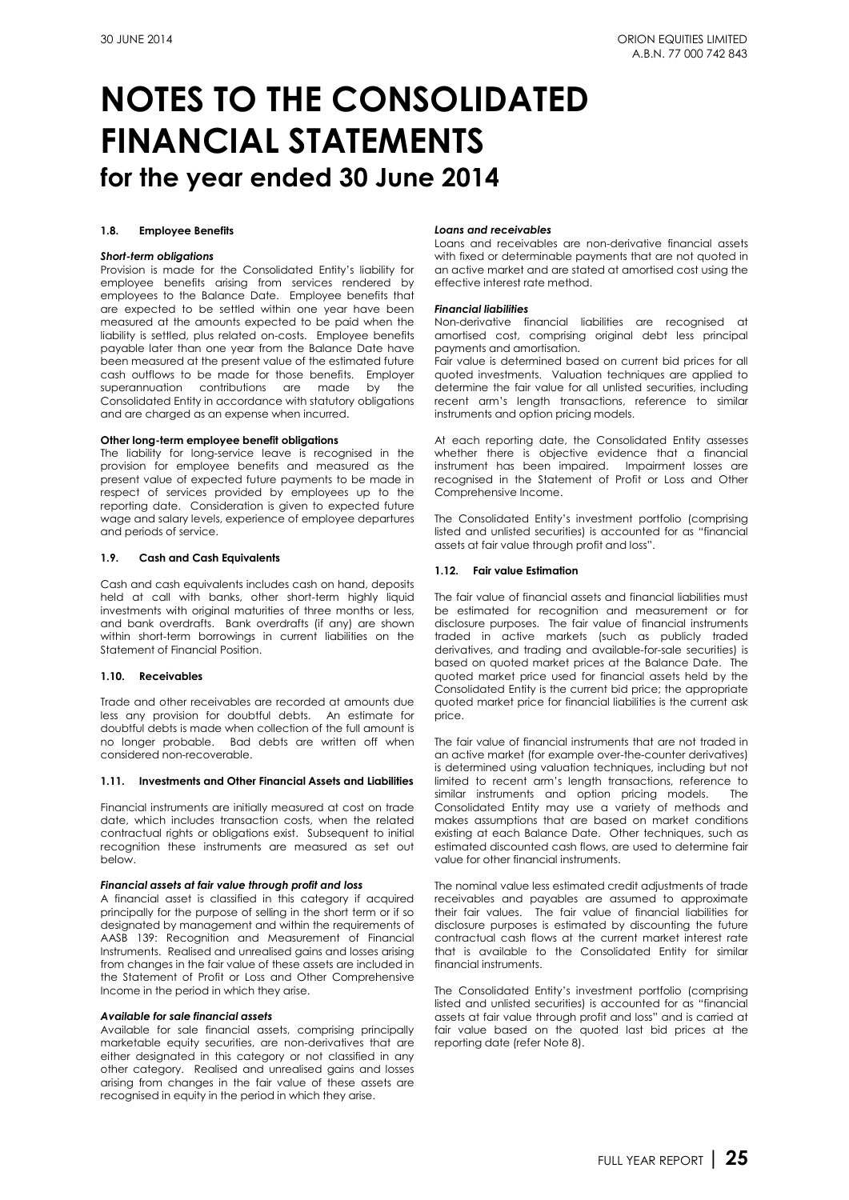#### **1.8. Employee Benefits**

#### *Short-term obligations*

Provision is made for the Consolidated Entity's liability for employee benefits arising from services rendered by employees to the Balance Date. Employee benefits that are expected to be settled within one year have been measured at the amounts expected to be paid when the liability is settled, plus related on-costs. Employee benefits payable later than one year from the Balance Date have been measured at the present value of the estimated future cash outflows to be made for those benefits. Employer superannuation contributions are made by the Consolidated Entity in accordance with statutory obligations and are charged as an expense when incurred.

#### **Other long-term employee benefit obligations**

The liability for long-service leave is recognised in the provision for employee benefits and measured as the present value of expected future payments to be made in respect of services provided by employees up to the reporting date. Consideration is given to expected future wage and salary levels, experience of employee departures and periods of service.

#### **1.9. Cash and Cash Equivalents**

Cash and cash equivalents includes cash on hand, deposits held at call with banks, other short-term highly liquid investments with original maturities of three months or less, and bank overdrafts. Bank overdrafts (if any) are shown within short-term borrowings in current liabilities on the Statement of Financial Position.

#### **1.10. Receivables**

Trade and other receivables are recorded at amounts due less any provision for doubtful debts. An estimate for doubtful debts is made when collection of the full amount is no longer probable. Bad debts are written off when considered non-recoverable.

#### **1.11. Investments and Other Financial Assets and Liabilities**

Financial instruments are initially measured at cost on trade date, which includes transaction costs, when the related contractual rights or obligations exist. Subsequent to initial recognition these instruments are measured as set out below.

#### *Financial assets at fair value through profit and loss*

A financial asset is classified in this category if acquired principally for the purpose of selling in the short term or if so designated by management and within the requirements of AASB 139: Recognition and Measurement of Financial Instruments. Realised and unrealised gains and losses arising from changes in the fair value of these assets are included in the Statement of Profit or Loss and Other Comprehensive Income in the period in which they arise.

#### *Available for sale financial assets*

Available for sale financial assets, comprising principally marketable equity securities, are non-derivatives that are either designated in this category or not classified in any other category. Realised and unrealised gains and losses arising from changes in the fair value of these assets are recognised in equity in the period in which they arise.

#### *Loans and receivables*

Loans and receivables are non-derivative financial assets with fixed or determinable payments that are not quoted in an active market and are stated at amortised cost using the effective interest rate method.

#### *Financial liabilities*

Non-derivative financial liabilities are recognised at amortised cost, comprising original debt less principal payments and amortisation.

Fair value is determined based on current bid prices for all quoted investments. Valuation techniques are applied to determine the fair value for all unlisted securities, including recent arm's length transactions, reference to similar instruments and option pricing models.

At each reporting date, the Consolidated Entity assesses whether there is objective evidence that a financial instrument has been impaired. Impairment losses are recognised in the Statement of Profit or Loss and Other Comprehensive Income.

The Consolidated Entity's investment portfolio (comprising listed and unlisted securities) is accounted for as "financial assets at fair value through profit and loss".

#### **1.12. Fair value Estimation**

The fair value of financial assets and financial liabilities must be estimated for recognition and measurement or for disclosure purposes. The fair value of financial instruments traded in active markets (such as publicly traded derivatives, and trading and available-for-sale securities) is based on quoted market prices at the Balance Date. The quoted market price used for financial assets held by the Consolidated Entity is the current bid price; the appropriate quoted market price for financial liabilities is the current ask price.

The fair value of financial instruments that are not traded in an active market (for example over-the-counter derivatives) is determined using valuation techniques, including but not limited to recent arm's length transactions, reference to similar instruments and option pricing models. The Consolidated Entity may use a variety of methods and makes assumptions that are based on market conditions existing at each Balance Date. Other techniques, such as estimated discounted cash flows, are used to determine fair value for other financial instruments.

The nominal value less estimated credit adjustments of trade receivables and payables are assumed to approximate their fair values. The fair value of financial liabilities for disclosure purposes is estimated by discounting the future contractual cash flows at the current market interest rate that is available to the Consolidated Entity for similar financial instruments.

The Consolidated Entity's investment portfolio (comprising listed and unlisted securities) is accounted for as "financial assets at fair value through profit and loss" and is carried at fair value based on the quoted last bid prices at the reporting date (refer Note 8).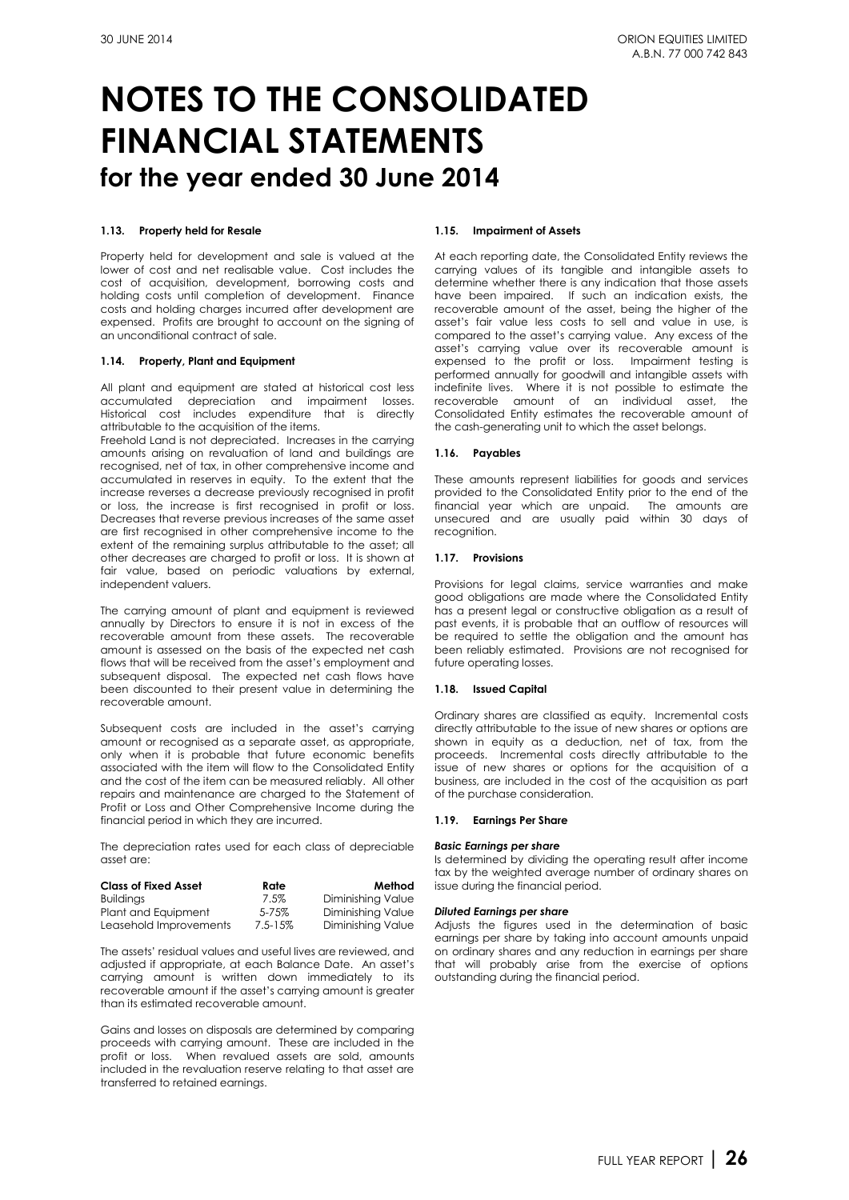#### **1.13. Property held for Resale**

Property held for development and sale is valued at the lower of cost and net realisable value. Cost includes the cost of acquisition, development, borrowing costs and holding costs until completion of development. Finance costs and holding charges incurred after development are expensed. Profits are brought to account on the signing of an unconditional contract of sale.

#### **1.14. Property, Plant and Equipment**

All plant and equipment are stated at historical cost less accumulated depreciation and impairment losses. Historical cost includes expenditure that is directly attributable to the acquisition of the items.

Freehold Land is not depreciated. Increases in the carrying amounts arising on revaluation of land and buildings are recognised, net of tax, in other comprehensive income and accumulated in reserves in equity. To the extent that the increase reverses a decrease previously recognised in profit or loss, the increase is first recognised in profit or loss. Decreases that reverse previous increases of the same asset are first recognised in other comprehensive income to the extent of the remaining surplus attributable to the asset; all other decreases are charged to profit or loss. It is shown at fair value, based on periodic valuations by external, independent valuers.

The carrying amount of plant and equipment is reviewed annually by Directors to ensure it is not in excess of the recoverable amount from these assets. The recoverable amount is assessed on the basis of the expected net cash flows that will be received from the asset's employment and subsequent disposal. The expected net cash flows have been discounted to their present value in determining the recoverable amount.

Subsequent costs are included in the asset's carrying amount or recognised as a separate asset, as appropriate, only when it is probable that future economic benefits associated with the item will flow to the Consolidated Entity and the cost of the item can be measured reliably. All other repairs and maintenance are charged to the Statement of Profit or Loss and Other Comprehensive Income during the financial period in which they are incurred.

The depreciation rates used for each class of depreciable asset are:

| <b>Class of Fixed Asset</b> | Rate         | Method            |
|-----------------------------|--------------|-------------------|
| <b>Buildinas</b>            | 7.5%         | Diminishing Value |
| Plant and Equipment         | 5-75%        | Diminishing Value |
| Leasehold Improvements      | $7.5 - 15\%$ | Diminishing Value |

The assets' residual values and useful lives are reviewed, and adjusted if appropriate, at each Balance Date. An asset's carrying amount is written down immediately to its recoverable amount if the asset's carrying amount is greater than its estimated recoverable amount.

Gains and losses on disposals are determined by comparing proceeds with carrying amount. These are included in the profit or loss. When revalued assets are sold, amounts included in the revaluation reserve relating to that asset are transferred to retained earnings.

#### **1.15. Impairment of Assets**

At each reporting date, the Consolidated Entity reviews the carrying values of its tangible and intangible assets to determine whether there is any indication that those assets have been impaired. If such an indication exists, the recoverable amount of the asset, being the higher of the asset's fair value less costs to sell and value in use, is compared to the asset's carrying value. Any excess of the asset's carrying value over its recoverable amount is expensed to the profit or loss. Impairment testing is performed annually for goodwill and intangible assets with indefinite lives. Where it is not possible to estimate the recoverable amount of an individual asset, the Consolidated Entity estimates the recoverable amount of the cash-generating unit to which the asset belongs.

#### **1.16. Payables**

These amounts represent liabilities for goods and services provided to the Consolidated Entity prior to the end of the financial year which are unpaid. The amounts are financial year which are unpaid. unsecured and are usually paid within 30 days of recognition.

#### **1.17. Provisions**

Provisions for legal claims, service warranties and make good obligations are made where the Consolidated Entity has a present legal or constructive obligation as a result of past events, it is probable that an outflow of resources will be required to settle the obligation and the amount has been reliably estimated. Provisions are not recognised for future operating losses.

#### **1.18. Issued Capital**

Ordinary shares are classified as equity. Incremental costs directly attributable to the issue of new shares or options are shown in equity as a deduction, net of tax, from the proceeds. Incremental costs directly attributable to the issue of new shares or options for the acquisition of a business, are included in the cost of the acquisition as part of the purchase consideration.

#### **1.19. Earnings Per Share**

#### *Basic Earnings per share*

Is determined by dividing the operating result after income tax by the weighted average number of ordinary shares on issue during the financial period.

#### *Diluted Earnings per share*

Adjusts the figures used in the determination of basic earnings per share by taking into account amounts unpaid on ordinary shares and any reduction in earnings per share that will probably arise from the exercise of options outstanding during the financial period.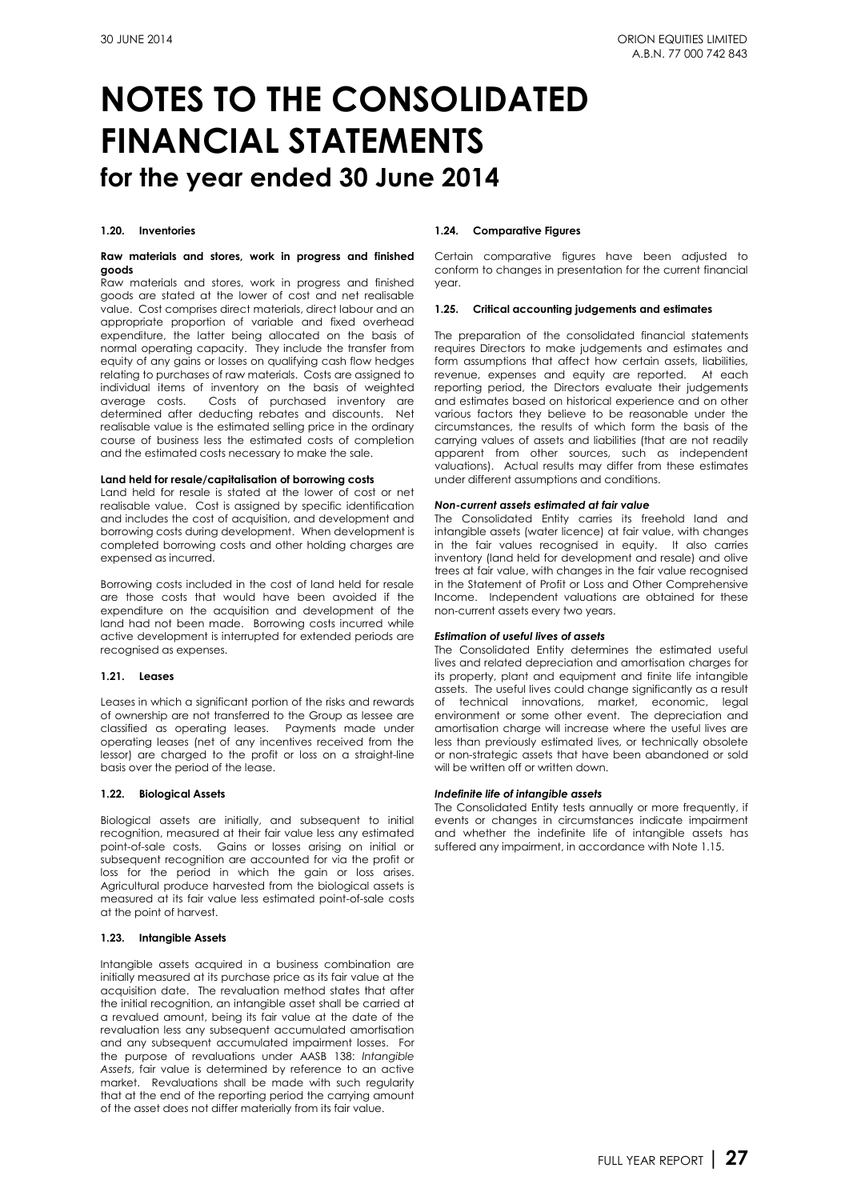#### **1.20. Inventories**

#### **Raw materials and stores, work in progress and finished goods**

Raw materials and stores, work in progress and finished goods are stated at the lower of cost and net realisable value. Cost comprises direct materials, direct labour and an appropriate proportion of variable and fixed overhead expenditure, the latter being allocated on the basis of normal operating capacity. They include the transfer from equity of any gains or losses on qualifying cash flow hedges relating to purchases of raw materials. Costs are assigned to individual items of inventory on the basis of weighted average costs. Costs of purchased inventory are determined after deducting rebates and discounts. Net realisable value is the estimated selling price in the ordinary course of business less the estimated costs of completion and the estimated costs necessary to make the sale.

#### **Land held for resale/capitalisation of borrowing costs**

Land held for resale is stated at the lower of cost or net realisable value. Cost is assigned by specific identification and includes the cost of acquisition, and development and borrowing costs during development. When development is completed borrowing costs and other holding charges are expensed as incurred.

Borrowing costs included in the cost of land held for resale are those costs that would have been avoided if the expenditure on the acquisition and development of the land had not been made. Borrowing costs incurred while active development is interrupted for extended periods are recognised as expenses.

#### **1.21. Leases**

Leases in which a significant portion of the risks and rewards of ownership are not transferred to the Group as lessee are classified as operating leases. Payments made under operating leases (net of any incentives received from the lessor) are charged to the profit or loss on a straight-line basis over the period of the lease.

#### **1.22. Biological Assets**

Biological assets are initially, and subsequent to initial recognition, measured at their fair value less any estimated point-of-sale costs. Gains or losses arising on initial or subsequent recognition are accounted for via the profit or loss for the period in which the gain or loss arises. Agricultural produce harvested from the biological assets is measured at its fair value less estimated point-of-sale costs at the point of harvest.

#### **1.23. Intangible Assets**

Intangible assets acquired in a business combination are initially measured at its purchase price as its fair value at the acquisition date. The revaluation method states that after the initial recognition, an intangible asset shall be carried at a revalued amount, being its fair value at the date of the revaluation less any subsequent accumulated amortisation and any subsequent accumulated impairment losses. For the purpose of revaluations under AASB 138: *Intangible Assets*, fair value is determined by reference to an active market. Revaluations shall be made with such regularity that at the end of the reporting period the carrying amount of the asset does not differ materially from its fair value.

#### **1.24. Comparative Figures**

Certain comparative figures have been adjusted to conform to changes in presentation for the current financial year.

#### **1.25. Critical accounting judgements and estimates**

The preparation of the consolidated financial statements requires Directors to make judgements and estimates and form assumptions that affect how certain assets, liabilities, revenue, expenses and equity are reported. At each reporting period, the Directors evaluate their judgements and estimates based on historical experience and on other various factors they believe to be reasonable under the circumstances, the results of which form the basis of the carrying values of assets and liabilities (that are not readily apparent from other sources, such as independent valuations). Actual results may differ from these estimates under different assumptions and conditions.

#### *Non-current assets estimated at fair value*

The Consolidated Entity carries its freehold land and intangible assets (water licence) at fair value, with changes in the fair values recognised in equity. It also carries inventory (land held for development and resale) and olive trees at fair value, with changes in the fair value recognised in the Statement of Profit or Loss and Other Comprehensive Income. Independent valuations are obtained for these non-current assets every two years.

#### *Estimation of useful lives of assets*

The Consolidated Entity determines the estimated useful lives and related depreciation and amortisation charges for its property, plant and equipment and finite life intangible assets. The useful lives could change significantly as a result of technical innovations, market, economic, legal environment or some other event. The depreciation and amortisation charge will increase where the useful lives are less than previously estimated lives, or technically obsolete or non-strategic assets that have been abandoned or sold will be written off or written down.

#### *Indefinite life of intangible assets*

The Consolidated Entity tests annually or more frequently, if events or changes in circumstances indicate impairment and whether the indefinite life of intangible assets has suffered any impairment, in accordance with Note 1.15.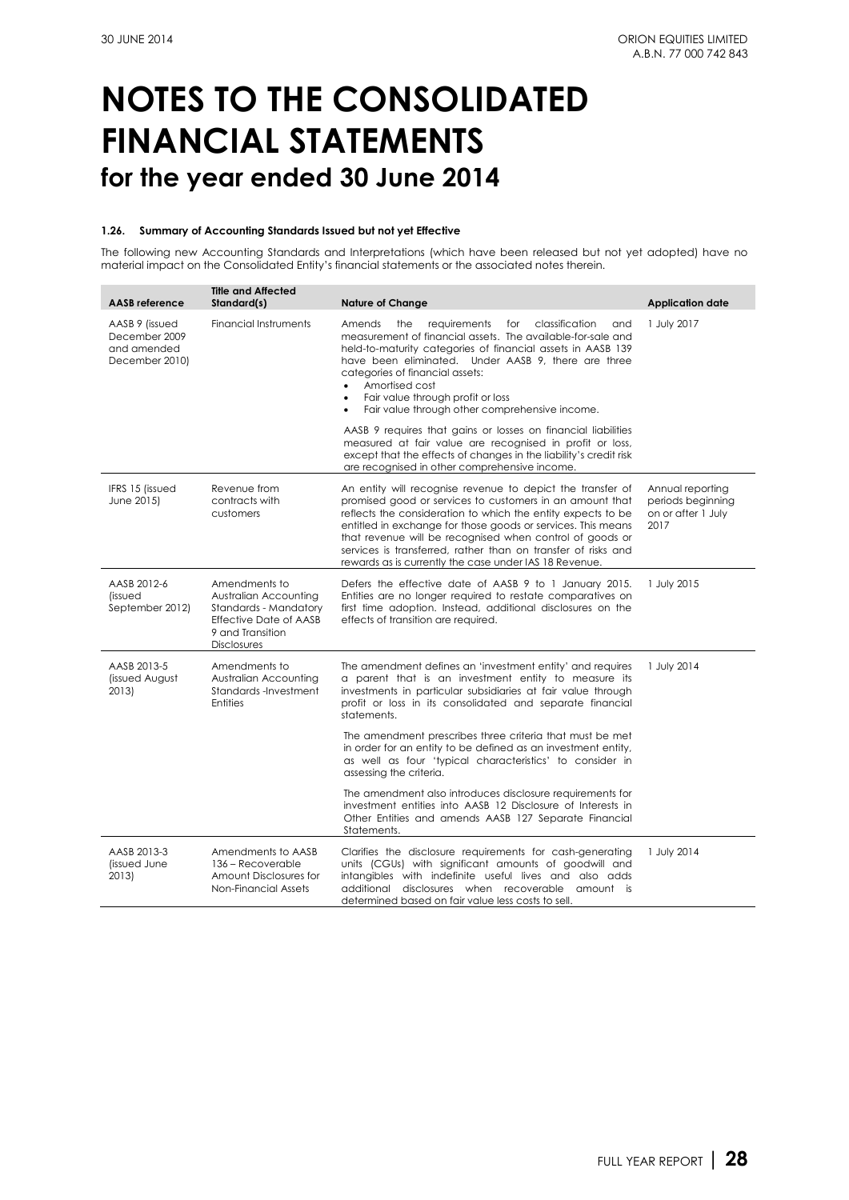#### **1.26. Summary of Accounting Standards Issued but not yet Effective**

The following new Accounting Standards and Interpretations (which have been released but not yet adopted) have no material impact on the Consolidated Entity's financial statements or the associated notes therein.

| <b>AASB</b> reference                                            | <b>Title and Affected</b><br>Standard(s)                                                                                            | <b>Nature of Change</b>                                                                                                                                                                                                                                                                                                                                                                                                                       | <b>Application date</b>                                             |
|------------------------------------------------------------------|-------------------------------------------------------------------------------------------------------------------------------------|-----------------------------------------------------------------------------------------------------------------------------------------------------------------------------------------------------------------------------------------------------------------------------------------------------------------------------------------------------------------------------------------------------------------------------------------------|---------------------------------------------------------------------|
| AASB 9 (issued<br>December 2009<br>and amended<br>December 2010) | Financial Instruments                                                                                                               | for<br>classification<br>Amends<br>the<br>requirements<br>and<br>measurement of financial assets. The available-for-sale and<br>held-to-maturity categories of financial assets in AASB 139<br>have been eliminated. Under AASB 9, there are three<br>categories of financial assets:<br>Amortised cost<br>Fair value through profit or loss<br>$\bullet$<br>Fair value through other comprehensive income.                                   | 1 July 2017                                                         |
|                                                                  |                                                                                                                                     | AASB 9 requires that gains or losses on financial liabilities<br>measured at fair value are recognised in profit or loss,<br>except that the effects of changes in the liability's credit risk<br>are recognised in other comprehensive income.                                                                                                                                                                                               |                                                                     |
| <b>IFRS 15 (issued)</b><br>June 2015)                            | Revenue from<br>contracts with<br>customers                                                                                         | An entity will recognise revenue to depict the transfer of<br>promised good or services to customers in an amount that<br>reflects the consideration to which the entity expects to be<br>entitled in exchange for those goods or services. This means<br>that revenue will be recognised when control of goods or<br>services is transferred, rather than on transfer of risks and<br>rewards as is currently the case under IAS 18 Revenue. | Annual reporting<br>periods beginning<br>on or after 1 July<br>2017 |
| AASB 2012-6<br>(issued<br>September 2012)                        | Amendments to<br>Australian Accounting<br>Standards - Mandatory<br>Effective Date of AASB<br>9 and Transition<br><b>Disclosures</b> | Defers the effective date of AASB 9 to 1 January 2015.<br>Entities are no longer required to restate comparatives on<br>first time adoption. Instead, additional disclosures on the<br>effects of transition are required.                                                                                                                                                                                                                    | 1 July 2015                                                         |
| AASB 2013-5<br>(issued August<br>2013)                           | Amendments to<br>Australian Accounting<br>Standards-Investment<br><b>Entities</b>                                                   | The amendment defines an 'investment entity' and requires<br>a parent that is an investment entity to measure its<br>investments in particular subsidiaries at fair value through<br>profit or loss in its consolidated and separate financial<br>statements.                                                                                                                                                                                 | 1 July 2014                                                         |
|                                                                  |                                                                                                                                     | The amendment prescribes three criteria that must be met<br>in order for an entity to be defined as an investment entity,<br>as well as four 'typical characteristics' to consider in<br>assessing the criteria.                                                                                                                                                                                                                              |                                                                     |
|                                                                  |                                                                                                                                     | The amendment also introduces disclosure requirements for<br>investment entities into AASB 12 Disclosure of Interests in<br>Other Entities and amends AASB 127 Separate Financial<br>Statements.                                                                                                                                                                                                                                              |                                                                     |
| AASB 2013-3<br>(issued June<br>2013)                             | Amendments to AASB<br>136 - Recoverable<br>Amount Disclosures for<br>Non-Financial Assets                                           | Clarifies the disclosure requirements for cash-generating<br>units (CGUs) with significant amounts of goodwill and<br>intangibles with indefinite useful lives and also adds<br>additional disclosures when recoverable amount is<br>determined based on fair value less costs to sell.                                                                                                                                                       | 1 July 2014                                                         |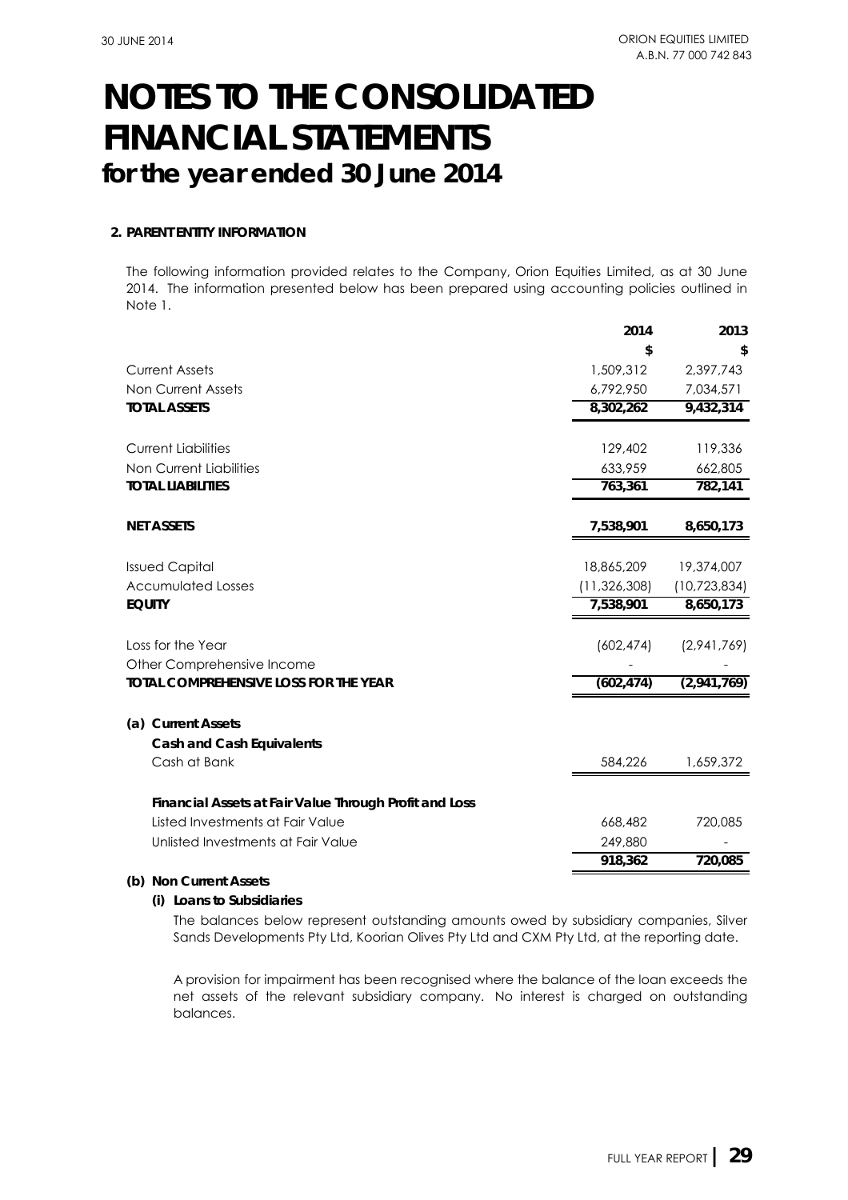### **2. PARENT ENTITY INFORMATION**

The following information provided relates to the Company, Orion Equities Limited, as at 30 June 2014. The information presented below has been prepared using accounting policies outlined in Note 1.

|                                                        | 2014         | 2013           |
|--------------------------------------------------------|--------------|----------------|
|                                                        | \$           |                |
| <b>Current Assets</b>                                  | 1,509,312    | 2,397,743      |
| <b>Non Current Assets</b>                              | 6,792,950    | 7,034,571      |
| <b>TOTAL ASSETS</b>                                    | 8,302,262    | 9,432,314      |
| <b>Current Liabilities</b>                             | 129,402      | 119,336        |
| Non Current Liabilities                                | 633,959      | 662,805        |
| <b>TOTAL LIABILITIES</b>                               | 763,361      | 782,141        |
| <b>NET ASSETS</b>                                      | 7,538,901    | 8,650,173      |
| <b>Issued Capital</b>                                  | 18,865,209   | 19,374,007     |
| <b>Accumulated Losses</b>                              | (11,326,308) | (10, 723, 834) |
| <b>EQUITY</b>                                          | 7,538,901    | 8,650,173      |
| Loss for the Year                                      | (602, 474)   | (2,941,769)    |
| Other Comprehensive Income                             |              |                |
| TOTAL COMPREHENSIVE LOSS FOR THE YEAR                  | (602, 474)   | (2,941,769)    |
| (a) Current Assets                                     |              |                |
| <b>Cash and Cash Equivalents</b>                       |              |                |
| Cash at Bank                                           | 584,226      | 1,659,372      |
| Financial Assets at Fair Value Through Profit and Loss |              |                |
| Listed Investments at Fair Value                       | 668,482      | 720,085        |
| Unlisted Investments at Fair Value                     | 249,880      |                |
|                                                        | 918,362      | 720,085        |
|                                                        |              |                |

## **(b) Non Current Assets**

**(i) Loans to Subsidiaries**

The balances below represent outstanding amounts owed by subsidiary companies, Silver Sands Developments Pty Ltd, Koorian Olives Pty Ltd and CXM Pty Ltd, at the reporting date.

A provision for impairment has been recognised where the balance of the loan exceeds the net assets of the relevant subsidiary company. No interest is charged on outstanding balances.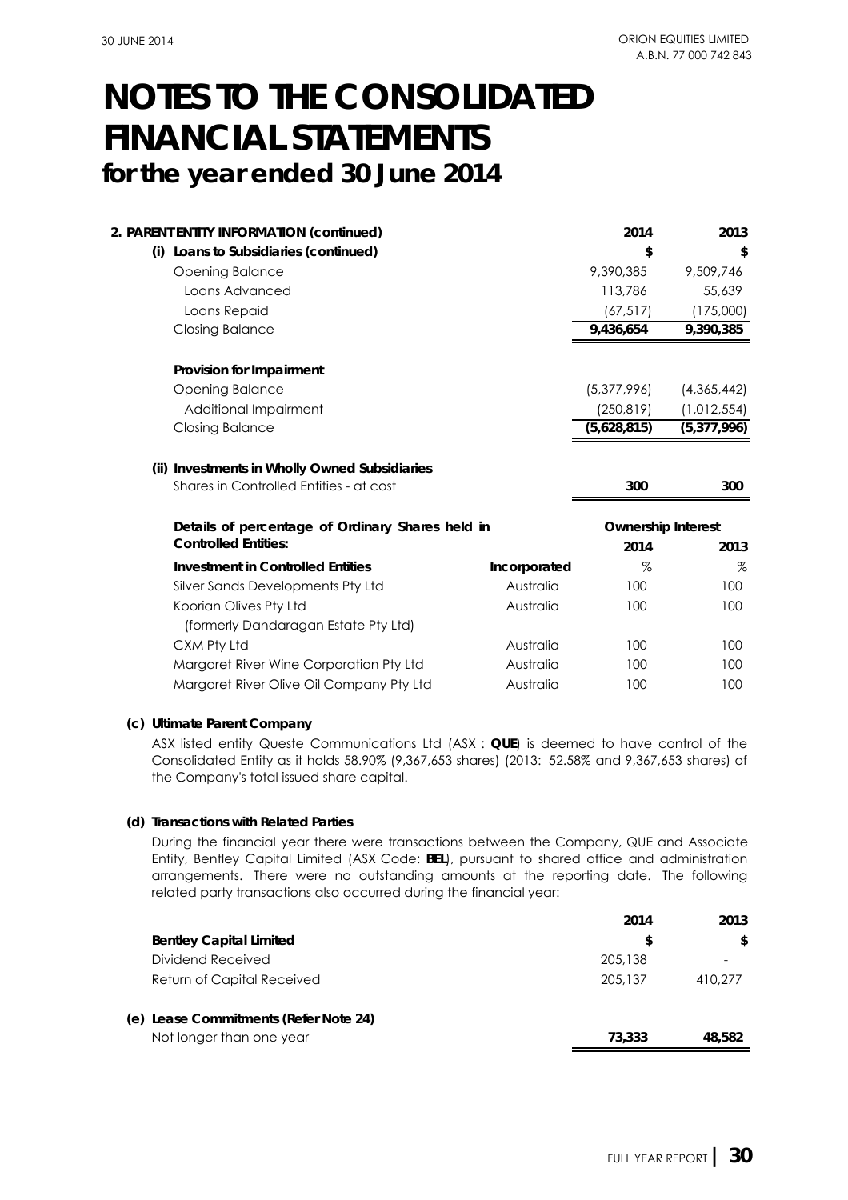| 2. PARENT ENTITY INFORMATION (continued)                       |              | 2014                      | 2013        |
|----------------------------------------------------------------|--------------|---------------------------|-------------|
| (i) Loans to Subsidiaries (continued)                          |              | \$                        | \$          |
| Opening Balance                                                |              | 9,390,385                 | 9,509,746   |
| Loans Advanced                                                 |              | 113,786                   | 55,639      |
| Loans Repaid                                                   |              | (67, 517)                 | (175,000)   |
| <b>Closing Balance</b>                                         |              | 9,436,654                 | 9,390,385   |
| Provision for Impairment                                       |              |                           |             |
| Opening Balance                                                |              | (5,377,996)               | (4,365,442) |
| Additional Impairment                                          |              | (250, 819)                | (1,012,554) |
| <b>Closing Balance</b>                                         |              | (5,628,815)               | (5,377,996) |
| (ii) Investments in Wholly Owned Subsidiaries                  |              |                           |             |
| Shares in Controlled Entities - at cost                        |              | 300                       | 300         |
| Details of percentage of Ordinary Shares held in               |              | <b>Ownership Interest</b> |             |
| <b>Controlled Entities:</b>                                    |              | 2014                      | 2013        |
| <b>Investment in Controlled Entities</b>                       | Incorporated | $\%$                      | $\%$        |
| Silver Sands Developments Pty Ltd                              | Australia    | 100                       | 100         |
| Koorian Olives Pty Ltd<br>(formerly Dandaragan Estate Pty Ltd) | Australia    | 100                       | 100         |
| CXM Pty Ltd                                                    | Australia    | 100                       | 100         |
| Margaret River Wine Corporation Pty Ltd                        | Australia    | 100                       | 100         |
| Margaret River Olive Oil Company Pty Ltd                       | Australia    | 100                       | 100         |

### **(c) Ultimate Parent Company**

ASX listed entity Queste Communications Ltd (ASX : **QUE**) is deemed to have control of the Consolidated Entity as it holds 58.90% (9,367,653 shares) (2013: 52.58% and 9,367,653 shares) of the Company's total issued share capital.

### **(d) Transactions with Related Parties**

During the financial year there were transactions between the Company, QUE and Associate Entity, Bentley Capital Limited (ASX Code: **BEL**), pursuant to shared office and administration arrangements. There were no outstanding amounts at the reporting date. The following related party transactions also occurred during the financial year:

|                                       | 2014    | 2013    |
|---------------------------------------|---------|---------|
| <b>Bentley Capital Limited</b>        | \$      | \$      |
| Dividend Received                     | 205,138 |         |
| Return of Capital Received            | 205.137 | 410.277 |
| (e) Lease Commitments (Refer Note 24) |         |         |
| Not longer than one year              | 73,333  | 48,582  |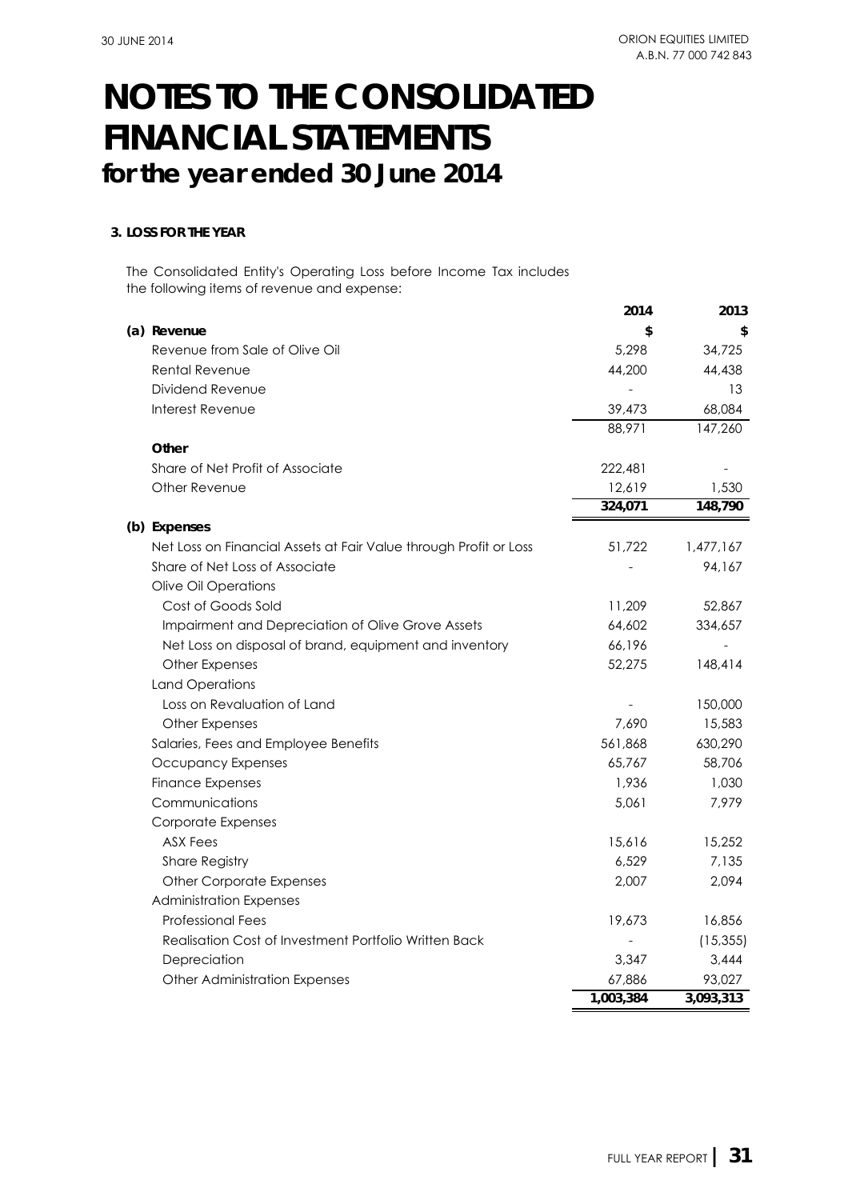### **3. LOSS FOR THE YEAR**

The Consolidated Entity's Operating Loss before Income Tax includes the following items of revenue and expense:

|                                                                   | 2014           | 2013      |
|-------------------------------------------------------------------|----------------|-----------|
| (a) Revenue                                                       | \$             | \$        |
| Revenue from Sale of Olive Oil                                    | 5,298          | 34,725    |
| Rental Revenue                                                    | 44,200         | 44,438    |
| Dividend Revenue                                                  |                | 13        |
| Interest Revenue                                                  | 39,473         | 68,084    |
|                                                                   | 88,971         | 147,260   |
| Other                                                             |                |           |
| Share of Net Profit of Associate                                  | 222,481        |           |
| Other Revenue                                                     | 12,619         | 1,530     |
|                                                                   | 324,071        | 148,790   |
| (b) Expenses                                                      |                |           |
| Net Loss on Financial Assets at Fair Value through Profit or Loss | 51,722         | 1,477,167 |
| Share of Net Loss of Associate                                    |                | 94,167    |
| Olive Oil Operations                                              |                |           |
| Cost of Goods Sold                                                | 11,209         | 52,867    |
| Impairment and Depreciation of Olive Grove Assets                 | 64,602         | 334,657   |
| Net Loss on disposal of brand, equipment and inventory            | 66,196         |           |
| <b>Other Expenses</b>                                             | 52,275         | 148,414   |
| <b>Land Operations</b>                                            |                |           |
| Loss on Revaluation of Land                                       |                | 150,000   |
| <b>Other Expenses</b>                                             | 7,690          | 15,583    |
| Salaries, Fees and Employee Benefits                              | 561,868        | 630,290   |
| Occupancy Expenses                                                | 65,767         | 58,706    |
| <b>Finance Expenses</b>                                           | 1,936          | 1,030     |
| Communications                                                    | 5.061          | 7,979     |
| Corporate Expenses                                                |                |           |
| <b>ASX Fees</b>                                                   | 15,616         | 15,252    |
| <b>Share Registry</b>                                             | 6,529          | 7,135     |
| <b>Other Corporate Expenses</b>                                   | 2,007          | 2,094     |
| <b>Administration Expenses</b>                                    |                |           |
| <b>Professional Fees</b>                                          | 19,673         | 16,856    |
| Realisation Cost of Investment Portfolio Written Back             | $\overline{a}$ | (15, 355) |
| Depreciation                                                      | 3,347          | 3,444     |
| <b>Other Administration Expenses</b>                              | 67,886         | 93,027    |
|                                                                   | 1,003,384      | 3,093,313 |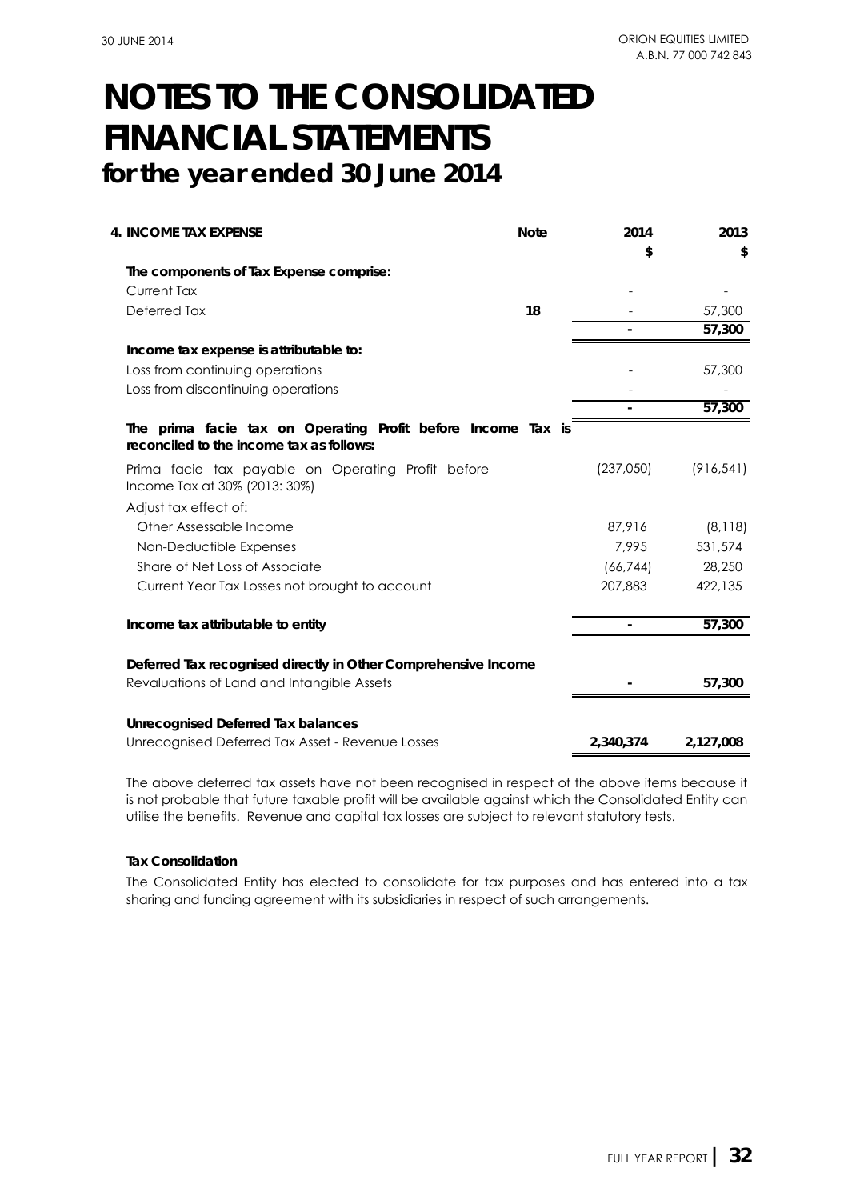| <b>4. INCOME TAX EXPENSE</b>                                                                             | <b>Note</b> | 2014      | 2013       |
|----------------------------------------------------------------------------------------------------------|-------------|-----------|------------|
|                                                                                                          |             | \$        | \$         |
| The components of Tax Expense comprise:                                                                  |             |           |            |
| <b>Current Tax</b>                                                                                       |             |           |            |
| Deferred Tax                                                                                             | 18          |           | 57,300     |
|                                                                                                          |             |           | 57,300     |
| Income tax expense is attributable to:                                                                   |             |           |            |
| Loss from continuing operations                                                                          |             |           | 57,300     |
| Loss from discontinuing operations                                                                       |             |           |            |
|                                                                                                          |             |           | 57,300     |
| The prima facie tax on Operating Profit before Income Tax is<br>reconciled to the income tax as follows: |             |           |            |
| Prima facie tax payable on Operating Profit before<br>Income Tax at 30% (2013: 30%)                      |             | (237,050) | (916, 541) |
| Adjust tax effect of:                                                                                    |             |           |            |
| Other Assessable Income                                                                                  |             | 87,916    | (8,118)    |
| Non-Deductible Expenses                                                                                  |             | 7,995     | 531,574    |
| Share of Net Loss of Associate                                                                           |             | (66, 744) | 28,250     |
| Current Year Tax Losses not brought to account                                                           |             | 207,883   | 422,135    |
| Income tax attributable to entity                                                                        |             |           | 57,300     |
| Deferred Tax recognised directly in Other Comprehensive Income                                           |             |           |            |
| Revaluations of Land and Intangible Assets                                                               |             |           | 57,300     |
| <b>Unrecognised Deferred Tax balances</b>                                                                |             |           |            |
| Unrecognised Deferred Tax Asset - Revenue Losses                                                         |             | 2,340,374 | 2,127,008  |

The above deferred tax assets have not been recognised in respect of the above items because it is not probable that future taxable profit will be available against which the Consolidated Entity can utilise the benefits. Revenue and capital tax losses are subject to relevant statutory tests.

### **Tax Consolidation**

The Consolidated Entity has elected to consolidate for tax purposes and has entered into a tax sharing and funding agreement with its subsidiaries in respect of such arrangements.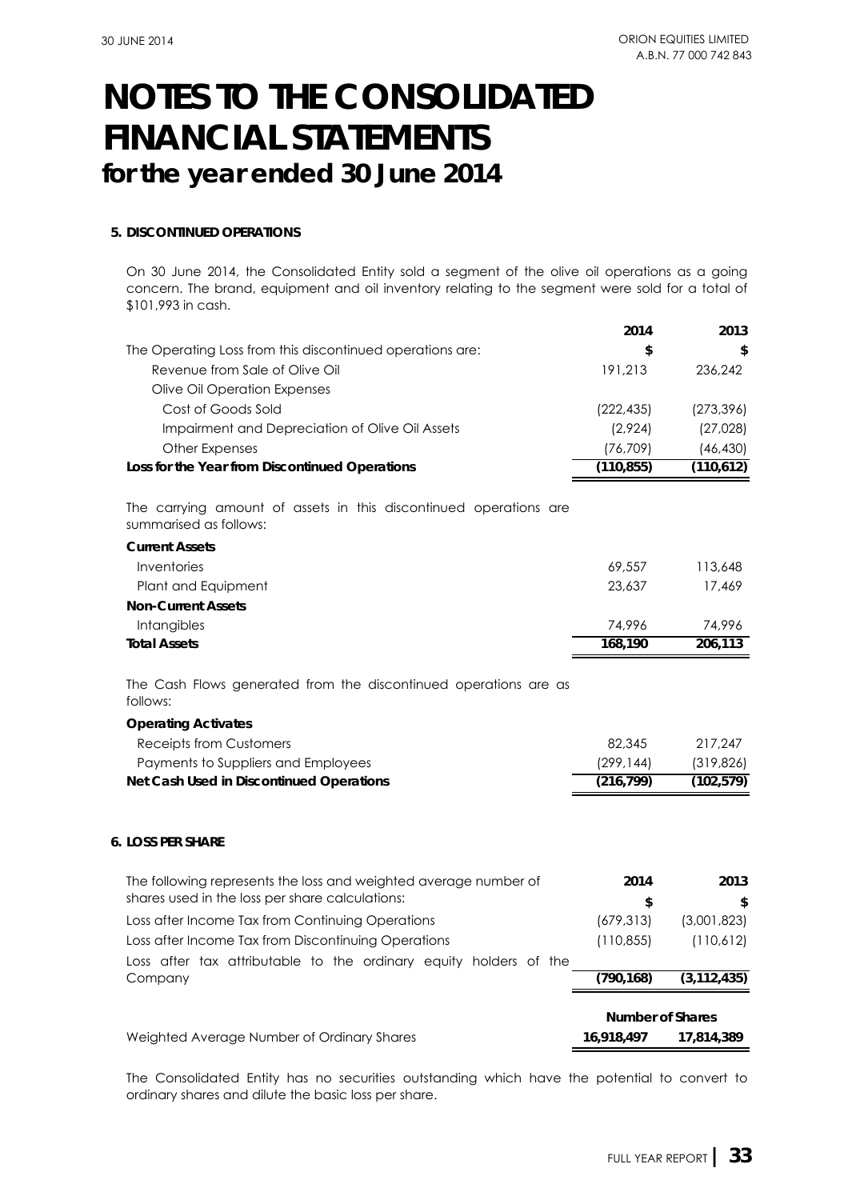### **5. DISCONTINUED OPERATIONS**

On 30 June 2014, the Consolidated Entity sold a segment of the olive oil operations as a going concern. The brand, equipment and oil inventory relating to the segment were sold for a total of \$101,993 in cash.

|                                                                                             | 2014                    | 2013                   |
|---------------------------------------------------------------------------------------------|-------------------------|------------------------|
| The Operating Loss from this discontinued operations are:                                   | \$                      | \$                     |
| Revenue from Sale of Olive Oil                                                              | 191,213                 | 236.242                |
| Olive Oil Operation Expenses                                                                |                         |                        |
| Cost of Goods Sold                                                                          | (222, 435)              | (273, 396)             |
| Impairment and Depreciation of Olive Oil Assets                                             | (2,924)                 | (27,028)               |
| <b>Other Expenses</b>                                                                       | (76, 709)               | (46, 430)              |
| Loss for the Year from Discontinued Operations                                              | (110, 855)              | (110, 612)             |
| The carrying amount of assets in this discontinued operations are<br>summarised as follows: |                         |                        |
| <b>Current Assets</b>                                                                       |                         |                        |
| Inventories                                                                                 | 69,557                  | 113,648                |
| Plant and Equipment                                                                         | 23,637                  | 17,469                 |
| <b>Non-Current Assets</b>                                                                   |                         |                        |
| <b>Intangibles</b>                                                                          | 74,996                  | 74,996                 |
| <b>Total Assets</b>                                                                         | 168,190                 | $\overline{206}$ , 113 |
| The Cash Flows generated from the discontinued operations are as<br>follows:                |                         |                        |
| <b>Operating Activates</b>                                                                  |                         |                        |
| Receipts from Customers                                                                     | 82,345                  | 217,247                |
| Payments to Suppliers and Employees                                                         | (299, 144)              | (319, 826)             |
| Net Cash Used in Discontinued Operations                                                    | (216, 799)              | (102, 579)             |
|                                                                                             |                         |                        |
| 6. LOSS PER SHARE                                                                           |                         |                        |
| The following represents the loss and weighted average number of                            | 2014                    | 2013                   |
| shares used in the loss per share calculations:                                             | \$                      | \$                     |
| Loss after Income Tax from Continuing Operations                                            | (679, 313)              | (3,001,823)            |
| Loss after Income Tax from Discontinuing Operations                                         | (110, 855)              | (110,612)              |
| Loss after tax attributable to the ordinary equity holders of the                           |                         |                        |
| Company                                                                                     | (790, 168)              | (3, 112, 435)          |
|                                                                                             | <b>Number of Shares</b> |                        |
| Weighted Average Number of Ordinary Shares                                                  | 16,918,497              | 17,814,389             |
|                                                                                             |                         |                        |

The Consolidated Entity has no securities outstanding which have the potential to convert to ordinary shares and dilute the basic loss per share.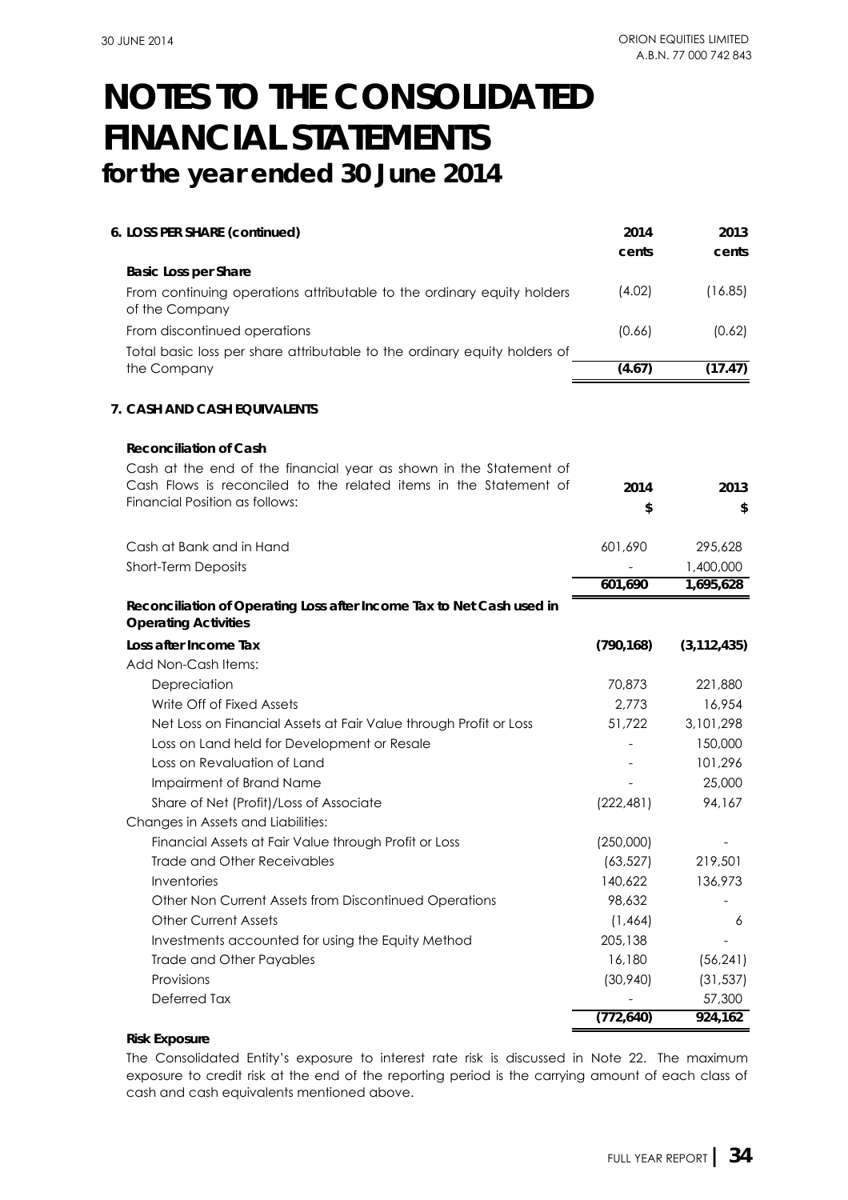| 6. LOSS PER SHARE (continued)                                                            | 2014<br>cents | 2013<br>cents |
|------------------------------------------------------------------------------------------|---------------|---------------|
| Basic Loss per Share                                                                     |               |               |
| From continuing operations attributable to the ordinary equity holders<br>of the Company | (4.02)        | (16.85)       |
| From discontinued operations                                                             | (0.66)        | (0.62)        |
| Total basic loss per share attributable to the ordinary equity holders of                |               |               |
| the Company                                                                              | (4.67)        | (17.47)       |
|                                                                                          |               |               |

## **7. CASH AND CASH EQUIVALENTS**

### **Reconciliation of Cash**

| Cash at the end of the financial year as shown in the Statement of<br>Cash Flows is reconciled to the related items in the Statement of | 2014       | 2013          |
|-----------------------------------------------------------------------------------------------------------------------------------------|------------|---------------|
| Financial Position as follows:                                                                                                          | \$         | \$            |
| Cash at Bank and in Hand                                                                                                                | 601,690    | 295,628       |
| <b>Short-Term Deposits</b>                                                                                                              |            | 1,400,000     |
|                                                                                                                                         | 601,690    | 1,695,628     |
| Reconciliation of Operating Loss after Income Tax to Net Cash used in<br><b>Operating Activities</b>                                    |            |               |
| Loss after Income Tax                                                                                                                   | (790, 168) | (3, 112, 435) |
| Add Non-Cash Items:                                                                                                                     |            |               |
| Depreciation                                                                                                                            | 70,873     | 221,880       |
| Write Off of Fixed Assets                                                                                                               | 2,773      | 16,954        |
| Net Loss on Financial Assets at Fair Value through Profit or Loss                                                                       | 51,722     | 3,101,298     |
| Loss on Land held for Development or Resale                                                                                             |            | 150,000       |
| Loss on Revaluation of Land                                                                                                             |            | 101,296       |
| Impairment of Brand Name                                                                                                                |            | 25,000        |
| Share of Net (Profit)/Loss of Associate                                                                                                 | (222, 481) | 94,167        |
| Changes in Assets and Liabilities:                                                                                                      |            |               |
| Financial Assets at Fair Value through Profit or Loss                                                                                   | (250,000)  |               |
| <b>Trade and Other Receivables</b>                                                                                                      | (63, 527)  | 219,501       |
| Inventories                                                                                                                             | 140,622    | 136,973       |
| Other Non Current Assets from Discontinued Operations                                                                                   | 98,632     |               |
| <b>Other Current Assets</b>                                                                                                             | (1,464)    | 6             |
| Investments accounted for using the Equity Method                                                                                       | 205,138    |               |
| Trade and Other Payables                                                                                                                | 16,180     | (56, 241)     |
| Provisions                                                                                                                              | (30, 940)  | (31, 537)     |
| Deferred Tax                                                                                                                            |            | 57,300        |
|                                                                                                                                         | (772, 640) | 924,162       |

### **Risk Exposure**

The Consolidated Entity's exposure to interest rate risk is discussed in Note 22. The maximum exposure to credit risk at the end of the reporting period is the carrying amount of each class of cash and cash equivalents mentioned above.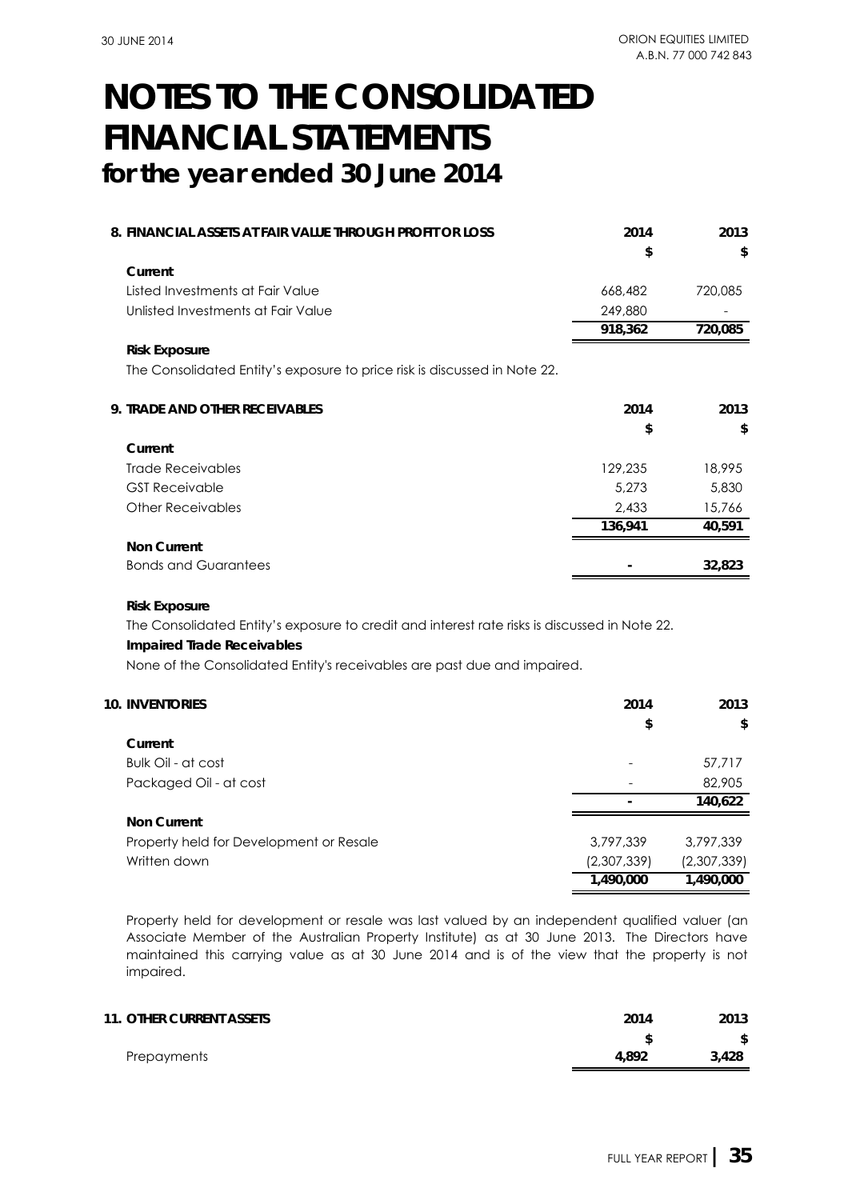| 8. FINANCIAL ASSETS AT FAIR VALUE THROUGH PROFIT OR LOSS                  | 2014    | 2013    |
|---------------------------------------------------------------------------|---------|---------|
|                                                                           | \$      | \$      |
| Current                                                                   |         |         |
| Listed Investments at Fair Value                                          | 668,482 | 720,085 |
| Unlisted Investments at Fair Value                                        | 249,880 |         |
|                                                                           | 918,362 | 720,085 |
| <b>Risk Exposure</b>                                                      |         |         |
| The Consolidated Entity's exposure to price risk is discussed in Note 22. |         |         |
| 9. TRADE AND OTHER RECEIVABLES                                            | 2014    | 2013    |
|                                                                           | \$      | \$      |
| Current                                                                   |         |         |
| Trade Receivables                                                         | 129,235 | 18,995  |
| <b>GST Receivable</b>                                                     | 5,273   | 5,830   |
| Other Receivables                                                         | 2,433   | 15,766  |
|                                                                           | 136,941 | 40,591  |
| <b>Non Current</b>                                                        |         |         |
| <b>Bonds and Guarantees</b>                                               |         | 32,823  |

### **Risk Exposure**

The Consolidated Entity's exposure to credit and interest rate risks is discussed in Note 22.

## **Impaired Trade Receivables**

None of the Consolidated Entity's receivables are past due and impaired.

| <b>10. INVENTORIES</b>                  | 2014        | 2013        |
|-----------------------------------------|-------------|-------------|
|                                         | \$          | \$          |
| Current                                 |             |             |
| Bulk Oil - at cost                      |             | 57.717      |
| Packaged Oil - at cost                  |             | 82,905      |
|                                         |             | 140,622     |
| <b>Non Current</b>                      |             |             |
| Property held for Development or Resale | 3,797,339   | 3,797,339   |
| Written down                            | (2,307,339) | (2,307,339) |
|                                         | 1,490,000   | 1,490,000   |

Property held for development or resale was last valued by an independent qualified valuer (an Associate Member of the Australian Property Institute) as at 30 June 2013. The Directors have maintained this carrying value as at 30 June 2014 and is of the view that the property is not impaired.

| <b>11. OTHER CURRENT ASSETS</b> | 2014  | 2013  |
|---------------------------------|-------|-------|
|                                 |       | \$    |
| Prepayments                     | 4.892 | 3.428 |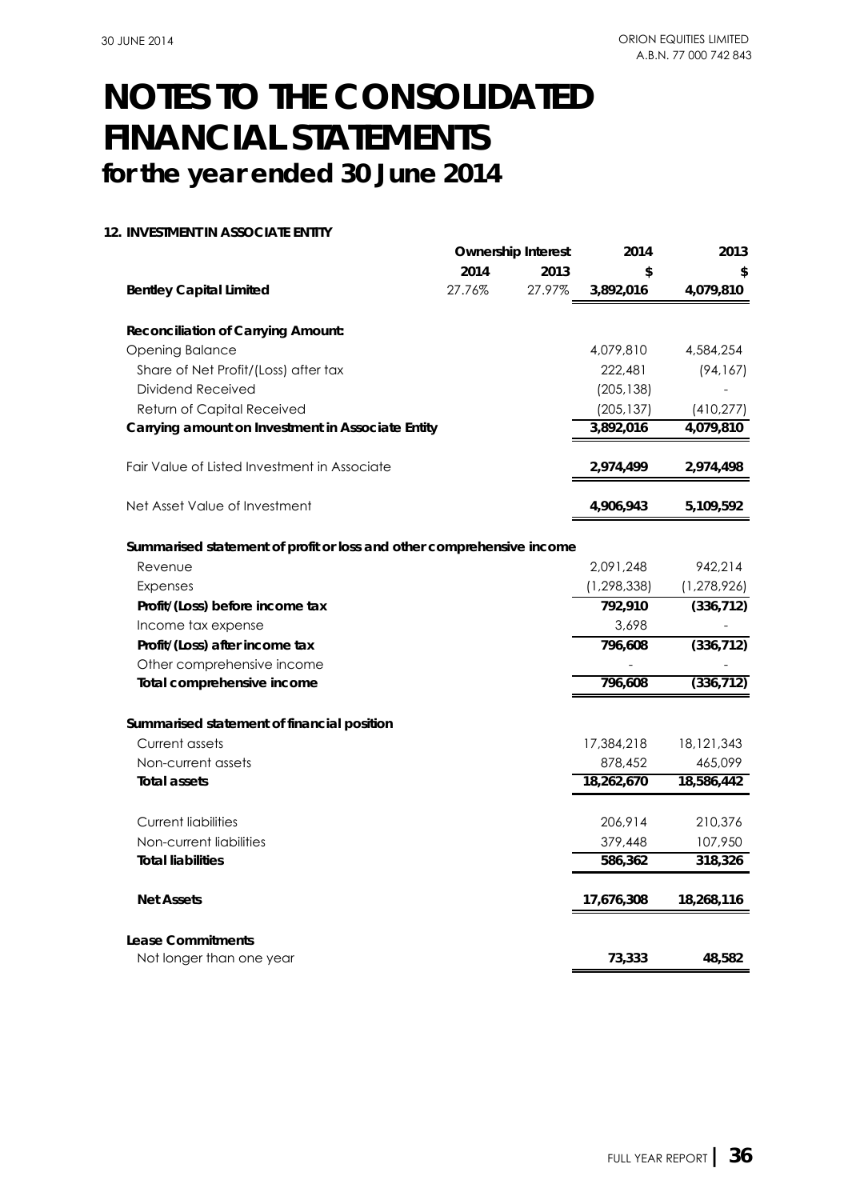## **12. INVESTMENT IN ASSOCIATE ENTITY**

|                                                                       |        | <b>Ownership Interest</b> | 2014          | 2013          |
|-----------------------------------------------------------------------|--------|---------------------------|---------------|---------------|
|                                                                       | 2014   | 2013                      | \$            |               |
| <b>Bentley Capital Limited</b>                                        | 27.76% | 27.97%                    | 3,892,016     | 4,079,810     |
| <b>Reconciliation of Carrying Amount:</b>                             |        |                           |               |               |
| <b>Opening Balance</b>                                                |        |                           | 4,079,810     | 4,584,254     |
| Share of Net Profit/(Loss) after tax                                  |        |                           | 222,481       | (94, 167)     |
| Dividend Received                                                     |        |                           | (205, 138)    |               |
| Return of Capital Received                                            |        |                           | (205, 137)    | (410, 277)    |
| Carrying amount on Investment in Associate Entity                     |        |                           | 3,892,016     | 4,079,810     |
| Fair Value of Listed Investment in Associate                          |        |                           | 2,974,499     | 2,974,498     |
| Net Asset Value of Investment                                         |        |                           | 4,906,943     | 5,109,592     |
| Summarised statement of profit or loss and other comprehensive income |        |                           |               |               |
| Revenue                                                               |        |                           | 2,091,248     | 942,214       |
| Expenses                                                              |        |                           | (1, 298, 338) | (1, 278, 926) |
| Profit/(Loss) before income tax                                       |        |                           | 792,910       | (336, 712)    |
| Income tax expense                                                    |        |                           | 3,698         |               |
| Profit/(Loss) after income tax                                        |        |                           | 796,608       | (336, 712)    |
| Other comprehensive income                                            |        |                           |               |               |
| Total comprehensive income                                            |        |                           | 796,608       | (336, 712)    |
| Summarised statement of financial position                            |        |                           |               |               |
| Current assets                                                        |        |                           | 17,384,218    | 18,121,343    |
| Non-current assets                                                    |        |                           | 878,452       | 465,099       |
| <b>Total assets</b>                                                   |        |                           | 18,262,670    | 18,586,442    |
| <b>Current liabilities</b>                                            |        |                           | 206,914       | 210,376       |
| Non-current liabilities                                               |        |                           | 379,448       | 107,950       |
| <b>Total liabilities</b>                                              |        |                           | 586,362       | 318,326       |
|                                                                       |        |                           |               |               |
| <b>Net Assets</b>                                                     |        |                           | 17,676,308    | 18,268,116    |
| <b>Lease Commitments</b>                                              |        |                           |               |               |
| Not longer than one year                                              |        |                           | 73,333        | 48,582        |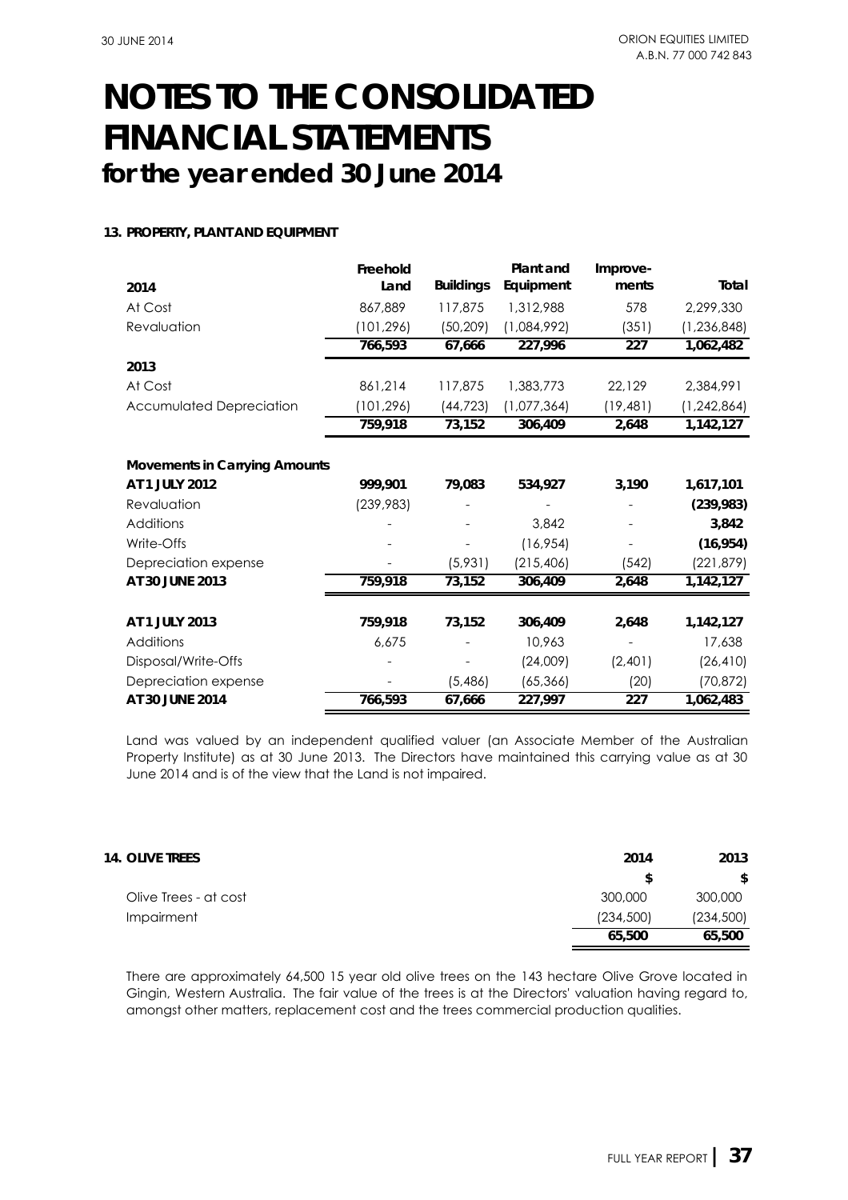## **13. PROPERTY, PLANT AND EQUIPMENT**

|                                      | Freehold   |                  | Plant and   | Improve-                 |               |
|--------------------------------------|------------|------------------|-------------|--------------------------|---------------|
| 2014                                 | Land       | <b>Buildings</b> | Equipment   | ments                    | Total         |
| At Cost                              | 867,889    | 117,875          | 1,312,988   | 578                      | 2,299,330     |
| Revaluation                          | (101, 296) | (50, 209)        | (1,084,992) | (351)                    | (1, 236, 848) |
|                                      | 766,593    | 67,666           | 227,996     | 227                      | 1,062,482     |
| 2013                                 |            |                  |             |                          |               |
| At Cost                              | 861,214    | 117,875          | 1,383,773   | 22,129                   | 2,384,991     |
| Accumulated Depreciation             | (101, 296) | (44, 723)        | (1,077,364) | (19, 481)                | (1,242,864)   |
|                                      | 759,918    | 73,152           | 306,409     | 2,648                    | 1,142,127     |
|                                      |            |                  |             |                          |               |
| <b>Movements in Carrying Amounts</b> |            |                  |             |                          |               |
| AT 1 JULY 2012                       | 999,901    | 79,083           | 534,927     | 3,190                    | 1,617,101     |
| Revaluation                          | (239,983)  |                  |             |                          | (239, 983)    |
| Additions                            |            |                  | 3,842       | $\overline{\phantom{a}}$ | 3,842         |
| Write-Offs                           |            |                  | (16,954)    |                          | (16, 954)     |
| Depreciation expense                 |            | (5,931)          | (215, 406)  | (542)                    | (221, 879)    |
| AT 30 JUNE 2013                      | 759,918    | 73,152           | 306,409     | 2,648                    | 1,142,127     |
|                                      |            |                  |             |                          |               |
| AT 1 JULY 2013                       | 759,918    | 73,152           | 306,409     | 2,648                    | 1,142,127     |
| Additions                            | 6,675      |                  | 10,963      |                          | 17,638        |
| Disposal/Write-Offs                  |            |                  | (24,009)    | (2,401)                  | (26, 410)     |
| Depreciation expense                 |            | (5,486)          | (65, 366)   | (20)                     | (70, 872)     |
| AT 30 JUNE 2014                      | 766,593    | 67,666           | 227,997     | 227                      | 1,062,483     |

Land was valued by an independent qualified valuer (an Associate Member of the Australian Property Institute) as at 30 June 2013. The Directors have maintained this carrying value as at 30 June 2014 and is of the view that the Land is not impaired.

| <b>14. OLIVE TREES</b> | 2014       | 2013      |
|------------------------|------------|-----------|
|                        |            | \$        |
| Olive Trees - at cost  | 300,000    | 300,000   |
| <i>Impairment</i>      | (234, 500) | (234,500) |
|                        | 65,500     | 65,500    |

There are approximately 64,500 15 year old olive trees on the 143 hectare Olive Grove located in Gingin, Western Australia. The fair value of the trees is at the Directors' valuation having regard to, amongst other matters, replacement cost and the trees commercial production qualities.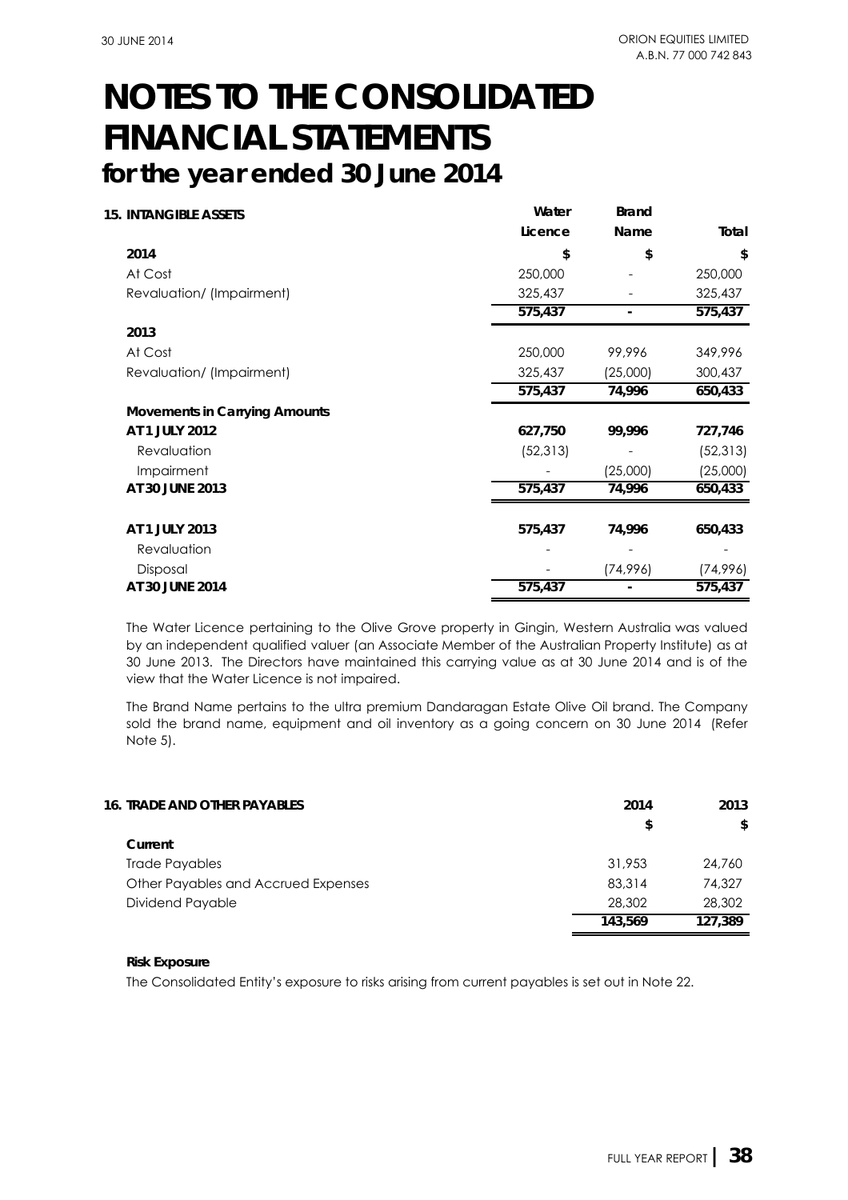| <b>15. INTANGIBLE ASSETS</b>         | Water     | <b>Brand</b> |           |
|--------------------------------------|-----------|--------------|-----------|
|                                      | Licence   | Name         | Total     |
| 2014                                 | \$        | \$           | \$        |
| At Cost                              | 250,000   |              | 250,000   |
| Revaluation/ (Impairment)            | 325,437   |              | 325,437   |
|                                      | 575,437   |              | 575,437   |
| 2013                                 |           |              |           |
| At Cost                              | 250,000   | 99,996       | 349,996   |
| Revaluation/ (Impairment)            | 325,437   | (25,000)     | 300,437   |
|                                      | 575,437   | 74,996       | 650,433   |
| <b>Movements in Carrying Amounts</b> |           |              |           |
| AT 1 JULY 2012                       | 627,750   | 99,996       | 727,746   |
| Revaluation                          | (52, 313) |              | (52, 313) |
| Impairment                           |           | (25,000)     | (25,000)  |
| AT 30 JUNE 2013                      | 575,437   | 74,996       | 650,433   |
| AT 1 JULY 2013                       | 575,437   | 74,996       | 650,433   |
| Revaluation                          |           |              |           |
| Disposal                             |           | (74,996)     | (74,996)  |
| AT 30 JUNE 2014                      | 575,437   |              | 575,437   |

The Water Licence pertaining to the Olive Grove property in Gingin, Western Australia was valued by an independent qualified valuer (an Associate Member of the Australian Property Institute) as at 30 June 2013. The Directors have maintained this carrying value as at 30 June 2014 and is of the view that the Water Licence is not impaired.

The Brand Name pertains to the ultra premium Dandaragan Estate Olive Oil brand. The Company sold the brand name, equipment and oil inventory as a going concern on 30 June 2014 (Refer Note 5).

| <b>16. TRADE AND OTHER PAYABLES</b> | 2014    | 2013    |
|-------------------------------------|---------|---------|
|                                     | \$      | \$      |
| Current                             |         |         |
| Trade Payables                      | 31,953  | 24,760  |
| Other Payables and Accrued Expenses | 83,314  | 74,327  |
| Dividend Payable                    | 28,302  | 28,302  |
|                                     | 143.569 | 127.389 |

### **Risk Exposure**

The Consolidated Entity's exposure to risks arising from current payables is set out in Note 22.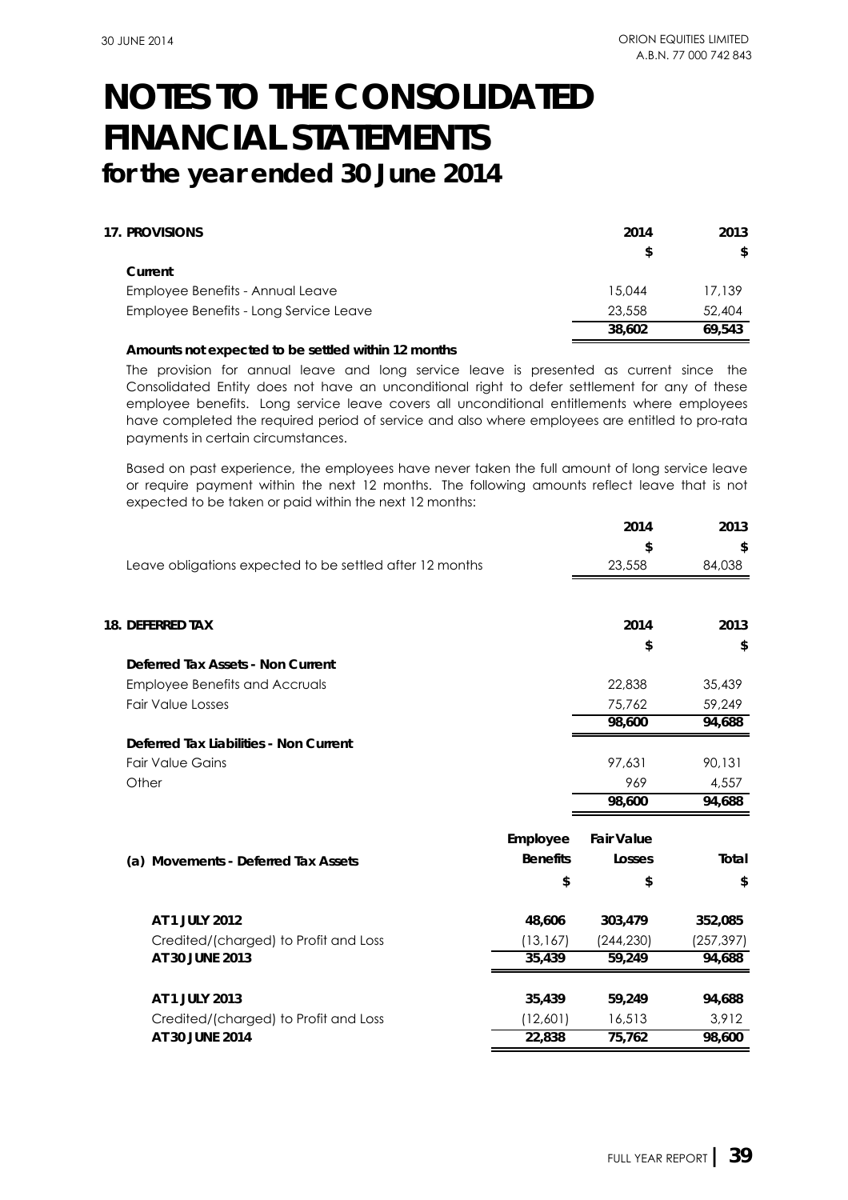| <b>17. PROVISIONS</b>                  | 2014   | 2013   |
|----------------------------------------|--------|--------|
|                                        | S      | S.     |
| Current                                |        |        |
| Employee Benefits - Annual Leave       | 15,044 | 17,139 |
| Employee Benefits - Long Service Leave | 23,558 | 52,404 |
|                                        | 38.602 | 69.543 |

## **Amounts not expected to be settled within 12 months**

The provision for annual leave and long service leave is presented as current since the Consolidated Entity does not have an unconditional right to defer settlement for any of these employee benefits. Long service leave covers all unconditional entitlements where employees have completed the required period of service and also where employees are entitled to pro-rata payments in certain circumstances.

Based on past experience, the employees have never taken the full amount of long service leave or require payment within the next 12 months. The following amounts reflect leave that is not expected to be taken or paid within the next 12 months:

|                                                          |                 | 2014              | 2013       |
|----------------------------------------------------------|-----------------|-------------------|------------|
|                                                          |                 | \$                | \$         |
| Leave obligations expected to be settled after 12 months |                 | 23,558            | 84,038     |
|                                                          |                 |                   |            |
| <b>18. DEFERRED TAX</b>                                  |                 | 2014              | 2013       |
|                                                          |                 | \$                | \$         |
| Deferred Tax Assets - Non Current                        |                 |                   |            |
| <b>Employee Benefits and Accruals</b>                    |                 | 22,838            | 35,439     |
| <b>Fair Value Losses</b>                                 |                 | 75,762            | 59,249     |
|                                                          |                 | 98,600            | 94,688     |
| Deferred Tax Liabilities - Non Current                   |                 |                   |            |
| <b>Fair Value Gains</b>                                  |                 | 97,631            | 90,131     |
| Other                                                    |                 | 969               | 4,557      |
|                                                          |                 | 98,600            | 94,688     |
|                                                          | Employee        | <b>Fair Value</b> |            |
| (a) Movements - Deferred Tax Assets                      | <b>Benefits</b> | Losses            | Total      |
|                                                          | \$              | \$                | \$         |
| AT 1 JULY 2012                                           | 48,606          | 303,479           | 352,085    |
| Credited/(charged) to Profit and Loss                    | (13, 167)       | (244, 230)        | (257, 397) |
| AT 30 JUNE 2013                                          | 35,439          | 59,249            | 94,688     |
| AT 1 JULY 2013                                           | 35,439          | 59,249            | 94,688     |
| Credited/(charged) to Profit and Loss                    | (12,601)        | 16,513            | 3,912      |
| AT 30 JUNE 2014                                          | 22,838          | 75,762            | 98,600     |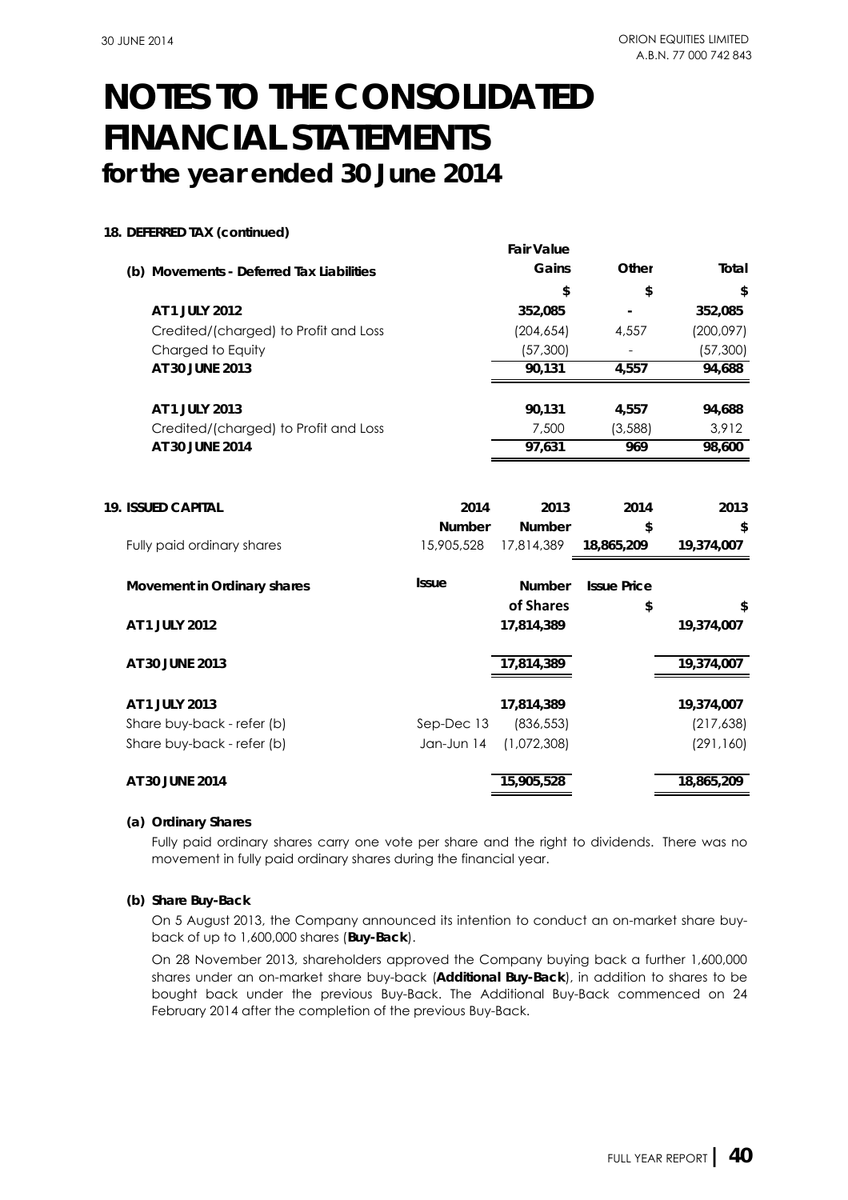### **18. DEFERRED TAX (continued)**

| (b) Movements - Deferred Tax Liabilities |               | Gains         | Other              | Total      |
|------------------------------------------|---------------|---------------|--------------------|------------|
|                                          |               | \$            | \$                 | S          |
| AT 1 JULY 2012                           |               | 352,085       |                    | 352,085    |
| Credited/(charged) to Profit and Loss    |               | (204, 654)    | 4,557              | (200, 097) |
| Charged to Equity                        |               | (57,300)      |                    | (57, 300)  |
| AT 30 JUNE 2013                          |               | 90,131        | 4,557              | 94,688     |
|                                          |               |               |                    |            |
| AT 1 JULY 2013                           |               | 90,131        | 4,557              | 94,688     |
| Credited/(charged) to Profit and Loss    |               | 7,500         | (3, 588)           | 3,912      |
| AT 30 JUNE 2014                          |               | 97,631        | 969                | 98,600     |
|                                          |               |               |                    |            |
| 19. ISSUED CAPITAL                       | 2014          | 2013          | 2014               | 2013       |
|                                          | <b>Number</b> | <b>Number</b> | \$                 |            |
| Fully paid ordinary shares               | 15,905,528    | 17,814,389    | 18,865,209         | 19,374,007 |
|                                          |               |               |                    |            |
| Movement in Ordinary shares              | <b>Issue</b>  | <b>Number</b> | <b>Issue Price</b> |            |
|                                          |               | of Shares     | \$                 | \$         |
| AT 1 JULY 2012                           |               | 17,814,389    |                    | 19,374,007 |
|                                          |               |               |                    |            |
| AT 30 JUNE 2013                          |               | 17,814,389    |                    | 19,374,007 |
|                                          |               |               |                    |            |
| AT 1 JULY 2013                           |               | 17,814,389    |                    | 19,374,007 |
| Share buy-back - refer (b)               | Sep-Dec 13    | (836, 553)    |                    | (217, 638) |
| Share buy-back - refer (b)               | Jan-Jun 14    | (1,072,308)   |                    | (291, 160) |
|                                          |               |               |                    |            |
| AT 30 JUNE 2014                          |               | 15,905,528    |                    | 18,865,209 |
|                                          |               |               |                    |            |

**Fair Value** 

### **(a) Ordinary Shares**

Fully paid ordinary shares carry one vote per share and the right to dividends. There was no movement in fully paid ordinary shares during the financial year.

### **(b) Share Buy-Back**

On 5 August 2013, the Company announced its intention to conduct an on-market share buyback of up to 1,600,000 shares (**Buy-Back**).

On 28 November 2013, shareholders approved the Company buying back a further 1,600,000 shares under an on-market share buy-back (**Additional Buy-Back**), in addition to shares to be bought back under the previous Buy-Back. The Additional Buy-Back commenced on 24 February 2014 after the completion of the previous Buy-Back.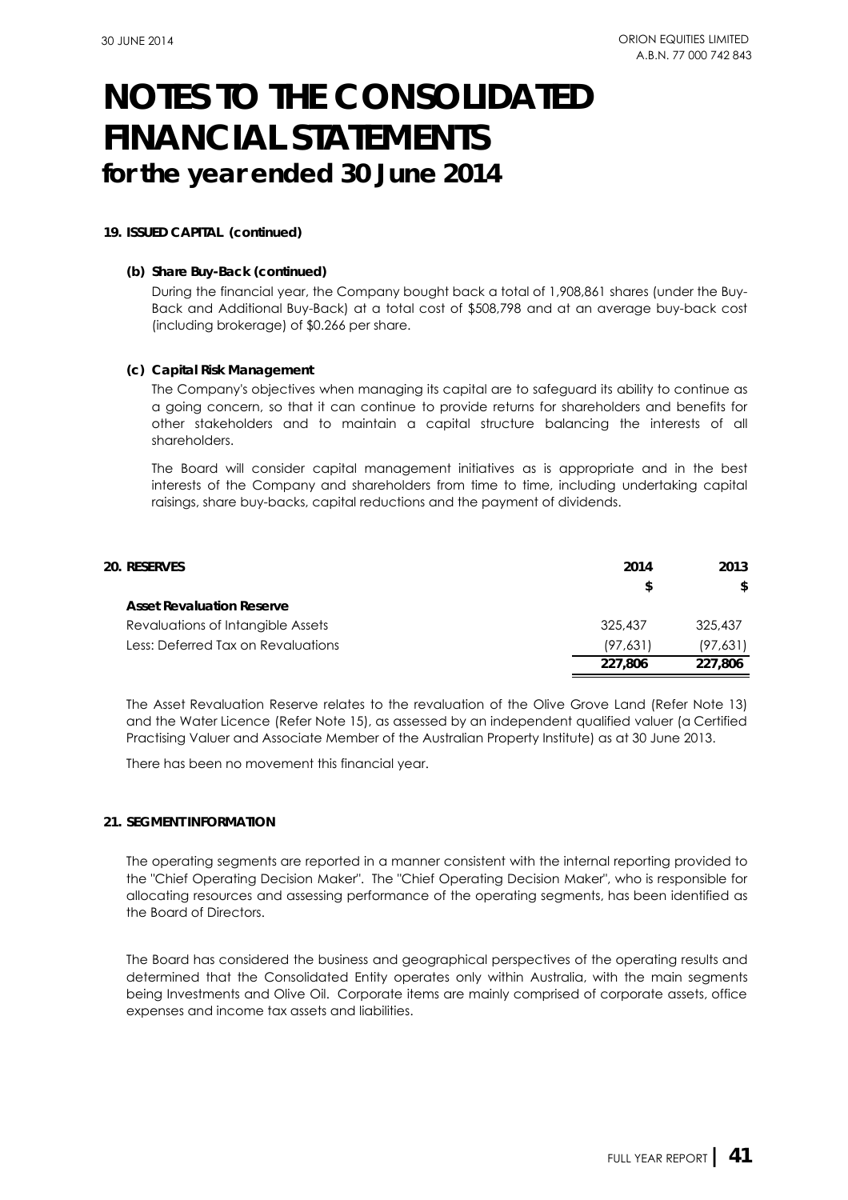### **19. ISSUED CAPITAL (continued)**

### **(b) Share Buy-Back (continued)**

During the financial year, the Company bought back a total of 1,908,861 shares (under the Buy-Back and Additional Buy-Back) at a total cost of \$508,798 and at an average buy-back cost (including brokerage) of \$0.266 per share.

### **(c) Capital Risk Management**

The Company's objectives when managing its capital are to safeguard its ability to continue as a going concern, so that it can continue to provide returns for shareholders and benefits for other stakeholders and to maintain a capital structure balancing the interests of all shareholders.

The Board will consider capital management initiatives as is appropriate and in the best interests of the Company and shareholders from time to time, including undertaking capital raisings, share buy-backs, capital reductions and the payment of dividends.

| 20. RESERVES                       | 2014     | 2013      |
|------------------------------------|----------|-----------|
|                                    | \$       | \$        |
| <b>Asset Revaluation Reserve</b>   |          |           |
| Revaluations of Intangible Assets  | 325,437  | 325,437   |
| Less: Deferred Tax on Revaluations | (97,631) | (97, 631) |
|                                    | 227,806  | 227,806   |

The Asset Revaluation Reserve relates to the revaluation of the Olive Grove Land (Refer Note 13) and the Water Licence (Refer Note 15), as assessed by an independent qualified valuer (a Certified Practising Valuer and Associate Member of the Australian Property Institute) as at 30 June 2013.

There has been no movement this financial year.

### **21. SEGMENT INFORMATION**

The operating segments are reported in a manner consistent with the internal reporting provided to the "Chief Operating Decision Maker". The "Chief Operating Decision Maker", who is responsible for allocating resources and assessing performance of the operating segments, has been identified as the Board of Directors.

The Board has considered the business and geographical perspectives of the operating results and determined that the Consolidated Entity operates only within Australia, with the main segments being Investments and Olive Oil. Corporate items are mainly comprised of corporate assets, office expenses and income tax assets and liabilities.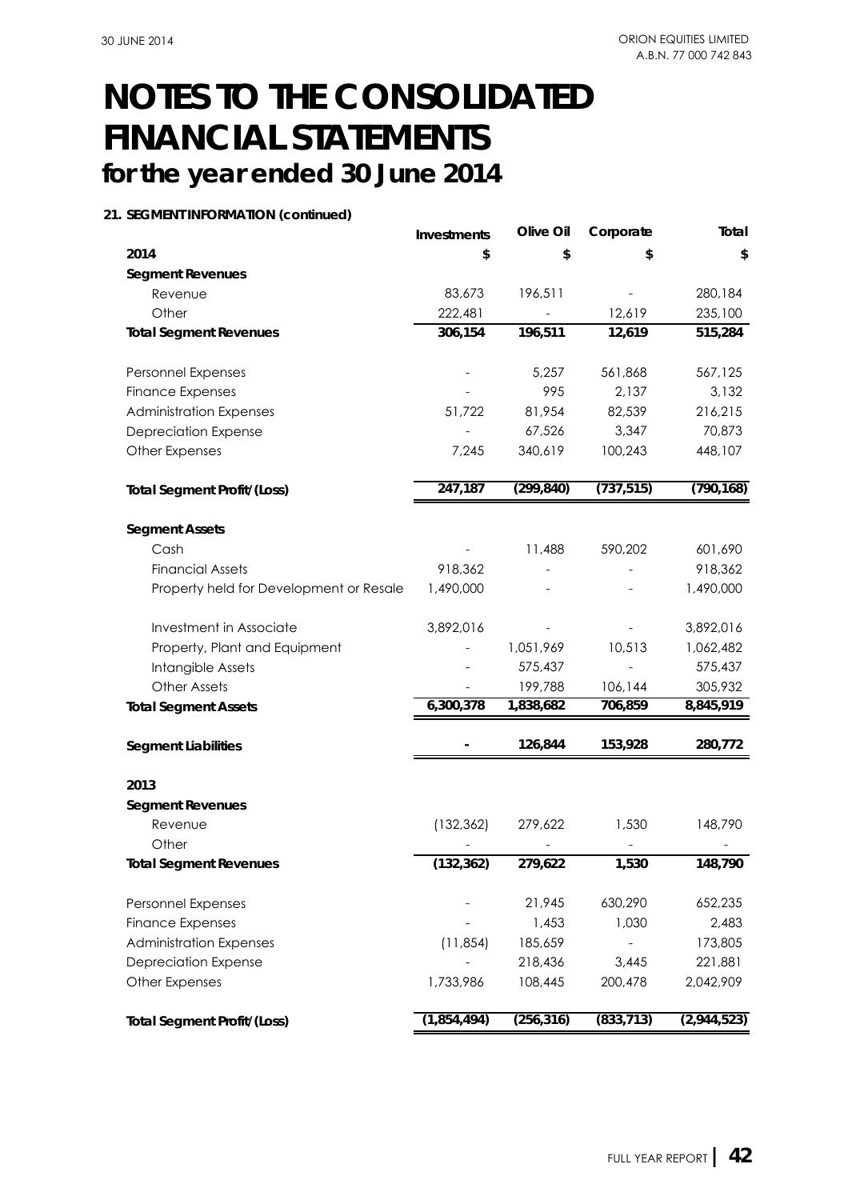## **21. SEGMENT INFORMATION (continued)**

|                                         | Investments | Olive Oil  | Corporate  | Total       |
|-----------------------------------------|-------------|------------|------------|-------------|
| 2014                                    | \$          | \$         | \$         | \$          |
| <b>Segment Revenues</b>                 |             |            |            |             |
| Revenue                                 | 83,673      | 196,511    |            | 280,184     |
| Other                                   | 222,481     |            | 12,619     | 235,100     |
| <b>Total Segment Revenues</b>           | 306,154     | 196,511    | 12,619     | 515,284     |
| Personnel Expenses                      |             | 5,257      | 561,868    | 567,125     |
| <b>Finance Expenses</b>                 |             | 995        | 2,137      | 3,132       |
| <b>Administration Expenses</b>          | 51,722      | 81,954     | 82,539     | 216,215     |
| <b>Depreciation Expense</b>             |             | 67,526     | 3,347      | 70,873      |
| Other Expenses                          | 7,245       | 340,619    | 100,243    | 448,107     |
| <b>Total Segment Profit/(Loss)</b>      | 247,187     | (299, 840) | (737, 515) | (790, 168)  |
| <b>Segment Assets</b>                   |             |            |            |             |
| Cash                                    |             | 11,488     | 590,202    | 601,690     |
| <b>Financial Assets</b>                 | 918,362     |            |            | 918,362     |
| Property held for Development or Resale | 1,490,000   |            |            | 1,490,000   |
| Investment in Associate                 | 3,892,016   |            |            | 3,892,016   |
| Property, Plant and Equipment           |             | 1,051,969  | 10,513     | 1,062,482   |
| Intangible Assets                       |             | 575,437    |            | 575,437     |
| <b>Other Assets</b>                     |             | 199,788    | 106,144    | 305,932     |
| <b>Total Segment Assets</b>             | 6,300,378   | 1,838,682  | 706,859    | 8,845,919   |
| <b>Segment Liabilities</b>              |             | 126,844    | 153,928    | 280,772     |
| 2013                                    |             |            |            |             |
| <b>Segment Revenues</b>                 |             |            |            |             |
| Revenue                                 | (132, 362)  | 279,622    | 1,530      | 148,790     |
| Other                                   |             |            |            |             |
| <b>Total Segment Revenues</b>           | (132, 362)  | 279,622    | 1,530      | 148,790     |
| <b>Personnel Expenses</b>               |             | 21,945     | 630,290    | 652,235     |
| <b>Finance Expenses</b>                 |             | 1,453      | 1,030      | 2,483       |
| <b>Administration Expenses</b>          | (11, 854)   | 185,659    |            | 173,805     |
| <b>Depreciation Expense</b>             |             | 218,436    | 3,445      | 221,881     |
| Other Expenses                          | 1,733,986   | 108,445    | 200,478    | 2,042,909   |
| <b>Total Segment Profit/(Loss)</b>      | (1,854,494) | (256, 316) | (833, 713) | (2,944,523) |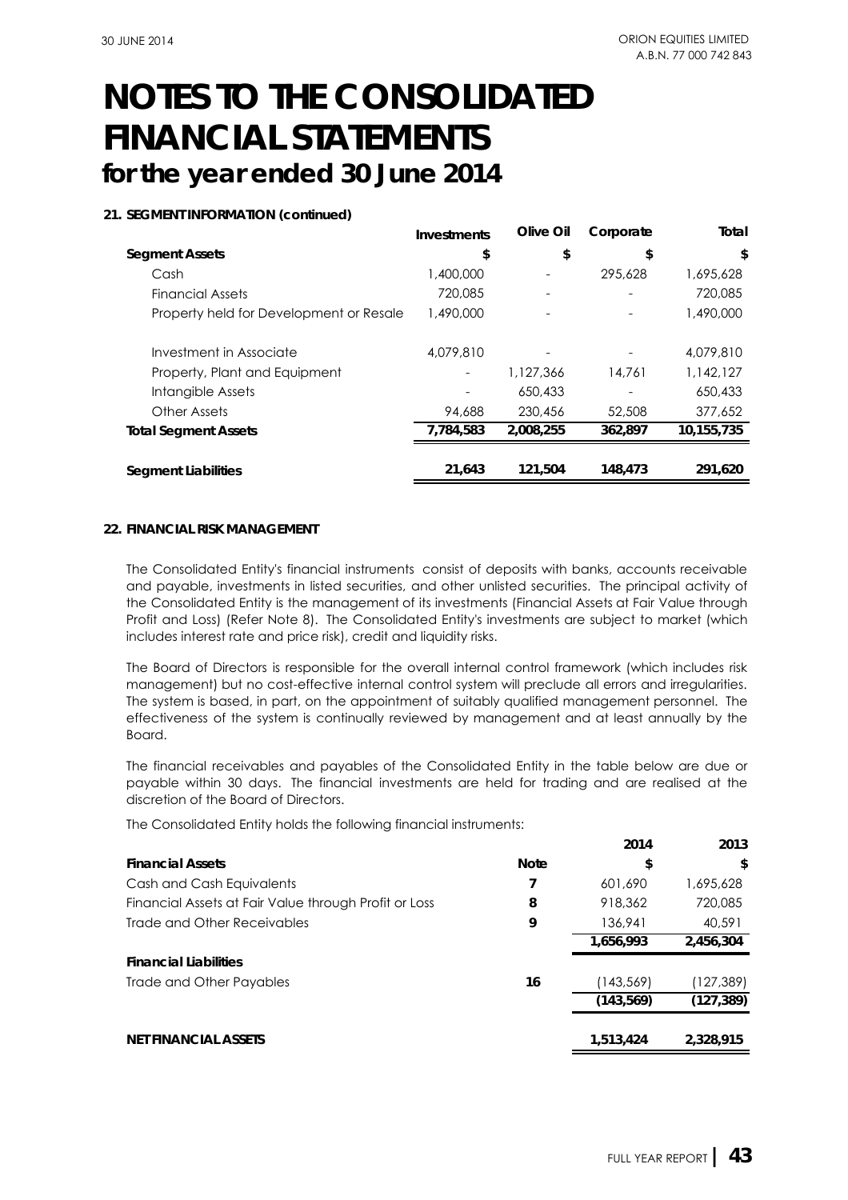### **21. SEGMENT INFORMATION (continued)**

|                                         | Investments | Olive Oil | Corporate                | Total      |
|-----------------------------------------|-------------|-----------|--------------------------|------------|
| <b>Segment Assets</b>                   | \$          | \$        | \$                       | \$         |
| Cash                                    | 1,400,000   |           | 295,628                  | 1,695,628  |
| <b>Financial Assets</b>                 | 720,085     |           |                          | 720,085    |
| Property held for Development or Resale | 1,490,000   |           |                          | 1,490,000  |
| Investment in Associate                 | 4,079,810   |           |                          | 4,079,810  |
| Property, Plant and Equipment           |             | 1,127,366 | 14.761                   | 1,142,127  |
| Intangible Assets                       |             | 650,433   | $\overline{\phantom{a}}$ | 650,433    |
| Other Assets                            | 94,688      | 230,456   | 52,508                   | 377,652    |
| <b>Total Segment Assets</b>             | 7,784,583   | 2.008.255 | 362.897                  | 10.155.735 |
| <b>Segment Liabilities</b>              | 21,643      | 121.504   | 148,473                  | 291,620    |

### **22. FINANCIAL RISK MANAGEMENT**

The Consolidated Entity's financial instruments consist of deposits with banks, accounts receivable and payable, investments in listed securities, and other unlisted securities. The principal activity of the Consolidated Entity is the management of its investments (Financial Assets at Fair Value through Profit and Loss) (Refer Note 8). The Consolidated Entity's investments are subject to market (which includes interest rate and price risk), credit and liquidity risks.

The Board of Directors is responsible for the overall internal control framework (which includes risk management) but no cost-effective internal control system will preclude all errors and irregularities. The system is based, in part, on the appointment of suitably qualified management personnel. The effectiveness of the system is continually reviewed by management and at least annually by the Board.

The financial receivables and payables of the Consolidated Entity in the table below are due or payable within 30 days. The financial investments are held for trading and are realised at the discretion of the Board of Directors.

The Consolidated Entity holds the following financial instruments:

|                                                       |             | 2014       | 2013       |
|-------------------------------------------------------|-------------|------------|------------|
| <b>Financial Assets</b>                               | <b>Note</b> | \$         | \$         |
| Cash and Cash Equivalents                             | 7           | 601,690    | 1,695,628  |
| Financial Assets at Fair Value through Profit or Loss | 8           | 918,362    | 720,085    |
| Trade and Other Receivables                           | 9           | 136,941    | 40,591     |
|                                                       |             | 1,656,993  | 2,456,304  |
| <b>Financial Liabilities</b>                          |             |            |            |
| Trade and Other Payables                              | 16          | (143,569)  | (127,389)  |
|                                                       |             | (143, 569) | (127, 389) |
|                                                       |             |            |            |
| <b>NET FINANCIAL ASSETS</b>                           |             | 1,513,424  | 2,328,915  |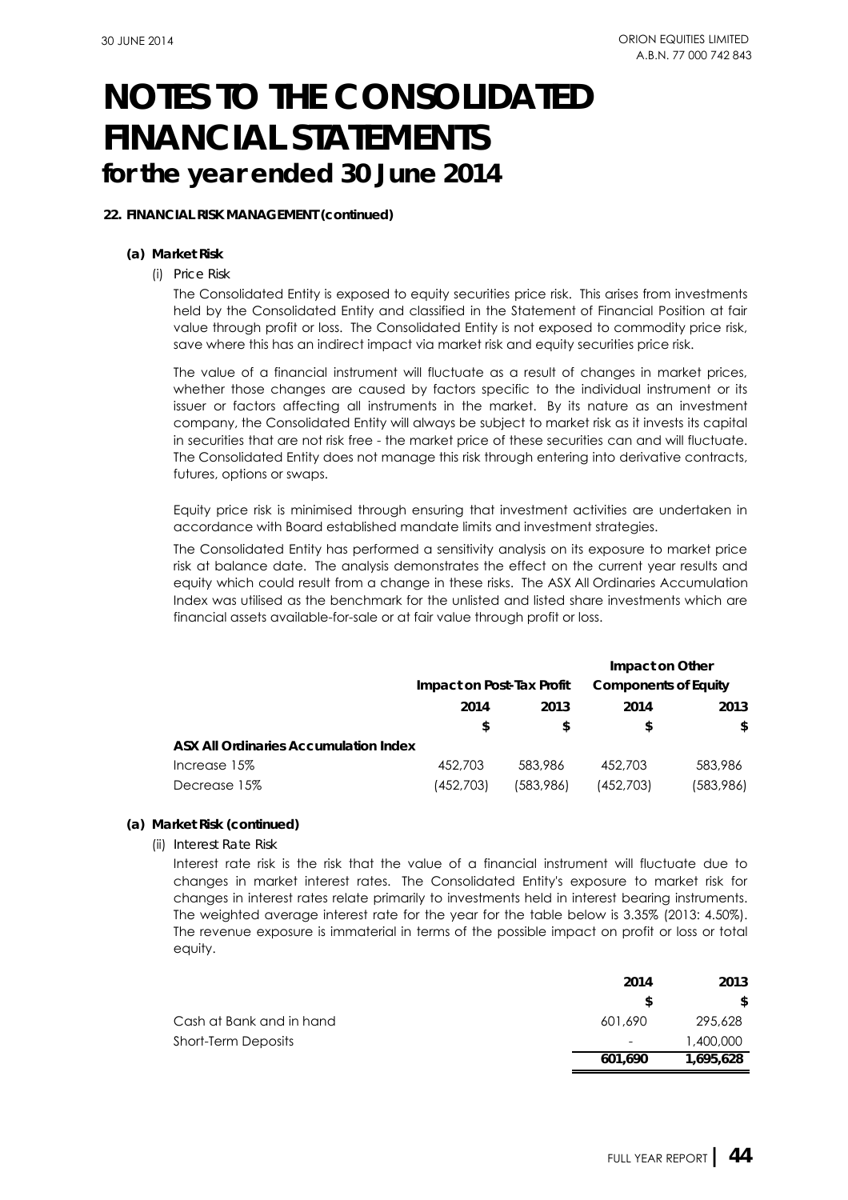### **22. FINANCIAL RISK MANAGEMENT (continued)**

### **(a) Market Risk**

(i) *Price Risk*

The Consolidated Entity is exposed to equity securities price risk. This arises from investments held by the Consolidated Entity and classified in the Statement of Financial Position at fair value through profit or loss. The Consolidated Entity is not exposed to commodity price risk, save where this has an indirect impact via market risk and equity securities price risk.

The value of a financial instrument will fluctuate as a result of changes in market prices, whether those changes are caused by factors specific to the individual instrument or its issuer or factors affecting all instruments in the market. By its nature as an investment company, the Consolidated Entity will always be subject to market risk as it invests its capital in securities that are not risk free - the market price of these securities can and will fluctuate. The Consolidated Entity does not manage this risk through entering into derivative contracts, futures, options or swaps.

Equity price risk is minimised through ensuring that investment activities are undertaken in accordance with Board established mandate limits and investment strategies.

The Consolidated Entity has performed a sensitivity analysis on its exposure to market price risk at balance date. The analysis demonstrates the effect on the current year results and equity which could result from a change in these risks. The ASX All Ordinaries Accumulation Index was utilised as the benchmark for the unlisted and listed share investments which are financial assets available-for-sale or at fair value through profit or loss.

|                                              |                           |           | Impact on Other             |           |
|----------------------------------------------|---------------------------|-----------|-----------------------------|-----------|
|                                              | Impact on Post-Tax Profit |           | <b>Components of Equity</b> |           |
|                                              | 2014                      | 2013      | 2014                        | 2013      |
|                                              | S                         | S         |                             | S.        |
| <b>ASX All Ordinaries Accumulation Index</b> |                           |           |                             |           |
| Increase 15%                                 | 452,703                   | 583,986   | 452,703                     | 583,986   |
| Decrease 15%                                 | (452,703)                 | (583,986) | (452,703)                   | (583,986) |

### **(a) Market Risk (continued)**

(ii) *Interest Rate Risk*

Interest rate risk is the risk that the value of a financial instrument will fluctuate due to changes in market interest rates. The Consolidated Entity's exposure to market risk for changes in interest rates relate primarily to investments held in interest bearing instruments. The weighted average interest rate for the year for the table below is 3.35% (2013: 4.50%). The revenue exposure is immaterial in terms of the possible impact on profit or loss or total equity.

|                          | 2014    | 2013      |
|--------------------------|---------|-----------|
|                          | S       | \$        |
| Cash at Bank and in hand | 601,690 | 295,628   |
| Short-Term Deposits      | -       | 1,400,000 |
|                          | 601.690 | 1,695,628 |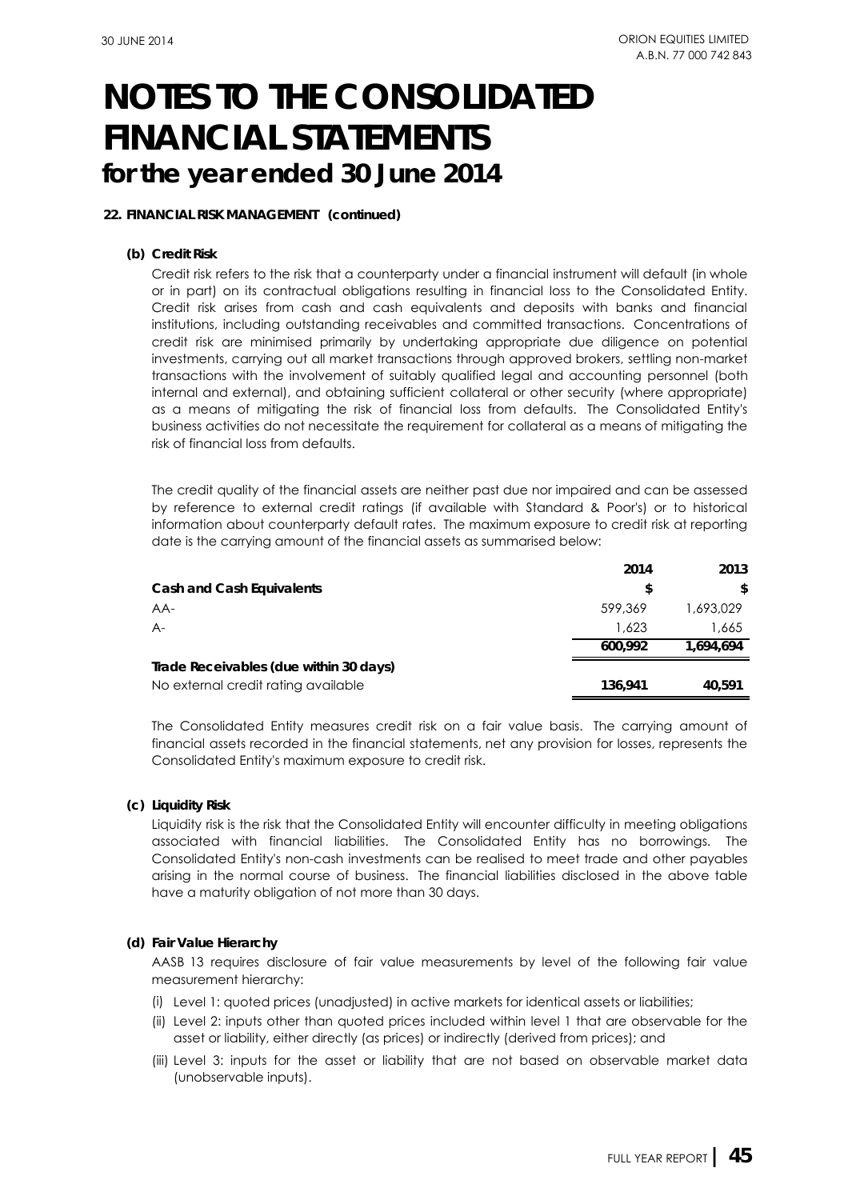### **22. FINANCIAL RISK MANAGEMENT (continued)**

### **(b) Credit Risk**

Credit risk refers to the risk that a counterparty under a financial instrument will default (in whole or in part) on its contractual obligations resulting in financial loss to the Consolidated Entity. Credit risk arises from cash and cash equivalents and deposits with banks and financial institutions, including outstanding receivables and committed transactions. Concentrations of credit risk are minimised primarily by undertaking appropriate due diligence on potential investments, carrying out all market transactions through approved brokers, settling non-market transactions with the involvement of suitably qualified legal and accounting personnel (both internal and external), and obtaining sufficient collateral or other security (where appropriate) as a means of mitigating the risk of financial loss from defaults. The Consolidated Entity's business activities do not necessitate the requirement for collateral as a means of mitigating the risk of financial loss from defaults.

The credit quality of the financial assets are neither past due nor impaired and can be assessed by reference to external credit ratings (if available with Standard & Poor's) or to historical information about counterparty default rates. The maximum exposure to credit risk at reporting date is the carrying amount of the financial assets as summarised below:

|                                        | 2014    | 2013      |
|----------------------------------------|---------|-----------|
| Cash and Cash Equivalents              | S.      | \$        |
| $AA-$                                  | 599,369 | 1,693,029 |
| A-                                     | 1.623   | 1,665     |
|                                        | 600.992 | 1,694,694 |
| Trade Receivables (due within 30 days) |         |           |
| No external credit rating available    | 136,941 | 40,591    |

The Consolidated Entity measures credit risk on a fair value basis. The carrying amount of financial assets recorded in the financial statements, net any provision for losses, represents the Consolidated Entity's maximum exposure to credit risk.

### **(c) Liquidity Risk**

Liquidity risk is the risk that the Consolidated Entity will encounter difficulty in meeting obligations associated with financial liabilities. The Consolidated Entity has no borrowings. The Consolidated Entity's non-cash investments can be realised to meet trade and other payables arising in the normal course of business. The financial liabilities disclosed in the above table have a maturity obligation of not more than 30 days.

### **(d) Fair Value Hierarchy**

AASB 13 requires disclosure of fair value measurements by level of the following fair value measurement hierarchy:

- (i) Level 1: quoted prices (unadjusted) in active markets for identical assets or liabilities;
- (ii) Level 2: inputs other than quoted prices included within level 1 that are observable for the asset or liability, either directly (as prices) or indirectly (derived from prices); and
- (iii) Level 3: inputs for the asset or liability that are not based on observable market data (unobservable inputs).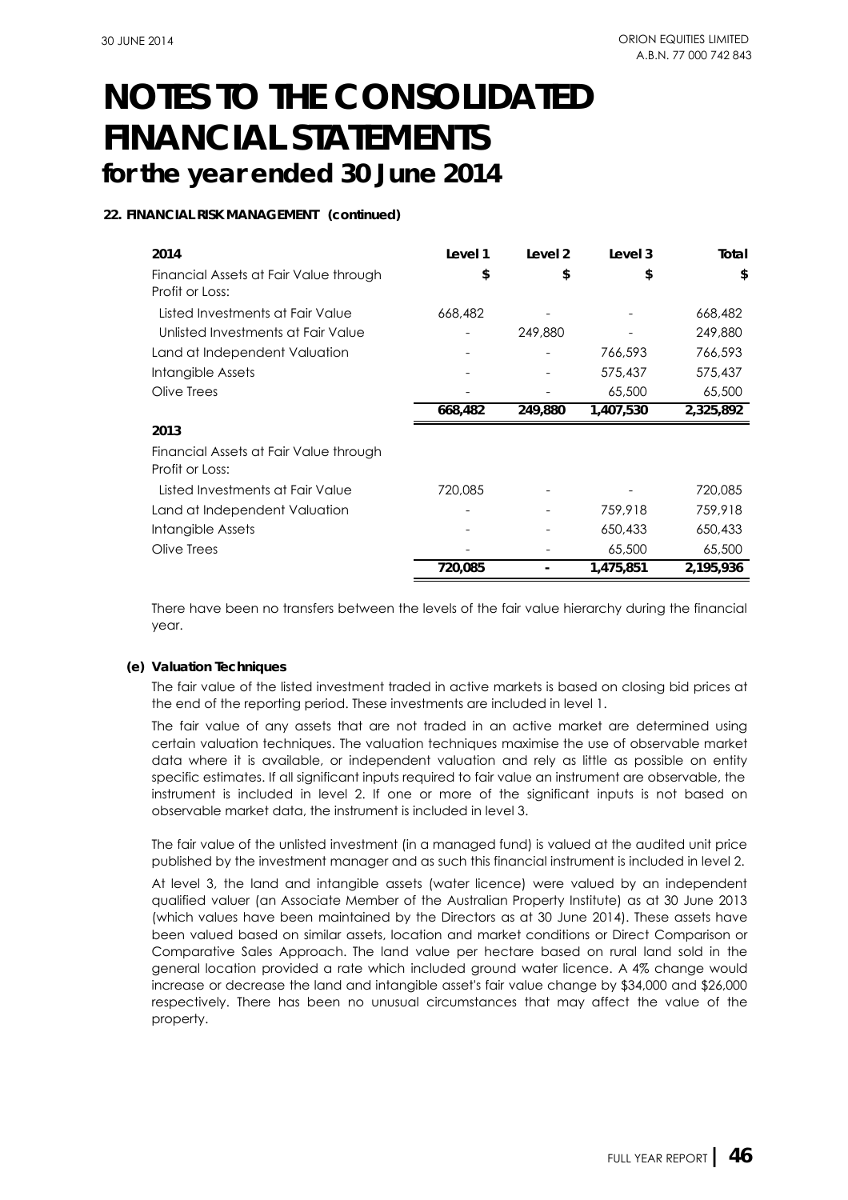### **22. FINANCIAL RISK MANAGEMENT (continued)**

| 2014                                                      | Level 1 | Level 2 | Level 3   | Total     |
|-----------------------------------------------------------|---------|---------|-----------|-----------|
| Financial Assets at Fair Value through<br>Profit or Loss: | \$      | \$      | \$        | \$        |
| Listed Investments at Fair Value                          | 668,482 |         |           | 668,482   |
| Unlisted Investments at Fair Value                        |         | 249,880 |           | 249,880   |
| Land at Independent Valuation                             |         |         | 766,593   | 766,593   |
| Intangible Assets                                         |         |         | 575,437   | 575,437   |
| Olive Trees                                               |         |         | 65,500    | 65,500    |
|                                                           | 668,482 | 249,880 | 1,407,530 | 2,325,892 |
| 2013                                                      |         |         |           |           |
| Financial Assets at Fair Value through<br>Profit or Loss: |         |         |           |           |
| Listed Investments at Fair Value                          | 720,085 |         |           | 720,085   |
| Land at Independent Valuation                             |         |         | 759,918   | 759,918   |
| Intangible Assets                                         |         |         | 650,433   | 650,433   |
| Olive Trees                                               |         |         | 65,500    | 65,500    |
|                                                           | 720,085 |         | 1,475,851 | 2,195,936 |

There have been no transfers between the levels of the fair value hierarchy during the financial year.

### **(e) Valuation Techniques**

The fair value of the listed investment traded in active markets is based on closing bid prices at the end of the reporting period. These investments are included in level 1.

The fair value of any assets that are not traded in an active market are determined using certain valuation techniques. The valuation techniques maximise the use of observable market data where it is available, or independent valuation and rely as little as possible on entity specific estimates. If all significant inputs required to fair value an instrument are observable, the instrument is included in level 2. If one or more of the significant inputs is not based on observable market data, the instrument is included in level 3.

The fair value of the unlisted investment (in a managed fund) is valued at the audited unit price published by the investment manager and as such this financial instrument is included in level 2.

At level 3, the land and intangible assets (water licence) were valued by an independent qualified valuer (an Associate Member of the Australian Property Institute) as at 30 June 2013 (which values have been maintained by the Directors as at 30 June 2014). These assets have been valued based on similar assets, location and market conditions or Direct Comparison or Comparative Sales Approach. The land value per hectare based on rural land sold in the general location provided a rate which included ground water licence. A 4% change would increase or decrease the land and intangible asset's fair value change by \$34,000 and \$26,000 respectively. There has been no unusual circumstances that may affect the value of the property.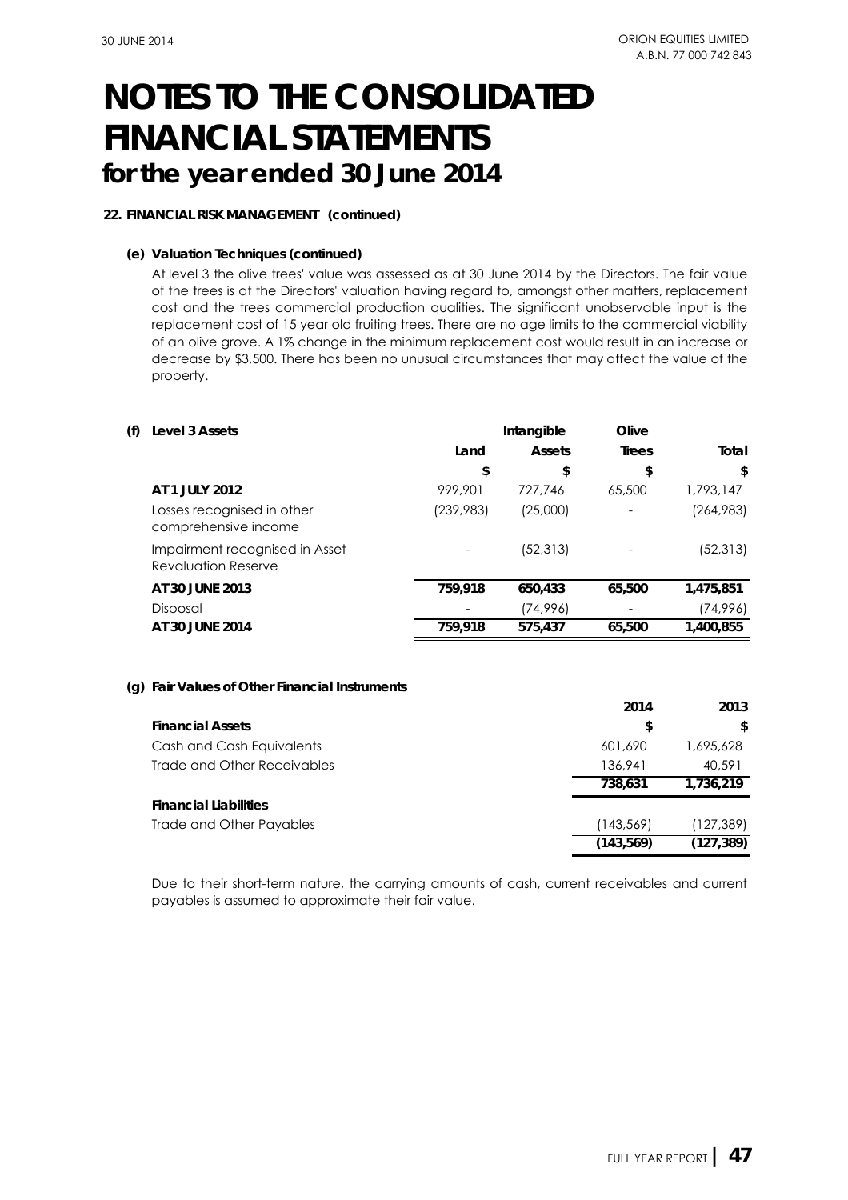### **22. FINANCIAL RISK MANAGEMENT (continued)**

### **(e) Valuation Techniques (continued)**

At level 3 the olive trees' value was assessed as at 30 June 2014 by the Directors. The fair value of the trees is at the Directors' valuation having regard to, amongst other matters, replacement cost and the trees commercial production qualities. The significant unobservable input is the replacement cost of 15 year old fruiting trees. There are no age limits to the commercial viability of an olive grove. A 1% change in the minimum replacement cost would result in an increase or decrease by \$3,500. There has been no unusual circumstances that may affect the value of the property.

| (f) | Level 3 Assets                                               |           | Intangible    | Olive        |            |
|-----|--------------------------------------------------------------|-----------|---------------|--------------|------------|
|     |                                                              | Land      | <b>Assets</b> | <b>Trees</b> | Total      |
|     |                                                              | \$        | \$            | \$           | \$         |
|     | AT 1 JULY 2012                                               | 999.901   | 727.746       | 65,500       | 1,793,147  |
|     | Losses recognised in other<br>comprehensive income           | (239,983) | (25,000)      |              | (264, 983) |
|     | Impairment recognised in Asset<br><b>Revaluation Reserve</b> |           | (52, 313)     |              | (52,313)   |
|     | AT 30 JUNE 2013                                              | 759,918   | 650,433       | 65,500       | 1,475,851  |
|     | Disposal                                                     |           | (74,996)      |              | (74,996)   |
|     | AT 30 JUNE 2014                                              | 759.918   | 575.437       | 65,500       | 1,400,855  |

### **(g) Fair Values of Other Financial Instruments**

|                                 | 2014       | 2013       |
|---------------------------------|------------|------------|
| <b>Financial Assets</b>         | \$         | \$         |
| Cash and Cash Equivalents       | 601,690    | 1,695,628  |
| Trade and Other Receivables     | 136.941    | 40,591     |
|                                 | 738,631    | 1,736,219  |
| <b>Financial Liabilities</b>    |            |            |
| <b>Trade and Other Payables</b> | (143, 569) | (127,389)  |
|                                 | (143, 569) | (127, 389) |

Due to their short-term nature, the carrying amounts of cash, current receivables and current payables is assumed to approximate their fair value.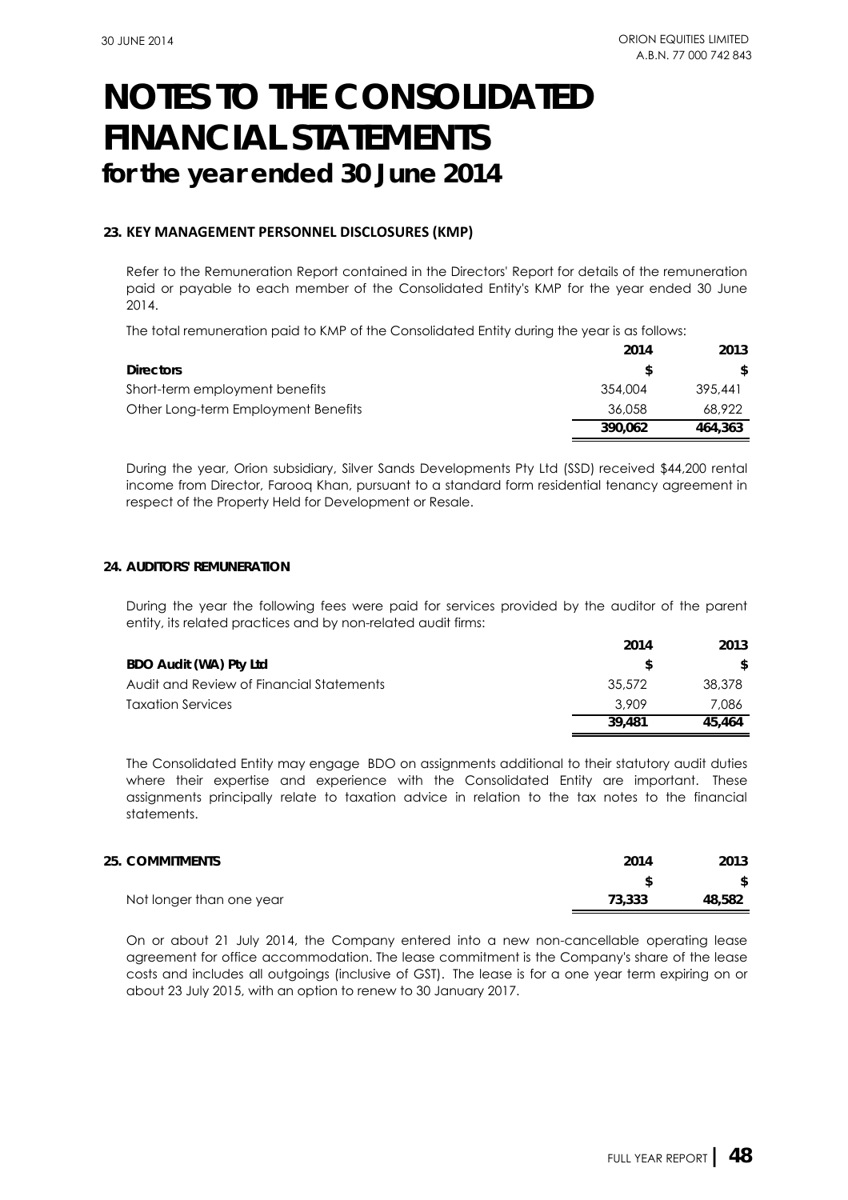## **23. KEY MANAGEMENT PERSONNEL DISCLOSURES (KMP)**

Refer to the Remuneration Report contained in the Directors' Report for details of the remuneration paid or payable to each member of the Consolidated Entity's KMP for the year ended 30 June 2014.

The total remuneration paid to KMP of the Consolidated Entity during the year is as follows:

|                                     | 2014    | 2013    |
|-------------------------------------|---------|---------|
| <b>Directors</b>                    | -S      | S.      |
| Short-term employment benefits      | 354.004 | 395.441 |
| Other Long-term Employment Benefits | 36,058  | 68,922  |
|                                     | 390.062 | 464,363 |

During the year, Orion subsidiary, Silver Sands Developments Pty Ltd (SSD) received \$44,200 rental income from Director, Farooq Khan, pursuant to a standard form residential tenancy agreement in respect of the Property Held for Development or Resale.

### **24. AUDITORS' REMUNERATION**

During the year the following fees were paid for services provided by the auditor of the parent entity, its related practices and by non-related audit firms:

|                                          | 2014   | 2013   |
|------------------------------------------|--------|--------|
| BDO Audit (WA) Pty Ltd                   | £.     |        |
| Audit and Review of Financial Statements | 35,572 | 38,378 |
| <b>Taxation Services</b>                 | 3.909  | 7,086  |
|                                          | 39,481 | 45,464 |

The Consolidated Entity may engage BDO on assignments additional to their statutory audit duties where their expertise and experience with the Consolidated Entity are important. These assignments principally relate to taxation advice in relation to the tax notes to the financial statements.

| 25. COMMITMENTS          | 2014   | 2013   |
|--------------------------|--------|--------|
|                          |        |        |
| Not longer than one year | 73,333 | 48,582 |

On or about 21 July 2014, the Company entered into a new non-cancellable operating lease agreement for office accommodation. The lease commitment is the Company's share of the lease costs and includes all outgoings (inclusive of GST). The lease is for a one year term expiring on or about 23 July 2015, with an option to renew to 30 January 2017.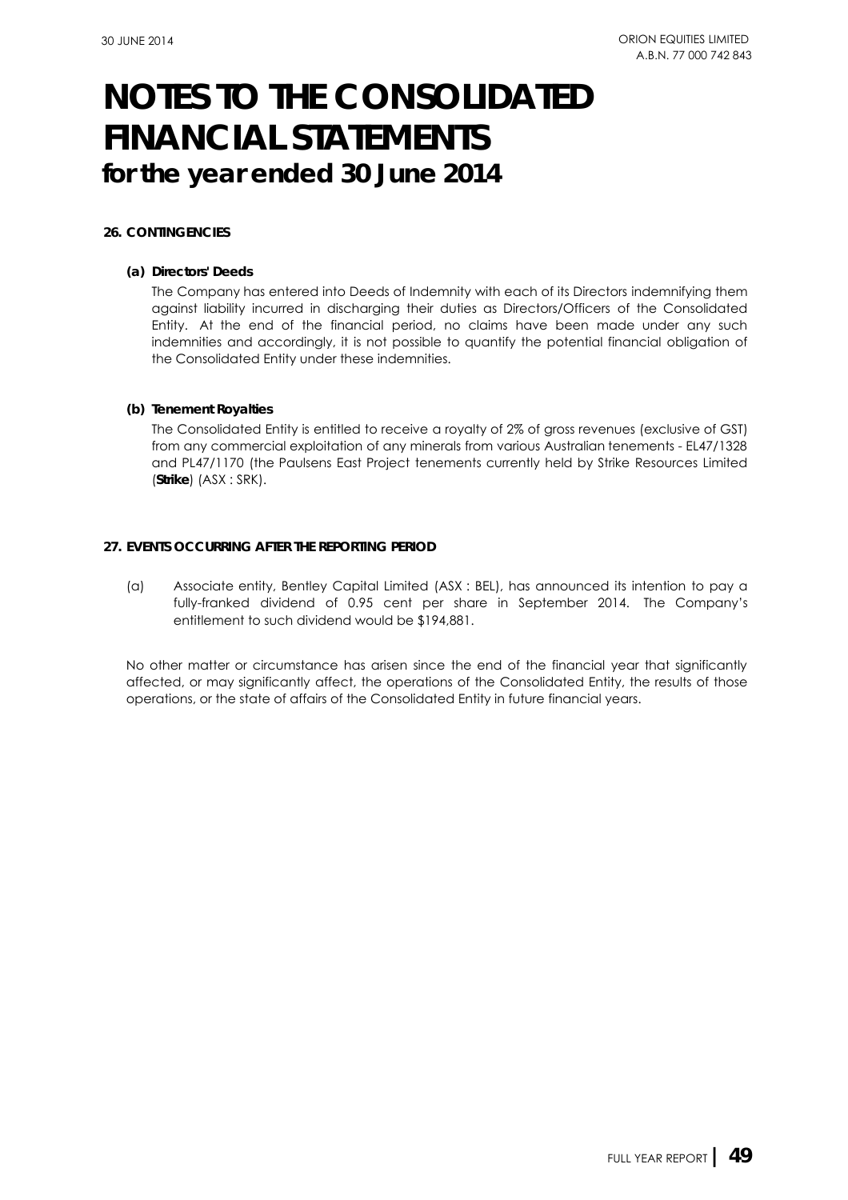### **26. CONTINGENCIES**

### **(a) Directors' Deeds**

The Company has entered into Deeds of Indemnity with each of its Directors indemnifying them against liability incurred in discharging their duties as Directors/Officers of the Consolidated Entity. At the end of the financial period, no claims have been made under any such indemnities and accordingly, it is not possible to quantify the potential financial obligation of the Consolidated Entity under these indemnities.

### **(b) Tenement Royalties**

The Consolidated Entity is entitled to receive a royalty of 2% of gross revenues (exclusive of GST) from any commercial exploitation of any minerals from various Australian tenements - EL47/1328 and PL47/1170 (the Paulsens East Project tenements currently held by Strike Resources Limited (**Strike**) (ASX : SRK).

### **27. EVENTS OCCURRING AFTER THE REPORTING PERIOD**

 $(a)$ Associate entity, Bentley Capital Limited (ASX : BEL), has announced its intention to pay a fully-franked dividend of 0.95 cent per share in September 2014. The Company's entitlement to such dividend would be \$194,881.

No other matter or circumstance has arisen since the end of the financial year that significantly affected, or may significantly affect, the operations of the Consolidated Entity, the results of those operations, or the state of affairs of the Consolidated Entity in future financial years.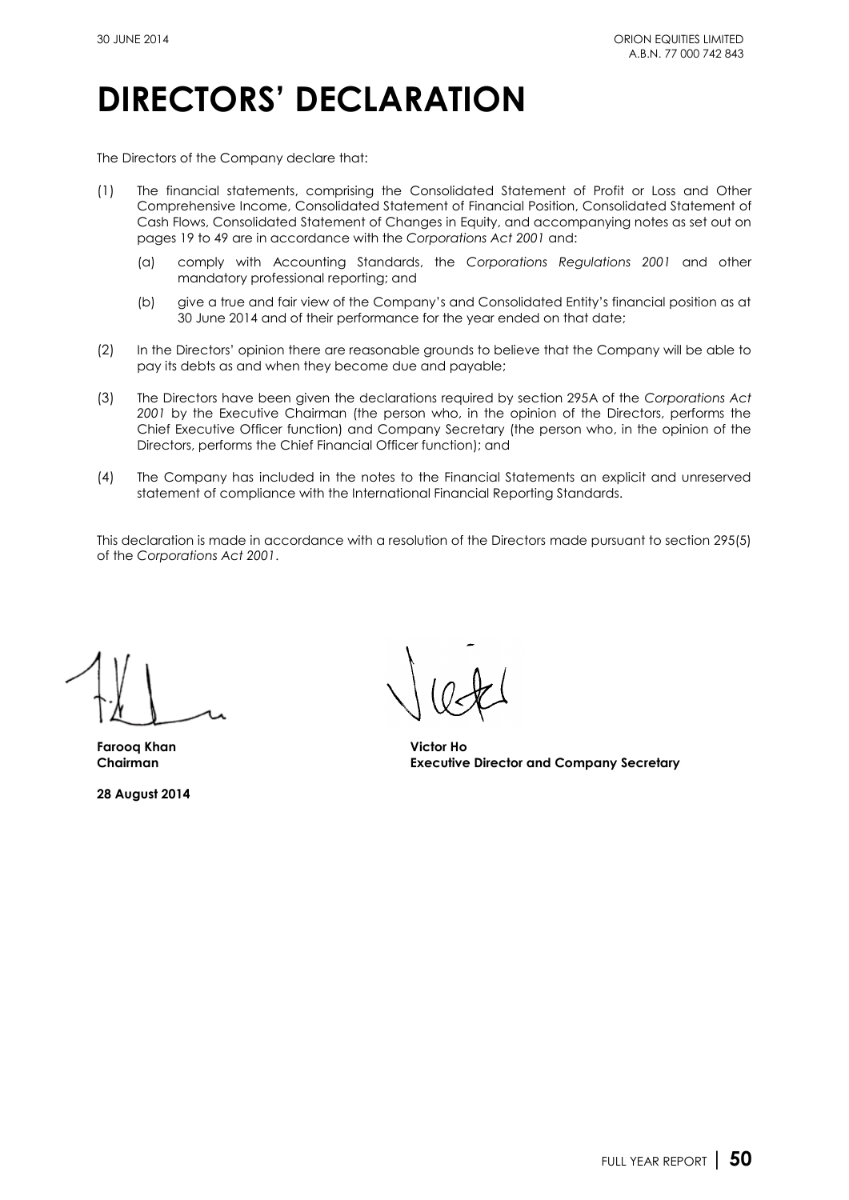## **DIRECTORS' DECLARATION**

The Directors of the Company declare that:

- (1) The financial statements, comprising the Consolidated Statement of Profit or Loss and Other Comprehensive Income, Consolidated Statement of Financial Position, Consolidated Statement of Cash Flows, Consolidated Statement of Changes in Equity, and accompanying notes as set out on pages 19 to 49 are in accordance with the *Corporations Act 2001* and:
	- (a) comply with Accounting Standards, the *Corporations Regulations 2001* and other mandatory professional reporting; and
	- (b) give a true and fair view of the Company's and Consolidated Entity's financial position as at 30 June 2014 and of their performance for the year ended on that date;
- (2) In the Directors' opinion there are reasonable grounds to believe that the Company will be able to pay its debts as and when they become due and payable;
- (3) The Directors have been given the declarations required by section 295A of the *Corporations Act 2001* by the Executive Chairman (the person who, in the opinion of the Directors, performs the Chief Executive Officer function) and Company Secretary (the person who, in the opinion of the Directors, performs the Chief Financial Officer function); and
- (4) The Company has included in the notes to the Financial Statements an explicit and unreserved statement of compliance with the International Financial Reporting Standards.

This declaration is made in accordance with a resolution of the Directors made pursuant to section 295(5) of the *Corporations Act 2001*.

**Farooq Khan** • **Victor Ho**

**28 August 2014**

**Chairman** • **Executive Director and Company Secretary**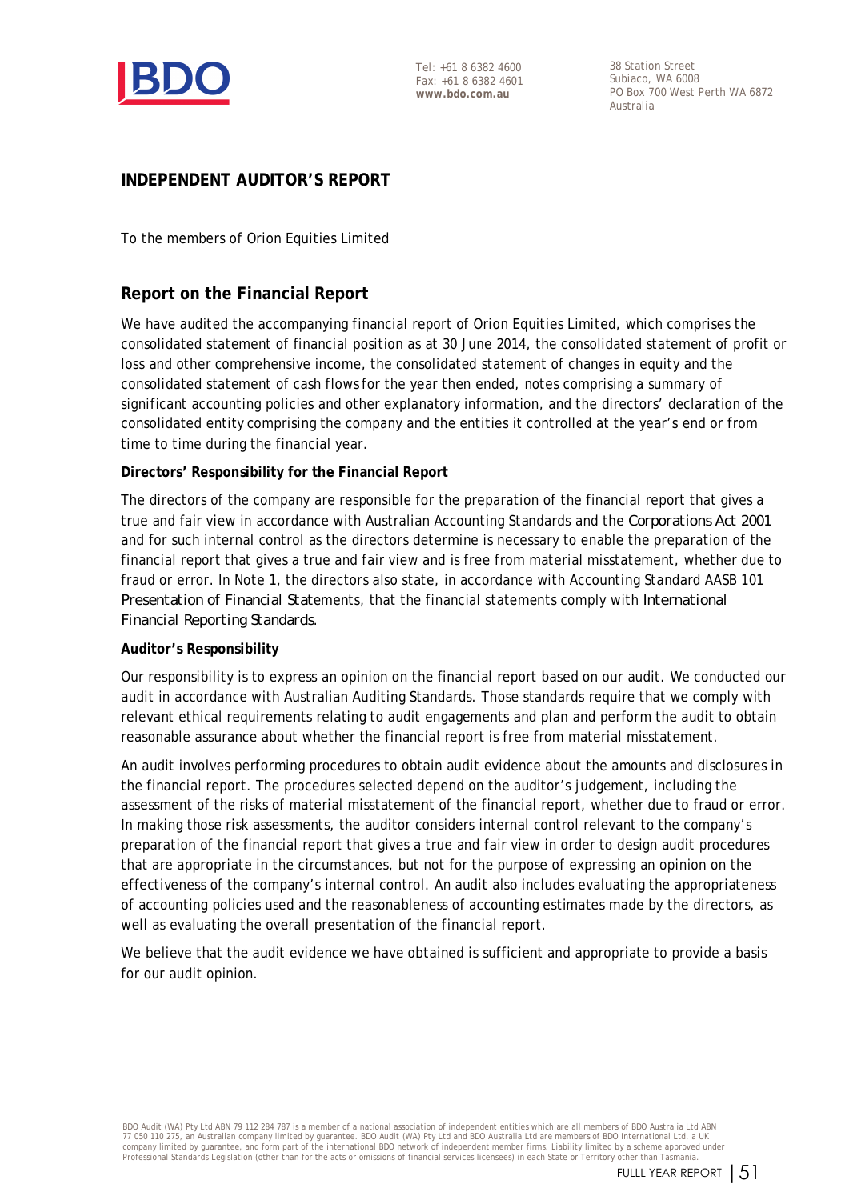

38 Station Street Subiaco, WA 6008 PO Box 700 West Perth WA 6872 Australia

## **INDEPENDENT AUDITOR'S REPORT**

To the members of Orion Equities Limited

## **Report on the Financial Report**

We have audited the accompanying financial report of Orion Equities Limited, which comprises the consolidated statement of financial position as at 30 June 2014, the consolidated statement of profit or loss and other comprehensive income, the consolidated statement of changes in equity and the consolidated statement of cash flows for the year then ended, notes comprising a summary of significant accounting policies and other explanatory information, and the directors' declaration of the consolidated entity comprising the company and the entities it controlled at the year's end or from time to time during the financial year.

## **Directors' Responsibility for the Financial Report**

The directors of the company are responsible for the preparation of the financial report that gives a true and fair view in accordance with Australian Accounting Standards and the *Corporations Act 2001* and for such internal control as the directors determine is necessary to enable the preparation of the financial report that gives a true and fair view and is free from material misstatement, whether due to fraud or error. In Note 1, the directors also state, in accordance with Accounting Standard AASB 101 *Presentation of Financial Stat*ements, that the financial statements comply with *International Financial Reporting Standards*.

## **Auditor's Responsibility**

Our responsibility is to express an opinion on the financial report based on our audit. We conducted our audit in accordance with Australian Auditing Standards. Those standards require that we comply with relevant ethical requirements relating to audit engagements and plan and perform the audit to obtain reasonable assurance about whether the financial report is free from material misstatement.

An audit involves performing procedures to obtain audit evidence about the amounts and disclosures in the financial report. The procedures selected depend on the auditor's judgement, including the assessment of the risks of material misstatement of the financial report, whether due to fraud or error. In making those risk assessments, the auditor considers internal control relevant to the company's preparation of the financial report that gives a true and fair view in order to design audit procedures that are appropriate in the circumstances, but not for the purpose of expressing an opinion on the effectiveness of the company's internal control. An audit also includes evaluating the appropriateness of accounting policies used and the reasonableness of accounting estimates made by the directors, as well as evaluating the overall presentation of the financial report.

We believe that the audit evidence we have obtained is sufficient and appropriate to provide a basis for our audit opinion.

BDO Audit (WA) Pty Ltd ABN 79 112 284 787 is a member of a national association of independent entities which are all members of BDO Australia Ltd ABN 77 050 110 275, an Australian company limited by guarantee. BDO Audit (WA) Pty Ltd and BDO Australia Ltd are members of BDO International Ltd, a UK<br>company limited by guarantee, and form part of the international BDO netwo Professional Standards Legislation (other than for the acts or omissions of financial services licensees) in each State or Territory other than Tasmania.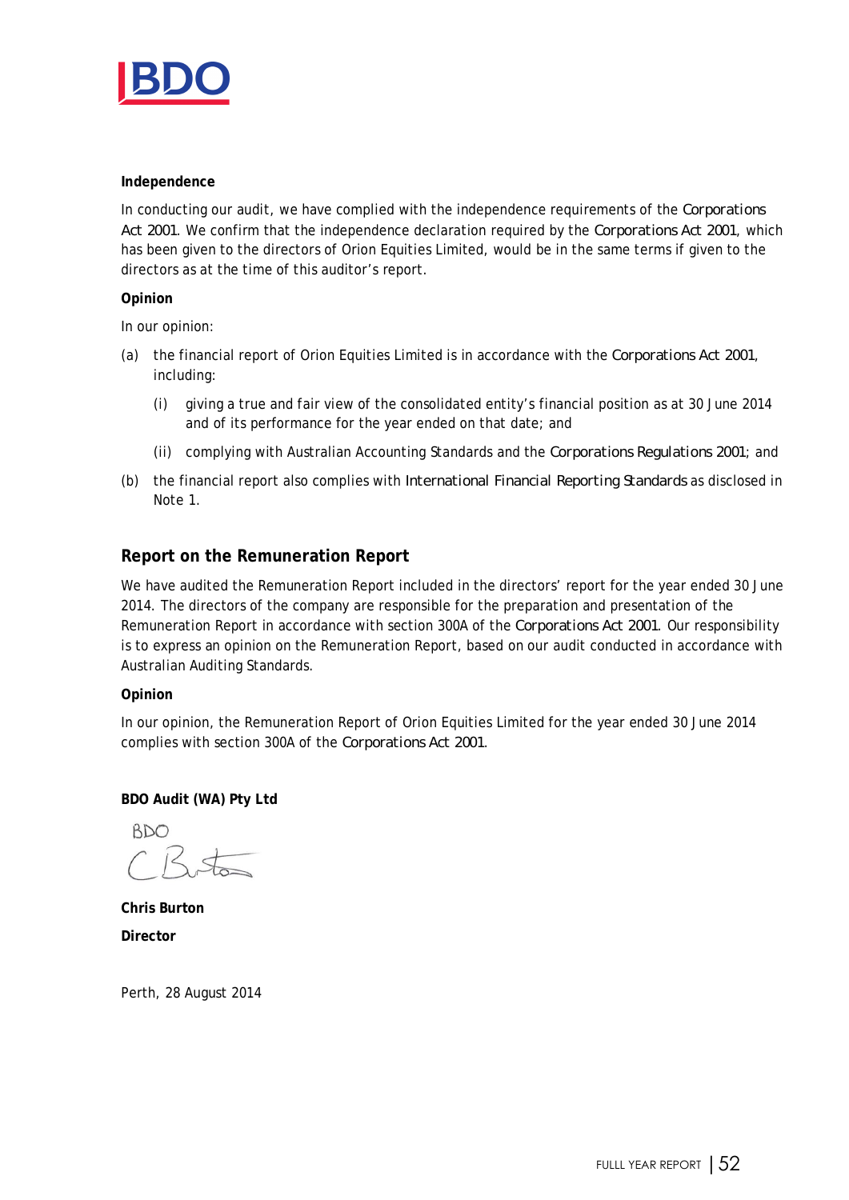

## **Independence**

In conducting our audit, we have complied with the independence requirements of the *Corporations Act 2001*. We confirm that the independence declaration required by the *Corporations Act 2001*, which has been given to the directors of Orion Equities Limited, would be in the same terms if given to the directors as at the time of this auditor's report.

## **Opinion**

In our opinion:

- (a) the financial report of Orion Equities Limited is in accordance with the *Corporations Act 2001*, including:
	- (i) giving a true and fair view of the consolidated entity's financial position as at 30 June 2014 and of its performance for the year ended on that date; and
	- (ii) complying with Australian Accounting Standards and the *Corporations Regulations 2001*; and
- (b) the financial report also complies with *International Financial Reporting Standards* as disclosed in Note 1.

## **Report on the Remuneration Report**

We have audited the Remuneration Report included in the directors' report for the year ended 30 June 2014. The directors of the company are responsible for the preparation and presentation of the Remuneration Report in accordance with section 300A of the *Corporations Act 2001*. Our responsibility is to express an opinion on the Remuneration Report, based on our audit conducted in accordance with Australian Auditing Standards.

## **Opinion**

In our opinion, the Remuneration Report of Orion Equities Limited for the year ended 30 June 2014 complies with section 300A of the *Corporations Act 2001*.

## **BDO Audit (WA) Pty Ltd**

**BDO** 

**Chris Burton Director**

Perth, 28 August 2014